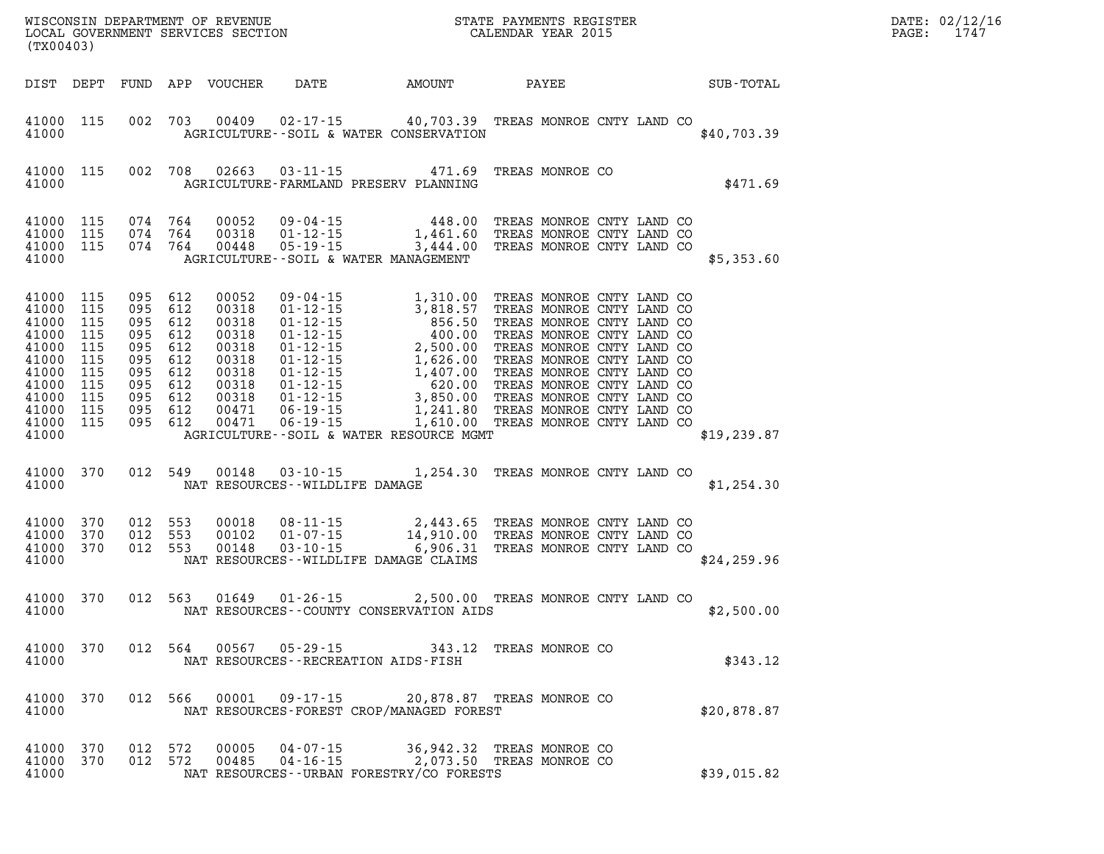| (TX00403)                                                                                                                                                                                                                                                              |  |                                                                                                                 |  |                         |                                              | WISCONSIN DEPARTMENT OF REVENUE<br>LOCAL GOVERNMENT SERVICES SECTION<br>(EVACALOR)                                                                                                                                                                                                                                                                     |  |  |  |  |  |              |  | DATE: 02/12/16<br>PAGE: 1747 |
|------------------------------------------------------------------------------------------------------------------------------------------------------------------------------------------------------------------------------------------------------------------------|--|-----------------------------------------------------------------------------------------------------------------|--|-------------------------|----------------------------------------------|--------------------------------------------------------------------------------------------------------------------------------------------------------------------------------------------------------------------------------------------------------------------------------------------------------------------------------------------------------|--|--|--|--|--|--------------|--|------------------------------|
|                                                                                                                                                                                                                                                                        |  |                                                                                                                 |  |                         |                                              | DIST DEPT FUND APP VOUCHER DATE AMOUNT PAYEE SUB-TOTAL                                                                                                                                                                                                                                                                                                 |  |  |  |  |  |              |  |                              |
|                                                                                                                                                                                                                                                                        |  |                                                                                                                 |  |                         |                                              | 41000 115 002 703 00409 02-17-15 40,703.39 TREAS MONROE CNTY LAND CO<br>41000 AGRICULTURE--SOIL & WATER CONSERVATION                                                                                                                                                                                                                                   |  |  |  |  |  | \$40,703.39  |  |                              |
| 41000                                                                                                                                                                                                                                                                  |  |                                                                                                                 |  | 41000 115 002 708 02663 |                                              | 03-11-15 171.69 TREAS MONROE CO PARAMIAND PRESERV PLANNING<br>AGRICULTURE-FARMLAND PRESERV PLANNING                                                                                                                                                                                                                                                    |  |  |  |  |  | \$471.69     |  |                              |
| 41000                                                                                                                                                                                                                                                                  |  |                                                                                                                 |  |                         | AGRICULTURE--SOIL & WATER MANAGEMENT         | $\begin{array}{cccccc} 41000 & 115 & 074 & 764 & 00052 & 09\cdot04\cdot15 & & & 448.00 & \text{TREAS MONROE CNTY LAND CO} \\ 41000 & 115 & 074 & 764 & 00318 & 01\cdot12\cdot15 & & & 1,461.60 & \text{TREAS MONROE CNTY LAND CO} \\ 41000 & 115 & 074 & 764 & 00448 & 05\cdot19\cdot15 & & & 3,444.00 & \text{TREAS MONROE CNTY LAND CO} \end{array}$ |  |  |  |  |  | \$5,353.60   |  |                              |
| 41000 115<br>41000 115<br>41000 115 095 612<br>41000 115 095 612<br>41000 115 095 612<br>41000 115 095 612<br>41000 115 095 612<br>41000 115 095 612<br>41000 115 095 612<br>41000 115 095 612<br>41000 115 095 612<br>41000 115 095 612<br>41000 115 095 612<br>41000 |  | 095 612<br>095 612                                                                                              |  |                         |                                              | AGRICULTURE--SOIL & WATER RESOURCE MGMT                                                                                                                                                                                                                                                                                                                |  |  |  |  |  | \$19, 239.87 |  |                              |
|                                                                                                                                                                                                                                                                        |  |                                                                                                                 |  |                         |                                              | 41000 370 012 549 00148 03-10-15 1,254.30 TREAS MONROE CNTY LAND CO<br>41000 NAT RESOURCES - WILDLIFE DAMAGE                                                                                                                                                                                                                                           |  |  |  |  |  | \$1,254.30   |  |                              |
|                                                                                                                                                                                                                                                                        |  | $\begin{array}{cccc} 41000 & 370 & 012 & 553 \\ 41000 & 370 & 012 & 553 \\ 41000 & 370 & 012 & 553 \end{array}$ |  |                         |                                              | 41000 NAT RESOURCES - WILDLIFE DAMAGE CLAIMS                                                                                                                                                                                                                                                                                                           |  |  |  |  |  | \$24, 259.96 |  |                              |
|                                                                                                                                                                                                                                                                        |  |                                                                                                                 |  |                         |                                              | 41000 370 012 563 01649 01-26-15 2,500.00 TREAS MONROE CNTY LAND CO<br>41000 MAT RESOURCES--COUNTY CONSERVATION AIDS                                                                                                                                                                                                                                   |  |  |  |  |  | \$2,500.00   |  |                              |
|                                                                                                                                                                                                                                                                        |  |                                                                                                                 |  |                         | 41000 NAT RESOURCES - RECREATION AIDS - FISH | 41000 370 012 564 00567 05-29-15 343.12 TREAS MONROE CO                                                                                                                                                                                                                                                                                                |  |  |  |  |  | \$343.12     |  |                              |
|                                                                                                                                                                                                                                                                        |  |                                                                                                                 |  |                         |                                              | 41000 370 012 566 00001 09-17-15 20,878.87 TREAS MONROE CO<br>41000 $\begin{array}{cccc}\n 41000 & 144 & 140 & 140 \\  \hline\n 14000 & 144 & 140 & 140 \\  \end{array}$ \$20,878.87                                                                                                                                                                   |  |  |  |  |  |              |  |                              |

|       |  |  | 41000 370 012 572 00005 04–07–15 |                                          | 36,942.32 TREAS MONROE CO |             |
|-------|--|--|----------------------------------|------------------------------------------|---------------------------|-------------|
|       |  |  | 41000 370 012 572 00485 04–16–15 |                                          | 2,073.50 TREAS MONROE CO  |             |
| 41000 |  |  |                                  | NAT RESOURCES--URBAN FORESTRY/CO FORESTS |                           | \$39,015.82 |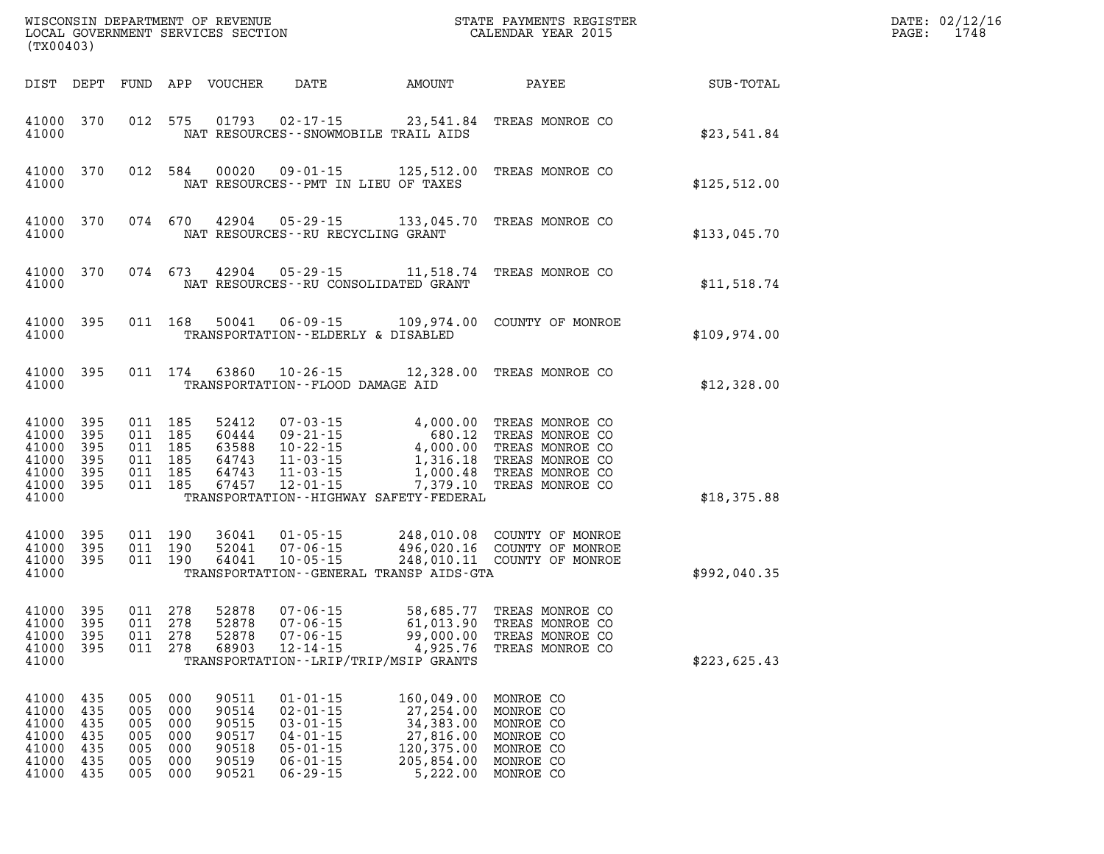| WISCONSIN DEPARTMENT OF REVENUE<br>LOCAL GOVERNMENT SERVICES SECTION<br>(TX00403) |                                               |                                               |                                                                |                                                             |                                                                                                                            | STATE PAYMENTS REGISTER<br>CALENDAR YEAR 2015                                                                    |                                                                                                                |              | DATE: 02/12/16<br>1748<br>PAGE: |
|-----------------------------------------------------------------------------------|-----------------------------------------------|-----------------------------------------------|----------------------------------------------------------------|-------------------------------------------------------------|----------------------------------------------------------------------------------------------------------------------------|------------------------------------------------------------------------------------------------------------------|----------------------------------------------------------------------------------------------------------------|--------------|---------------------------------|
| DIST DEPT                                                                         |                                               |                                               |                                                                | FUND APP VOUCHER                                            | DATE                                                                                                                       | AMOUNT                                                                                                           | PAYEE                                                                                                          | SUB-TOTAL    |                                 |
| 41000 370<br>41000                                                                |                                               |                                               | 012 575                                                        | 01793                                                       | $02 - 17 - 15$<br>NAT RESOURCES - - SNOWMOBILE TRAIL AIDS                                                                  | 23,541.84                                                                                                        | TREAS MONROE CO                                                                                                | \$23,541.84  |                                 |
| 41000<br>41000                                                                    | 370                                           |                                               | 012 584                                                        | 00020                                                       | 09-01-15<br>NAT RESOURCES -- PMT IN LIEU OF TAXES                                                                          | 125,512.00                                                                                                       | TREAS MONROE CO                                                                                                | \$125,512.00 |                                 |
| 41000<br>41000                                                                    | 370                                           |                                               | 074 670                                                        | 42904                                                       | $05 - 29 - 15$<br>NAT RESOURCES -- RU RECYCLING GRANT                                                                      | 133,045.70                                                                                                       | TREAS MONROE CO                                                                                                | \$133,045.70 |                                 |
| 41000<br>41000                                                                    | 370                                           |                                               | 074 673                                                        | 42904                                                       | 05 - 29 - 15<br>NAT RESOURCES -- RU CONSOLIDATED GRANT                                                                     | 11,518.74                                                                                                        | TREAS MONROE CO                                                                                                | \$11,518.74  |                                 |
| 41000<br>41000                                                                    | 395                                           |                                               | 011 168                                                        | 50041                                                       | 06-09-15<br>TRANSPORTATION - - ELDERLY & DISABLED                                                                          | 109,974.00                                                                                                       | COUNTY OF MONROE                                                                                               | \$109,974.00 |                                 |
| 41000<br>41000                                                                    | 395                                           |                                               | 011 174                                                        | 63860                                                       | 10-26-15<br>TRANSPORTATION--FLOOD DAMAGE AID                                                                               | 12,328.00                                                                                                        | TREAS MONROE CO                                                                                                | \$12,328.00  |                                 |
| 41000<br>41000<br>41000<br>41000<br>41000<br>41000 395<br>41000                   | 395<br>395<br>395<br>395<br>395               |                                               | 011 185<br>011 185<br>011 185<br>011 185<br>011 185<br>011 185 | 52412<br>60444<br>63588<br>64743<br>64743<br>67457          | $07 - 03 - 15$<br>$09 - 21 - 15$<br>$10 - 22 - 15$<br>$11 - 03 - 15$<br>$11 - 03 - 15$<br>12-01-15                         | 4,000.00<br>$680.12$<br>4 000<br>1,316.18<br>1,000.48<br>7,379.10<br>TRANSPORTATION - - HIGHWAY SAFETY - FEDERAL | TREAS MONROE CO<br>TREAS MONROE CO<br>TREAS MONROE CO<br>TREAS MONROE CO<br>TREAS MONROE CO<br>TREAS MONROE CO | \$18,375.88  |                                 |
| 41000<br>41000<br>41000 395<br>41000                                              | 395<br>395                                    |                                               | 011 190<br>011 190<br>011 190                                  | 36041<br>52041<br>64041                                     | $01 - 05 - 15$<br>$07 - 06 - 15$<br>$10 - 05 - 15$                                                                         | TRANSPORTATION--GENERAL TRANSP AIDS-GTA                                                                          | 248,010.08 COUNTY OF MONROE<br>496,020.16 COUNTY OF MONROE<br>248,010.11 COUNTY OF MONROE                      | \$992,040.35 |                                 |
| 41000<br>41000<br>41000<br>41000<br>41000                                         | 395<br>395<br>395<br>395                      |                                               | 011 278<br>011 278<br>011 278<br>011 278                       | 52878<br>52878<br>52878<br>68903                            | $07 - 06 - 15$<br>$07 - 06 - 15$<br>$07 - 06 - 15$<br>$12 - 14 - 15$                                                       | 58,685.77<br>61,013.90<br>99,000.00<br>4,925.76<br>TRANSPORTATION - - LRIP/TRIP/MSIP GRANTS                      | TREAS MONROE CO<br>TREAS MONROE CO<br>TREAS MONROE CO<br>TREAS MONROE CO                                       | \$223,625.43 |                                 |
| 41000<br>41000<br>41000<br>41000<br>41000<br>41000<br>41000                       | 435<br>435<br>435<br>435<br>435<br>435<br>435 | 005<br>005<br>005<br>005<br>005<br>005<br>005 | 000<br>000<br>000<br>000<br>000<br>000<br>000                  | 90511<br>90514<br>90515<br>90517<br>90518<br>90519<br>90521 | $01 - 01 - 15$<br>$02 - 01 - 15$<br>$03 - 01 - 15$<br>$04 - 01 - 15$<br>$05 - 01 - 15$<br>$06 - 01 - 15$<br>$06 - 29 - 15$ | 160,049.00<br>27,254.00<br>34,383.00<br>27,816.00<br>120,375.00<br>205,854.00<br>5,222.00                        | MONROE CO<br>MONROE CO<br>MONROE CO<br>MONROE CO<br>MONROE CO<br>MONROE CO<br>MONROE CO                        |              |                                 |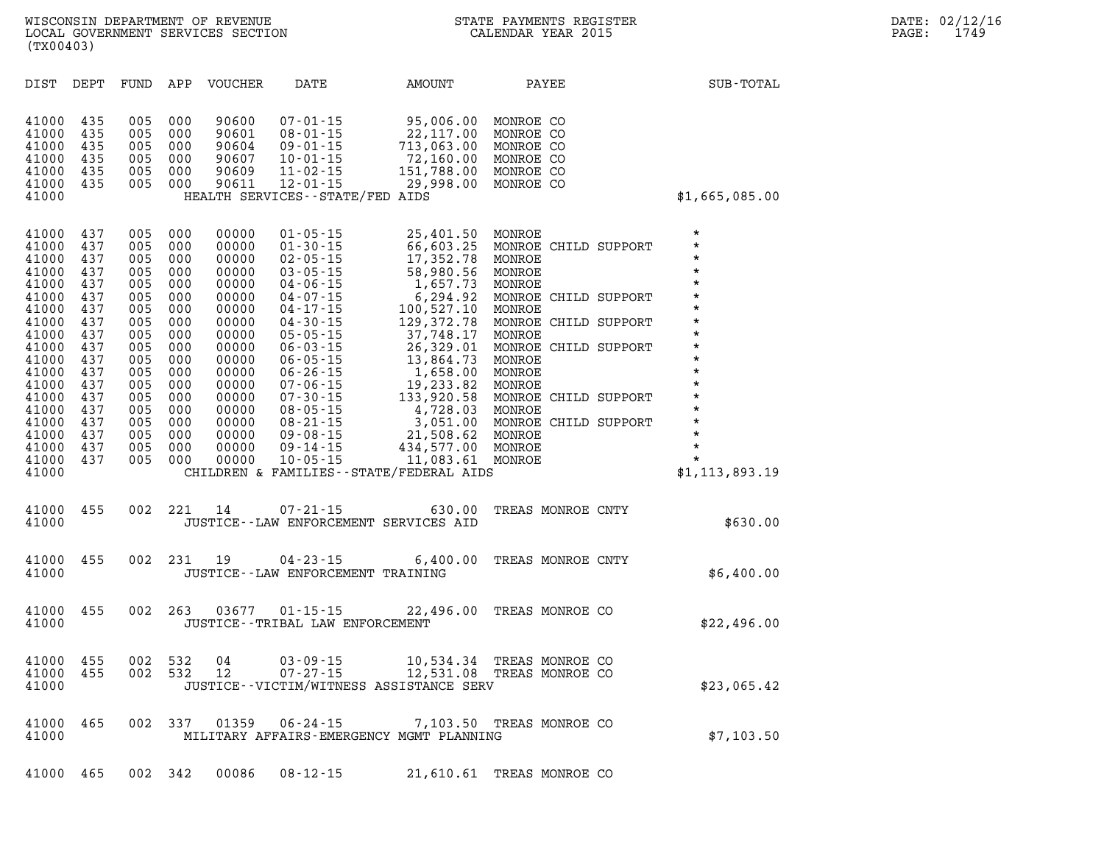| WISCONSIN DEPARTMENT OF REVENUE<br>LOCAL GOVERNMENT SERVICES SECTION FOR THE STATE PAYMENTS REGISTER<br>(TX00403)                                                                                |                                                                                                       |                                                            |                                                                                                                                                    |                                                                                                                                                                         |                                      |                                                                                                                                                                                                |                                                  |                  | DATE: 02/12/1<br>$\mathtt{PAGE:}$<br>1749 |
|--------------------------------------------------------------------------------------------------------------------------------------------------------------------------------------------------|-------------------------------------------------------------------------------------------------------|------------------------------------------------------------|----------------------------------------------------------------------------------------------------------------------------------------------------|-------------------------------------------------------------------------------------------------------------------------------------------------------------------------|--------------------------------------|------------------------------------------------------------------------------------------------------------------------------------------------------------------------------------------------|--------------------------------------------------|------------------|-------------------------------------------|
|                                                                                                                                                                                                  | DIST DEPT FUND APP VOUCHER                                                                            |                                                            |                                                                                                                                                    |                                                                                                                                                                         |                                      |                                                                                                                                                                                                | DATE AMOUNT PAYEE SUB-TOTAL                      |                  |                                           |
| 41000 435<br>41000 435<br>41000<br>41000<br>41000 435<br>41000 435<br>41000                                                                                                                      | 435<br>435                                                                                            |                                                            | 005 000<br>005 000<br>005 000<br>005 000<br>005 000<br>005 000                                                                                     | 90600<br>90601<br>90604<br>90607<br>90609<br>90611                                                                                                                      | HEALTH SERVICES -- STATE/FED AIDS    | 07-01-15 95,006.00 MONROE CO<br>08-01-15 22,117.00 MONROE CO<br>09-01-15 713,063.00 MONROE CO<br>10-01-15 72,160.00 MONROE CO<br>11-02-15 151,788.00 MONROE CO<br>12-01-15 29,998.00 MONROE CO |                                                  | \$1,665,085.00   |                                           |
| 41000<br>41000<br>41000<br>41000<br>41000<br>41000<br>41000<br>41000<br>41000<br>41000<br>41000<br>41000<br>41000<br>41000 437<br>41000<br>41000 437<br>41000<br>41000 437<br>41000 437<br>41000 | 437<br>437<br>437<br>437<br>437<br>437<br>437<br>437<br>437<br>437<br>437<br>437<br>437<br>437<br>437 | 005 000<br>005 000<br>005 000<br>005 000<br>005<br>005 000 | 005 000<br>005 000<br>005 000<br>005 000<br>000<br>005 000<br>005 000<br>005 000<br>005 000<br>005 000<br>005 000<br>005 000<br>005 000<br>005 000 | 00000<br>00000<br>00000<br>00000<br>00000<br>00000<br>00000<br>00000<br>00000<br>00000<br>00000<br>00000<br>00000<br>00000<br>00000<br>00000<br>00000<br>00000<br>00000 |                                      | CHILDREN & FAMILIES - - STATE/FEDERAL AIDS                                                                                                                                                     |                                                  | \$1, 113, 893.19 |                                           |
| 41000 455<br>41000                                                                                                                                                                               |                                                                                                       |                                                            |                                                                                                                                                    |                                                                                                                                                                         | 002 221 14 07-21-15                  | JUSTICE -- LAW ENFORCEMENT SERVICES AID                                                                                                                                                        | 630.00 TREAS MONROE CNTY                         | \$630.00         |                                           |
| 41000 455<br>41000                                                                                                                                                                               |                                                                                                       |                                                            |                                                                                                                                                    |                                                                                                                                                                         | JUSTICE - - LAW ENFORCEMENT TRAINING |                                                                                                                                                                                                | 002 231 19 04-23-15 6,400.00 TREAS MONROE CNTY   | \$6,400.00       |                                           |
| 41000 455<br>41000                                                                                                                                                                               |                                                                                                       |                                                            |                                                                                                                                                    |                                                                                                                                                                         | JUSTICE - - TRIBAL LAW ENFORCEMENT   |                                                                                                                                                                                                | 002 263 03677 01-15-15 22,496.00 TREAS MONROE CO | \$22,496.00      |                                           |

| 41000 455 002 532    |  | 04 | 03-09-15                                | 10,534.34 TREAS MONROE CO |  |             |
|----------------------|--|----|-----------------------------------------|---------------------------|--|-------------|
| 41000 455 002 532 12 |  |    | 07-27-15                                | 12,531.08 TREAS MONROE CO |  |             |
| 41000                |  |    | JUSTICE--VICTIM/WITNESS ASSISTANCE SERV |                           |  | \$23,065.42 |

**41000 465 002 337 01359 06-24-15 7,103.50 TREAS MONROE CO**  MILITARY AFFAIRS-EMERGENCY MGMT PLANNING **\$7,103.50** 

**41000 465 002 342 00086 08-12-15 21,610.61 TREAS MONROE CO**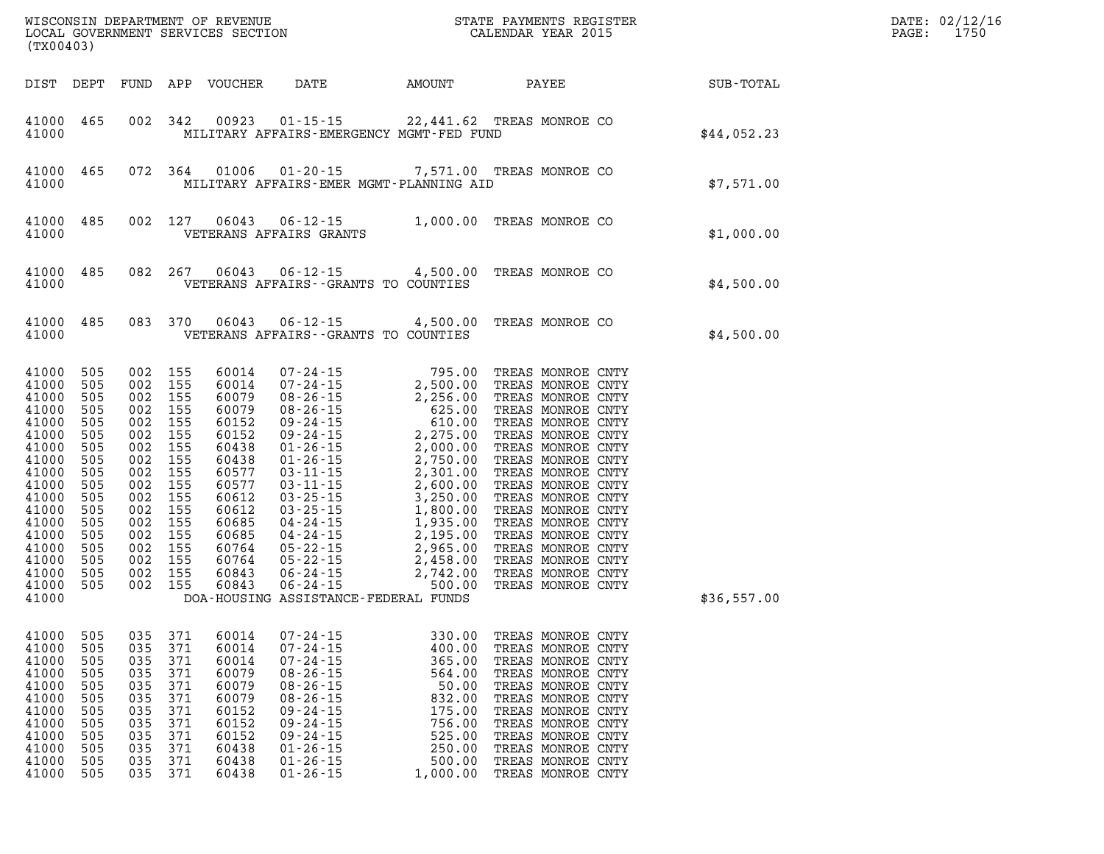| (TX00403)                                                                                                                                                                                                                                                                                                                                                                                                                                                                                                                                                                                                                                                                                                             |                                                                                                                                                                                                                                                                                                                                                                                                                                                                                                                                                                                                                                                                                                                                     |             | DATE: 02/12/16<br>1750<br>PAGE: |
|-----------------------------------------------------------------------------------------------------------------------------------------------------------------------------------------------------------------------------------------------------------------------------------------------------------------------------------------------------------------------------------------------------------------------------------------------------------------------------------------------------------------------------------------------------------------------------------------------------------------------------------------------------------------------------------------------------------------------|-------------------------------------------------------------------------------------------------------------------------------------------------------------------------------------------------------------------------------------------------------------------------------------------------------------------------------------------------------------------------------------------------------------------------------------------------------------------------------------------------------------------------------------------------------------------------------------------------------------------------------------------------------------------------------------------------------------------------------------|-------------|---------------------------------|
| DIST DEPT FUND APP VOUCHER                                                                                                                                                                                                                                                                                                                                                                                                                                                                                                                                                                                                                                                                                            | DATE AMOUNT PAYEE                                                                                                                                                                                                                                                                                                                                                                                                                                                                                                                                                                                                                                                                                                                   | SUB-TOTAL   |                                 |
| 002 342<br>41000 465<br>00923<br>41000<br>MILITARY AFFAIRS-EMERGENCY MGMT-FED FUND                                                                                                                                                                                                                                                                                                                                                                                                                                                                                                                                                                                                                                    | 01-15-15 22,441.62 TREAS MONROE CO                                                                                                                                                                                                                                                                                                                                                                                                                                                                                                                                                                                                                                                                                                  | \$44,052.23 |                                 |
| 41000<br>465<br>072 364<br>01006<br>41000<br>MILITARY AFFAIRS-EMER MGMT-PLANNING AID                                                                                                                                                                                                                                                                                                                                                                                                                                                                                                                                                                                                                                  | 01-20-15 7,571.00 TREAS MONROE CO                                                                                                                                                                                                                                                                                                                                                                                                                                                                                                                                                                                                                                                                                                   | \$7,571.00  |                                 |
| 41000<br>485<br>002 127<br>06043<br>41000<br>VETERANS AFFAIRS GRANTS                                                                                                                                                                                                                                                                                                                                                                                                                                                                                                                                                                                                                                                  | 06-12-15 1,000.00 TREAS MONROE CO                                                                                                                                                                                                                                                                                                                                                                                                                                                                                                                                                                                                                                                                                                   | \$1,000.00  |                                 |
| 082 267<br>41000<br>485<br>06043<br>41000<br>VETERANS AFFAIRS -- GRANTS TO COUNTIES                                                                                                                                                                                                                                                                                                                                                                                                                                                                                                                                                                                                                                   | 06-12-15 4,500.00 TREAS MONROE CO                                                                                                                                                                                                                                                                                                                                                                                                                                                                                                                                                                                                                                                                                                   | \$4,500.00  |                                 |
| 41000<br>485<br>083 370<br>06043<br>41000<br>VETERANS AFFAIRS -- GRANTS TO COUNTIES                                                                                                                                                                                                                                                                                                                                                                                                                                                                                                                                                                                                                                   | 06-12-15 4,500.00 TREAS MONROE CO                                                                                                                                                                                                                                                                                                                                                                                                                                                                                                                                                                                                                                                                                                   | \$4,500.00  |                                 |
| 41000<br>505<br>002 155<br>60014<br>41000<br>505<br>002 155<br>60014<br>41000<br>002 155<br>505<br>60079<br>41000<br>505<br>002 155<br>60079<br>41000<br>002 155<br>505<br>60152<br>41000<br>505<br>002 155<br>60152<br>41000<br>002 155<br>505<br>60438<br>41000<br>505<br>002 155<br>60438<br>41000<br>002 155<br>505<br>60577<br>41000<br>505<br>002 155<br>60577<br>41000<br>002 155<br>505<br>60612<br>41000<br>505<br>002 155<br>60612<br>41000<br>002 155<br>505<br>60685<br>41000<br>505<br>002 155<br>60685<br>41000<br>002 155<br>505<br>60764<br>41000<br>505<br>002 155<br>60764<br>41000<br>60843<br>505<br>002 155<br>41000<br>505<br>002 155<br>60843<br>41000<br>DOA-HOUSING ASSISTANCE-FEDERAL FUNDS | $\begin{array}{cccc} 07\text{-}24\text{-}15 & 795.00 \\ 07\text{-}24\text{-}15 & 2,500.00 \\ 08\text{-}26\text{-}15 & 2,256.00 \\ 08\text{-}26\text{-}15 & 625.00 \\ 09\text{-}24\text{-}15 & 625.00 \\ 09\text{-}24\text{-}15 & 2,256.00 \\ 01\text{-}26\text{-}15 & 2,000.00 \\ 01\text{-}26\text{-}15 & 2,000.00 \\ 03\text{-}11\text$<br>TREAS MONROE CNTY<br>TREAS MONROE CNTY<br>TREAS MONROE CNTY<br>TREAS MONROE CNTY<br>TREAS MONROE CNTY<br>TREAS MONROE CNTY<br>TREAS MONROE CNTY<br>TREAS MONROE CNTY<br>TREAS MONROE CNTY<br>TREAS MONROE CNTY<br>TREAS MONROE CNTY<br>TREAS MONROE CNTY<br>TREAS MONROE CNTY<br>TREAS MONROE CNTY<br>TREAS MONROE CNTY<br>TREAS MONROE CNTY<br>TREAS MONROE CNTY<br>TREAS MONROE CNTY | \$36,557.00 |                                 |
| 41000 505<br>035 371<br>60014<br>$07 - 24 - 15$<br>41000<br>505<br>035<br>371<br>60014<br>$07 - 24 - 15$<br>41000<br>505<br>035<br>371<br>60014<br>$07 - 24 - 15$<br>371<br>41000<br>505<br>035<br>60079<br>$08 - 26 - 15$<br>371<br>$08 - 26 - 15$<br>41000<br>505<br>035<br>60079<br>$08 - 26 - 15$<br>41000<br>505<br>035<br>371<br>60079<br>371<br>$09 - 24 - 15$<br>41000<br>505<br>035<br>60152<br>$09 - 24 - 15$<br>41000<br>505<br>035<br>371<br>60152<br>$09 - 24 - 15$<br>41000<br>505<br>035<br>371<br>60152<br>41000<br>371<br>$01 - 26 - 15$<br>505<br>035<br>60438<br>371<br>$01 - 26 - 15$<br>41000<br>505<br>035<br>60438<br>41000<br>035<br>371<br>$01 - 26 - 15$<br>505<br>60438                    | 330.00 TREAS MONROE CNTY<br>400.00<br>TREAS MONROE CNTY<br>365.00<br>TREAS MONROE CNTY<br>564.00<br>TREAS MONROE CNTY<br>50.00<br>TREAS MONROE CNTY<br>832.00<br>TREAS MONROE CNTY<br>175.00<br>TREAS MONROE CNTY<br>756.00<br>TREAS MONROE CNTY<br>525.00<br>TREAS MONROE CNTY<br>250.00<br>TREAS MONROE CNTY<br>500.00<br>TREAS MONROE CNTY<br>1,000.00<br>TREAS MONROE CNTY                                                                                                                                                                                                                                                                                                                                                      |             |                                 |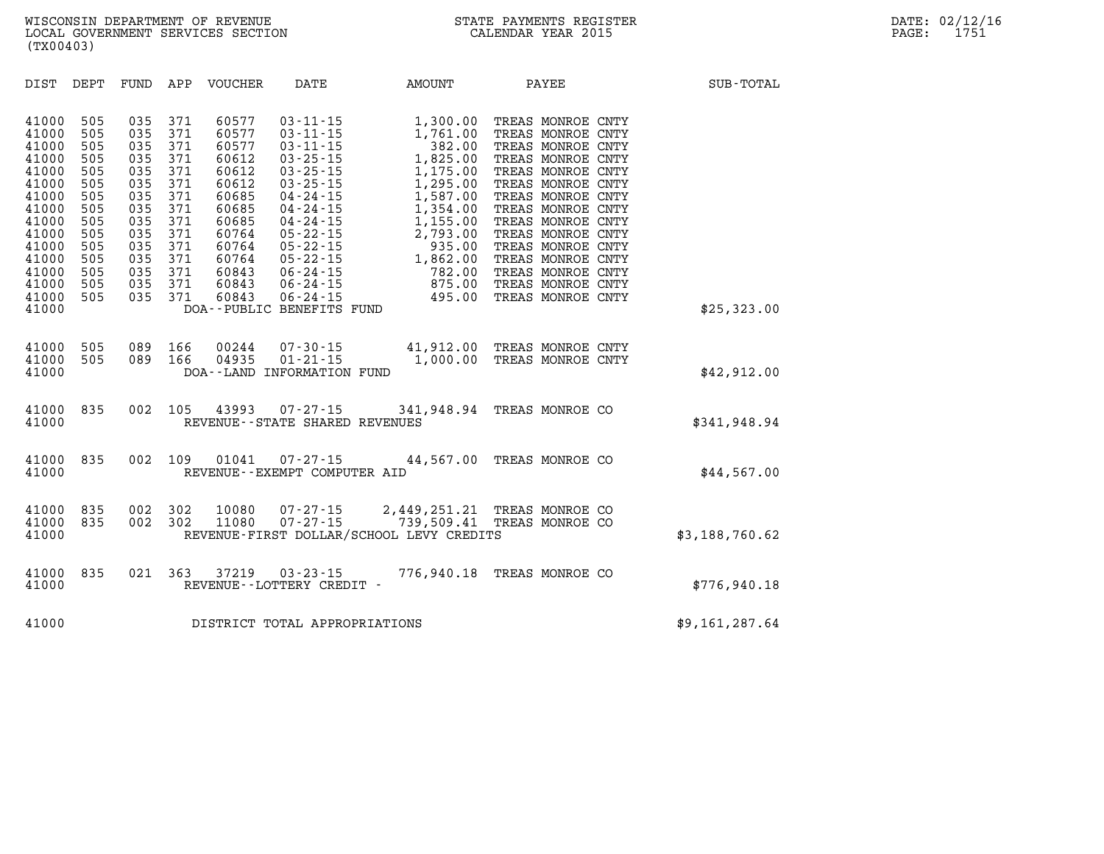| DIST<br>DEPT                                                                                                                                                                                                                                          | <b>FUND</b>                                                                                           | APP<br>VOUCHER                                                                                                                                                                                                                               | DATE                                                                                                                                                                                                                                                                                                    | <b>AMOUNT</b>                                                                                                                                                          | PAYEE                                                                                                                                                                                                                                                                                                                   | SUB-TOTAL      |
|-------------------------------------------------------------------------------------------------------------------------------------------------------------------------------------------------------------------------------------------------------|-------------------------------------------------------------------------------------------------------|----------------------------------------------------------------------------------------------------------------------------------------------------------------------------------------------------------------------------------------------|---------------------------------------------------------------------------------------------------------------------------------------------------------------------------------------------------------------------------------------------------------------------------------------------------------|------------------------------------------------------------------------------------------------------------------------------------------------------------------------|-------------------------------------------------------------------------------------------------------------------------------------------------------------------------------------------------------------------------------------------------------------------------------------------------------------------------|----------------|
| 41000<br>505<br>505<br>41000<br>41000<br>505<br>505<br>41000<br>41000<br>505<br>505<br>41000<br>41000<br>505<br>41000<br>505<br>41000<br>505<br>41000<br>505<br>41000<br>505<br>41000<br>505<br>41000<br>505<br>41000<br>505<br>41000<br>505<br>41000 | 035<br>035<br>035<br>035<br>035<br>035<br>035<br>035<br>035<br>035<br>035<br>035<br>035<br>035<br>035 | 60577<br>371<br>371<br>60577<br>60577<br>371<br>371<br>60612<br>371<br>60612<br>371<br>60612<br>371<br>60685<br>371<br>60685<br>371<br>60685<br>371<br>60764<br>371<br>60764<br>371<br>60764<br>371<br>60843<br>371<br>60843<br>371<br>60843 | $03 - 11 - 15$<br>$03 - 11 - 15$<br>$03 - 11 - 15$<br>$03 - 25 - 15$<br>$03 - 25 - 15$<br>$03 - 25 - 15$<br>$04 - 24 - 15$<br>$04 - 24 - 15$<br>$04 - 24 - 15$<br>$05 - 22 - 15$<br>$05 - 22 - 15$<br>$05 - 22 - 15$<br>$06 - 24 - 15$<br>$06 - 24 - 15$<br>$06 - 24 - 15$<br>DOA--PUBLIC BENEFITS FUND | 1,300.00<br>1,761.00<br>382.00<br>1,825.00<br>1,175.00<br>1,295.00<br>1,587.00<br>1,354.00<br>1,155.00<br>2,793.00<br>935.00<br>1,862.00<br>782.00<br>875.00<br>495.00 | TREAS MONROE CNTY<br>TREAS MONROE CNTY<br>TREAS MONROE CNTY<br>TREAS MONROE CNTY<br>TREAS MONROE CNTY<br>TREAS MONROE CNTY<br>TREAS MONROE CNTY<br>TREAS MONROE CNTY<br>TREAS MONROE CNTY<br>TREAS MONROE CNTY<br>TREAS MONROE CNTY<br>TREAS MONROE CNTY<br>TREAS MONROE CNTY<br>TREAS MONROE CNTY<br>TREAS MONROE CNTY | \$25,323.00    |
| 505<br>41000<br>41000<br>505<br>41000                                                                                                                                                                                                                 | 089<br>089                                                                                            | 00244<br>166<br>166<br>04935                                                                                                                                                                                                                 | $07 - 30 - 15$<br>$01 - 21 - 15$<br>DOA--LAND INFORMATION FUND                                                                                                                                                                                                                                          | 41,912.00<br>1,000.00                                                                                                                                                  | TREAS MONROE CNTY<br>TREAS MONROE CNTY                                                                                                                                                                                                                                                                                  | \$42,912.00    |
| 835<br>41000<br>41000                                                                                                                                                                                                                                 | 002                                                                                                   | 105<br>43993                                                                                                                                                                                                                                 | $07 - 27 - 15$<br>REVENUE - - STATE SHARED REVENUES                                                                                                                                                                                                                                                     | 341,948.94                                                                                                                                                             | TREAS MONROE CO                                                                                                                                                                                                                                                                                                         | \$341,948.94   |
| 835<br>41000<br>41000                                                                                                                                                                                                                                 | 002                                                                                                   | 109<br>01041                                                                                                                                                                                                                                 | $07 - 27 - 15$<br>REVENUE--EXEMPT COMPUTER AID                                                                                                                                                                                                                                                          | 44,567.00                                                                                                                                                              | TREAS MONROE CO                                                                                                                                                                                                                                                                                                         | \$44,567.00    |
| 41000<br>835<br>41000<br>835<br>41000                                                                                                                                                                                                                 | 002<br>002                                                                                            | 302<br>10080<br>302<br>11080                                                                                                                                                                                                                 | $07 - 27 - 15$<br>$07 - 27 - 15$                                                                                                                                                                                                                                                                        | 2,449,251.21<br>739,509.41<br>REVENUE-FIRST DOLLAR/SCHOOL LEVY CREDITS                                                                                                 | TREAS MONROE CO<br>TREAS MONROE CO                                                                                                                                                                                                                                                                                      | \$3,188,760.62 |
| 835<br>41000<br>41000                                                                                                                                                                                                                                 | 021                                                                                                   | 363<br>37219                                                                                                                                                                                                                                 | $03 - 23 - 15$<br>REVENUE - - LOTTERY CREDIT -                                                                                                                                                                                                                                                          | 776,940.18                                                                                                                                                             | TREAS MONROE CO                                                                                                                                                                                                                                                                                                         | \$776,940.18   |
| 41000                                                                                                                                                                                                                                                 |                                                                                                       | DISTRICT TOTAL APPROPRIATIONS                                                                                                                                                                                                                |                                                                                                                                                                                                                                                                                                         |                                                                                                                                                                        |                                                                                                                                                                                                                                                                                                                         | \$9,161,287.64 |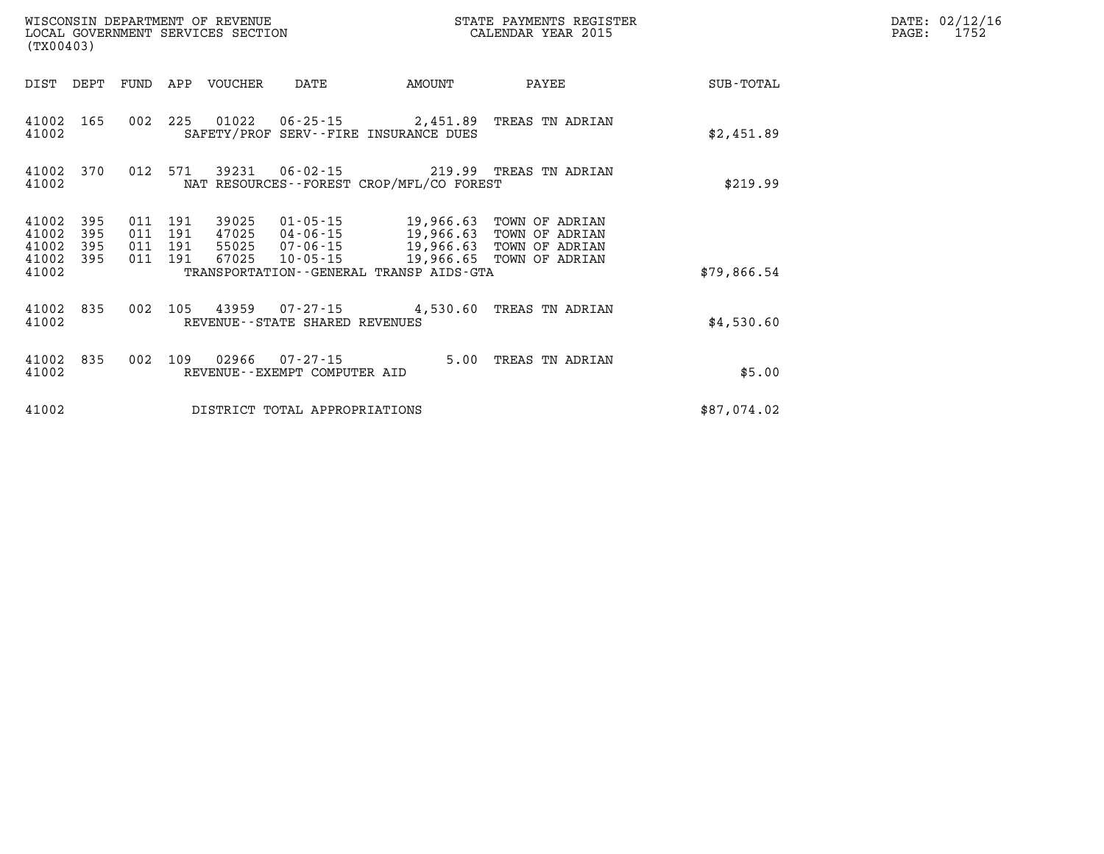| WISCONSIN DEPARTMENT OF REVENUE<br>LOCAL GOVERNMENT SERVICES SECTION<br>(TX00403) |            |                    |         |                            |                                |                                                                          | STATE PAYMENTS REGISTER<br>CALENDAR YEAR 2015                                                                                 |             | DATE: 02/12/16<br>1752<br>$\mathtt{PAGE}$ : |
|-----------------------------------------------------------------------------------|------------|--------------------|---------|----------------------------|--------------------------------|--------------------------------------------------------------------------|-------------------------------------------------------------------------------------------------------------------------------|-------------|---------------------------------------------|
|                                                                                   |            |                    |         | DIST DEPT FUND APP VOUCHER | DATE                           | AMOUNT                                                                   | PAYEE                                                                                                                         | SUB-TOTAL   |                                             |
| 41002 165<br>41002                                                                |            |                    |         |                            |                                | 002 225 01022 06-25-15 2,451.89<br>SAFETY/PROF SERV--FIRE INSURANCE DUES | TREAS TN ADRIAN                                                                                                               | \$2,451.89  |                                             |
| 41002                                                                             |            |                    |         |                            |                                | NAT RESOURCES--FOREST CROP/MFL/CO FOREST                                 | 41002 370 012 571 39231 06-02-15 219.99 TREAS TN ADRIAN                                                                       | \$219.99    |                                             |
| 41002<br>41002                                                                    | 395<br>395 | 011 191<br>011 191 |         | 39025                      |                                |                                                                          |                                                                                                                               |             |                                             |
| 41002<br>41002<br>41002                                                           | 395<br>395 | 011 191<br>011 191 |         |                            |                                | TRANSPORTATION--GENERAL TRANSP AIDS-GTA                                  | 47025 04-06-15 19,966.63 TOWN OF ADRIAN<br>55025 07-06-15 19,966.63 TOWN OF ADRIAN<br>67025 10-05-15 19,966.65 TOWN OF ADRIAN | \$79,866.54 |                                             |
| 41002 835<br>41002                                                                |            | 002                |         |                            | REVENUE--STATE SHARED REVENUES |                                                                          | 105  43959  07-27-15  4,530.60  TREAS TN ADRIAN                                                                               | \$4,530.60  |                                             |
| 41002 835<br>41002                                                                |            |                    | 002 109 |                            | REVENUE--EXEMPT COMPUTER AID   |                                                                          | 5.00 TREAS TN ADRIAN                                                                                                          | \$5.00      |                                             |
| 41002                                                                             |            |                    |         |                            | DISTRICT TOTAL APPROPRIATIONS  |                                                                          |                                                                                                                               | \$87,074.02 |                                             |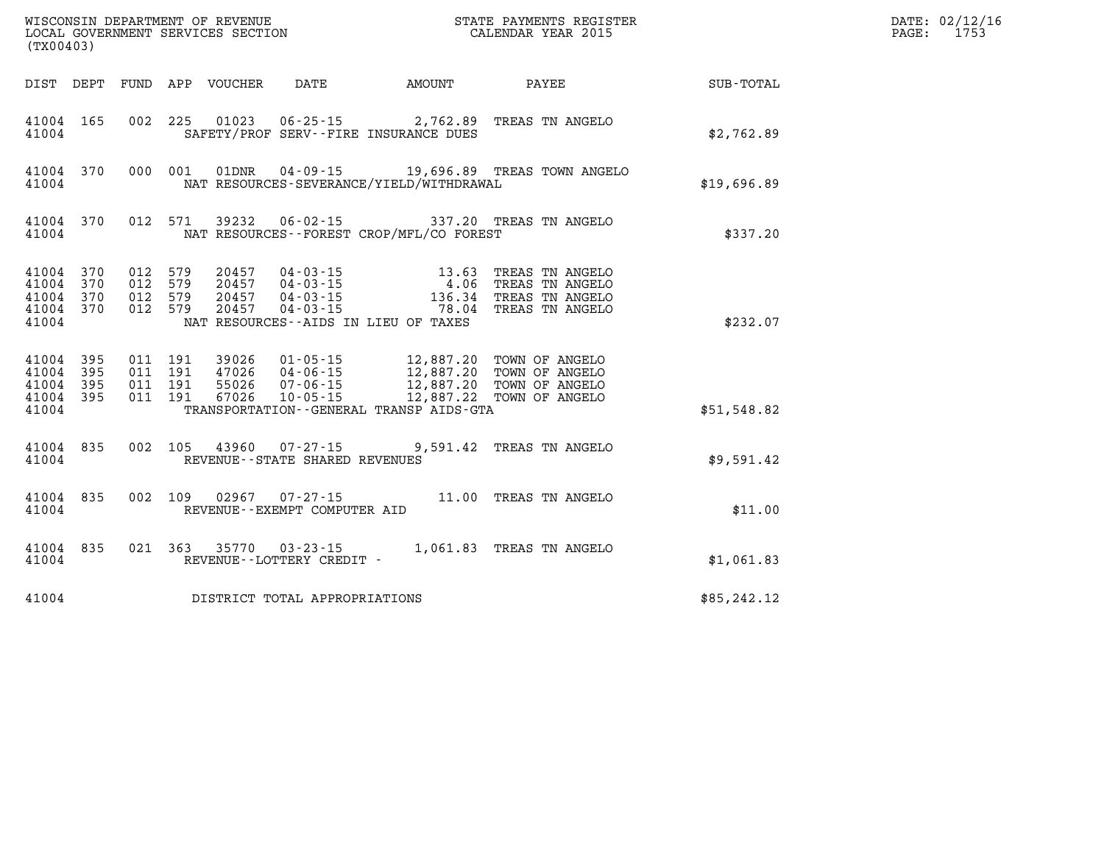| (TX00403)                                             |                  |                                          |         |                            |                                |                                          |                                                                                                                                                                                   |              | DATE: 02/12/16<br>1753<br>$\mathtt{PAGE:}$ |
|-------------------------------------------------------|------------------|------------------------------------------|---------|----------------------------|--------------------------------|------------------------------------------|-----------------------------------------------------------------------------------------------------------------------------------------------------------------------------------|--------------|--------------------------------------------|
|                                                       |                  |                                          |         | DIST DEPT FUND APP VOUCHER | DATE                           |                                          | AMOUNT PAYEE                                                                                                                                                                      | SUB-TOTAL    |                                            |
| 41004                                                 | 41004 165        |                                          |         |                            |                                | SAFETY/PROF SERV--FIRE INSURANCE DUES    | 002 225 01023 06-25-15 2,762.89 TREAS TN ANGELO                                                                                                                                   | \$2,762.89   |                                            |
| 41004                                                 | 41004 370        |                                          |         |                            |                                | NAT RESOURCES-SEVERANCE/YIELD/WITHDRAWAL | 000 001 01DNR 04-09-15 19,696.89 TREAS TOWN ANGELO                                                                                                                                | \$19,696.89  |                                            |
| 41004                                                 | 41004 370        |                                          |         |                            |                                | NAT RESOURCES--FOREST CROP/MFL/CO FOREST | 012 571 39232 06-02-15 337.20 TREAS TN ANGELO                                                                                                                                     | \$337.20     |                                            |
| 41004 370<br>41004<br>41004 370<br>41004              | 41004 370<br>370 | 012 579<br>012 579<br>012 579<br>012 579 |         |                            |                                | NAT RESOURCES--AIDS IN LIEU OF TAXES     |                                                                                                                                                                                   | \$232.07     |                                            |
| 41004 395<br>41004 395<br>41004<br>41004 395<br>41004 | 395              | 011 191<br>011 191<br>011 191            | 011 191 |                            |                                | TRANSPORTATION--GENERAL TRANSP AIDS-GTA  | 39026  01-05-15  12,887.20 TOWN OF ANGELO<br>47026  04-06-15  12,887.20 TOWN OF ANGELO<br>55026  07-06-15  12,887.20 TOWN OF ANGELO<br>67026  10-05-15  12,887.22  TOWN OF ANGELO | \$51,548.82  |                                            |
| 41004                                                 | 41004 835        |                                          |         |                            | REVENUE--STATE SHARED REVENUES |                                          | 002 105 43960 07-27-15 9,591.42 TREAS TN ANGELO                                                                                                                                   | \$9,591.42   |                                            |
| 41004 835<br>41004                                    |                  |                                          |         |                            | REVENUE--EXEMPT COMPUTER AID   |                                          | 002 109 02967 07-27-15 11.00 TREAS TN ANGELO                                                                                                                                      | \$11.00      |                                            |
| 41004                                                 | 41004 835        |                                          |         |                            | REVENUE - - LOTTERY CREDIT -   |                                          | 021 363 35770 03-23-15 1,061.83 TREAS TN ANGELO                                                                                                                                   | \$1,061.83   |                                            |
| 41004                                                 |                  |                                          |         |                            | DISTRICT TOTAL APPROPRIATIONS  |                                          |                                                                                                                                                                                   | \$85, 242.12 |                                            |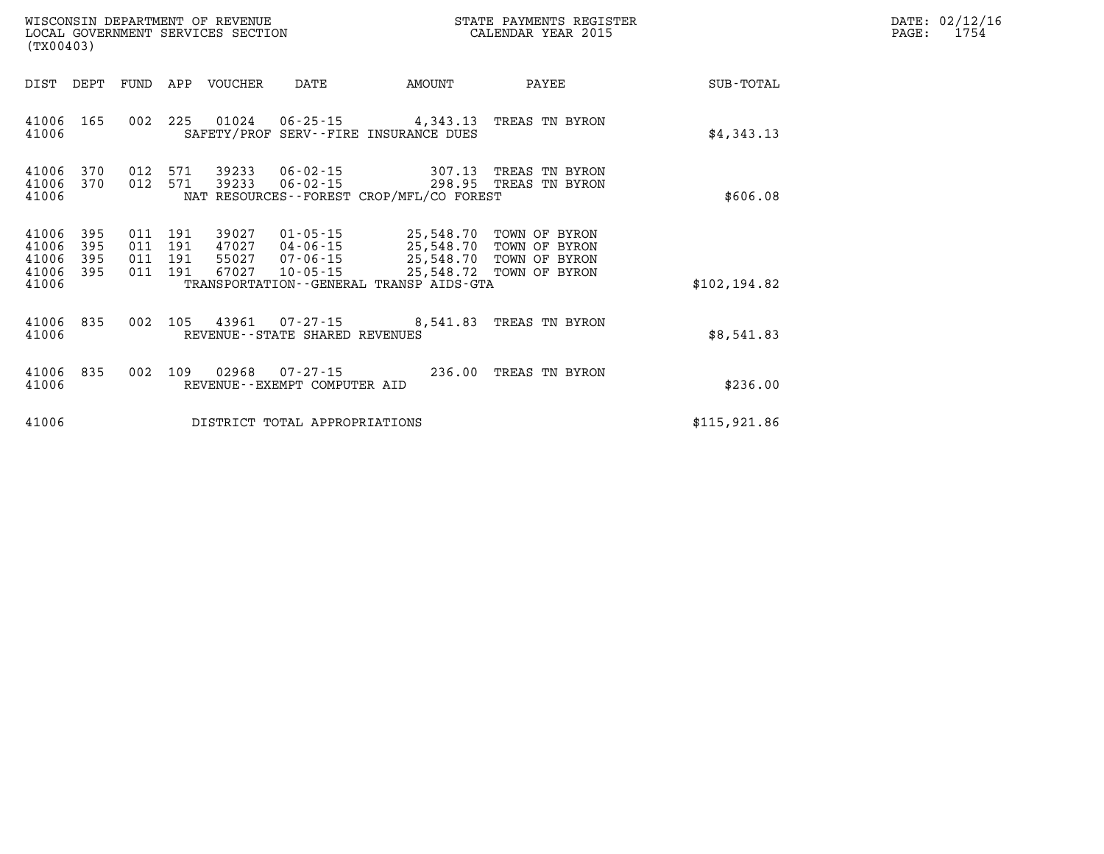| DATE: | 02/12/16 |
|-------|----------|
| PAGE: | 1754     |

|                                  | LOCAL GOVERNMENT SERVICES SECTION<br>(TX00403) |            |                                  |                                  | CALENDAR YEAR 2015                                       |                                                                               | PAGE:                                          | 1754          |  |  |
|----------------------------------|------------------------------------------------|------------|----------------------------------|----------------------------------|----------------------------------------------------------|-------------------------------------------------------------------------------|------------------------------------------------|---------------|--|--|
| DIST                             | DEPT                                           | FUND       |                                  | APP VOUCHER                      | DATE                                                     | AMOUNT                                                                        | PAYEE                                          | SUB-TOTAL     |  |  |
| 41006 165<br>41006               |                                                | 002        | 225                              | 01024                            |                                                          | 06-25-15 4,343.13 TREAS TN BYRON<br>SAFETY/PROF SERV--FIRE INSURANCE DUES     |                                                | \$4,343.13    |  |  |
| 41006<br>41006 370<br>41006      | 370                                            | 012<br>012 | 571<br>571                       | 39233<br>39233                   | $06 - 02 - 15$<br>$06 - 02 - 15$                         | NAT RESOURCES - - FOREST CROP/MFL/CO FOREST                                   | 307.13 TREAS TN BYRON<br>298.95 TREAS TN BYRON | \$606.08      |  |  |
| 41006<br>41006<br>41006<br>41006 | 395<br>395<br>395<br>395                       | 011<br>011 | 191<br>191<br>011 191<br>011 191 | 39027<br>47027<br>55027<br>67027 | $01 - 05 - 15$<br>04-06-15<br>07-06-15<br>$10 - 05 - 15$ | 25,548.70 TOWN OF BYRON<br>25,548.70 TOWN OF BYRON<br>25,548.70 TOWN OF BYRON |                                                |               |  |  |
| 41006                            |                                                |            |                                  |                                  |                                                          | 25,548.72 TOWN OF BYRON<br>TRANSPORTATION--GENERAL TRANSP AIDS-GTA            |                                                | \$102, 194.82 |  |  |
| 41006 835<br>41006               |                                                | 002        | 105                              |                                  | REVENUE--STATE SHARED REVENUES                           | 43961  07-27-15  8,541.83  TREAS TN BYRON                                     |                                                | \$8,541.83    |  |  |
| 41006 835<br>41006               |                                                | 002        | 109                              | 02968                            | 07-27-15<br>REVENUE - - EXEMPT COMPUTER AID              | 236.00                                                                        | TREAS TN BYRON                                 | \$236.00      |  |  |
| 41006                            |                                                |            |                                  |                                  | DISTRICT TOTAL APPROPRIATIONS                            |                                                                               |                                                | \$115,921.86  |  |  |

WISCONSIN DEPARTMENT OF REVENUE **STATE PAYMENTS REGISTER**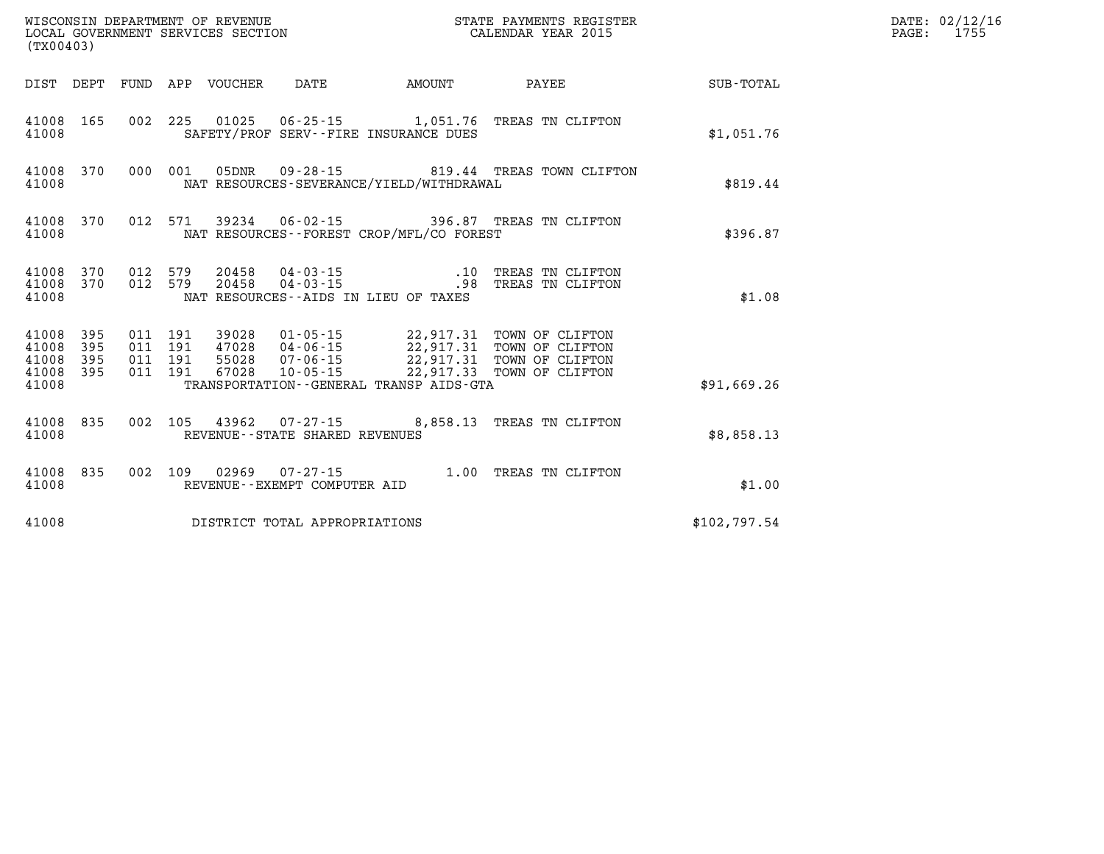| ${\tt WISCONSIM\ DEPARTMENT\ OF\ REVENUE}\qquad \qquad {\tt STATE\ PAYMENTS\ REGISTER}\nonumber\\ {\tt LOCAL\ GOVERNMENT\ SERVICES\ SECTION}\qquad \qquad {\tt CALENDAR\ YEAR\ 2015}$<br>(TX00403) |              |  |  |  |                                |                                          |                                                                                                             |              | DATE: 02/12/16<br>PAGE: 1755 |
|----------------------------------------------------------------------------------------------------------------------------------------------------------------------------------------------------|--------------|--|--|--|--------------------------------|------------------------------------------|-------------------------------------------------------------------------------------------------------------|--------------|------------------------------|
|                                                                                                                                                                                                    |              |  |  |  |                                | DIST DEPT FUND APP VOUCHER DATE AMOUNT   | PAYEE SUB-TOTAL                                                                                             |              |                              |
| 41008                                                                                                                                                                                              |              |  |  |  |                                | SAFETY/PROF SERV--FIRE INSURANCE DUES    | 41008 165 002 225 01025 06-25-15 1,051.76 TREAS TN CLIFTON                                                  | \$1,051.76   |                              |
| 41008                                                                                                                                                                                              |              |  |  |  |                                | NAT RESOURCES-SEVERANCE/YIELD/WITHDRAWAL | 41008 370 000 001 05DNR 09-28-15 819.44 TREAS TOWN CLIFTON                                                  | \$819.44     |                              |
| 41008                                                                                                                                                                                              |              |  |  |  |                                | NAT RESOURCES--FOREST CROP/MFL/CO FOREST | 41008 370 012 571 39234 06-02-15 396.87 TREAS TN CLIFTON                                                    | \$396.87     |                              |
| 41008                                                                                                                                                                                              |              |  |  |  |                                | NAT RESOURCES--AIDS IN LIEU OF TAXES     | 41008 370 012 579 20458 04-03-15 .10 TREAS TN CLIFTON 41008 370 012 579 20458 04-03-15 .98 TREAS TN CLIFTON | \$1.08       |                              |
| 41008<br>41008<br>41008 395<br>41008 395                                                                                                                                                           | - 395<br>395 |  |  |  |                                |                                          |                                                                                                             |              |                              |
| 41008                                                                                                                                                                                              |              |  |  |  |                                | TRANSPORTATION--GENERAL TRANSP AIDS-GTA  |                                                                                                             | \$91,669.26  |                              |
| 41008                                                                                                                                                                                              |              |  |  |  | REVENUE--STATE SHARED REVENUES |                                          | 41008 835 002 105 43962 07-27-15 8,858.13 TREAS TN CLIFTON                                                  | \$8,858.13   |                              |
| 41008 835<br>41008                                                                                                                                                                                 |              |  |  |  | REVENUE--EXEMPT COMPUTER AID   |                                          | 002 109 02969 07-27-15 1.00 TREAS TN CLIFTON                                                                | \$1.00       |                              |
| 41008                                                                                                                                                                                              |              |  |  |  | DISTRICT TOTAL APPROPRIATIONS  |                                          |                                                                                                             | \$102,797.54 |                              |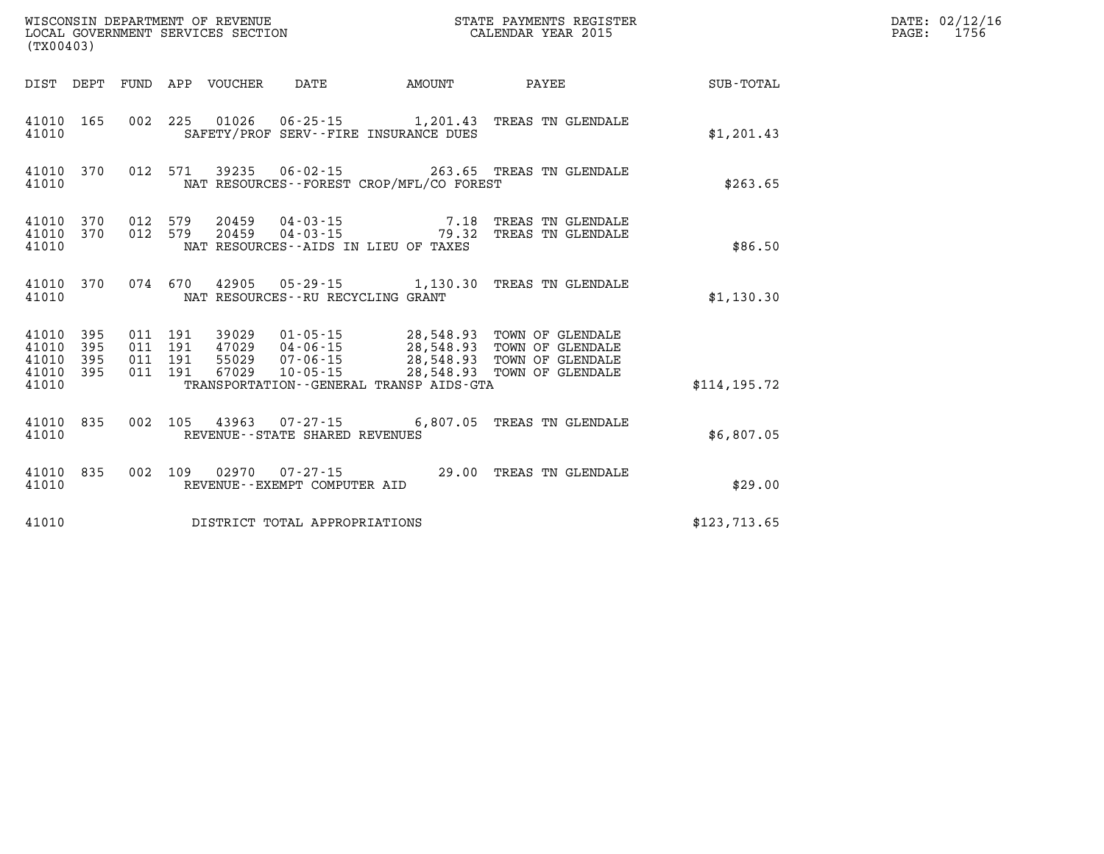| % WISCONSIN DEPARTMENT OF REVENUE $$\tt SCATE$ PAYMENTS REGIST LOCAL GOVERNMENT SERVICES SECTION $$\tt CALEINDAR$ YEAR 2015<br>(TX00403) |            |                                          |  |                            |                                      |                                          | STATE PAYMENTS REGISTER                                                                                                                                                                      |               | DATE: 02/12/16<br>PAGE:<br>1756 |
|------------------------------------------------------------------------------------------------------------------------------------------|------------|------------------------------------------|--|----------------------------|--------------------------------------|------------------------------------------|----------------------------------------------------------------------------------------------------------------------------------------------------------------------------------------------|---------------|---------------------------------|
|                                                                                                                                          |            |                                          |  | DIST DEPT FUND APP VOUCHER | DATE                                 | <b>AMOUNT</b>                            | <b>PAYEE</b>                                                                                                                                                                                 | SUB-TOTAL     |                                 |
| 41010 165<br>41010                                                                                                                       |            |                                          |  |                            |                                      | SAFETY/PROF SERV--FIRE INSURANCE DUES    | 002 225 01026 06-25-15 1,201.43 TREAS TN GLENDALE                                                                                                                                            | \$1,201.43    |                                 |
| 41010                                                                                                                                    | 41010 370  |                                          |  |                            |                                      | NAT RESOURCES--FOREST CROP/MFL/CO FOREST | 012 571 39235 06-02-15 263.65 TREAS TN GLENDALE                                                                                                                                              | \$263.65      |                                 |
| 41010 370<br>41010                                                                                                                       | 41010 370  | 012 579<br>012 579                       |  |                            |                                      | NAT RESOURCES--AIDS IN LIEU OF TAXES     |                                                                                                                                                                                              | \$86.50       |                                 |
| 41010                                                                                                                                    | 41010 370  |                                          |  |                            | NAT RESOURCES - - RU RECYCLING GRANT |                                          | 074 670 42905 05-29-15 1,130.30 TREAS TN GLENDALE                                                                                                                                            | \$1,130.30    |                                 |
| 41010<br>41010<br>41010 395<br>41010 395<br>41010                                                                                        | 395<br>395 | 011 191<br>011 191<br>011 191<br>011 191 |  |                            |                                      | TRANSPORTATION--GENERAL TRANSP AIDS-GTA  | 39029  01-05-15  28,548.93  TOWN OF GLENDALE<br>47029  04-06-15  28,548.93  TOWN OF GLENDALE<br>55029  07-06-15  28,548.93  TOWN OF GLENDALE<br>67029  10-05-15  28,548.93  TOWN OF GLENDALE | \$114, 195.72 |                                 |
| 41010 835<br>41010                                                                                                                       |            | 002                                      |  |                            | REVENUE - - STATE SHARED REVENUES    |                                          | $105$ 43963 07-27-15 6,807.05 TREAS TN GLENDALE                                                                                                                                              | \$6,807.05    |                                 |
| 41010 835<br>41010                                                                                                                       |            | 002 109                                  |  |                            | REVENUE--EXEMPT COMPUTER AID         |                                          | 29.00 TREAS TN GLENDALE                                                                                                                                                                      | \$29.00       |                                 |
| 41010                                                                                                                                    |            |                                          |  |                            | DISTRICT TOTAL APPROPRIATIONS        |                                          |                                                                                                                                                                                              | \$123,713.65  |                                 |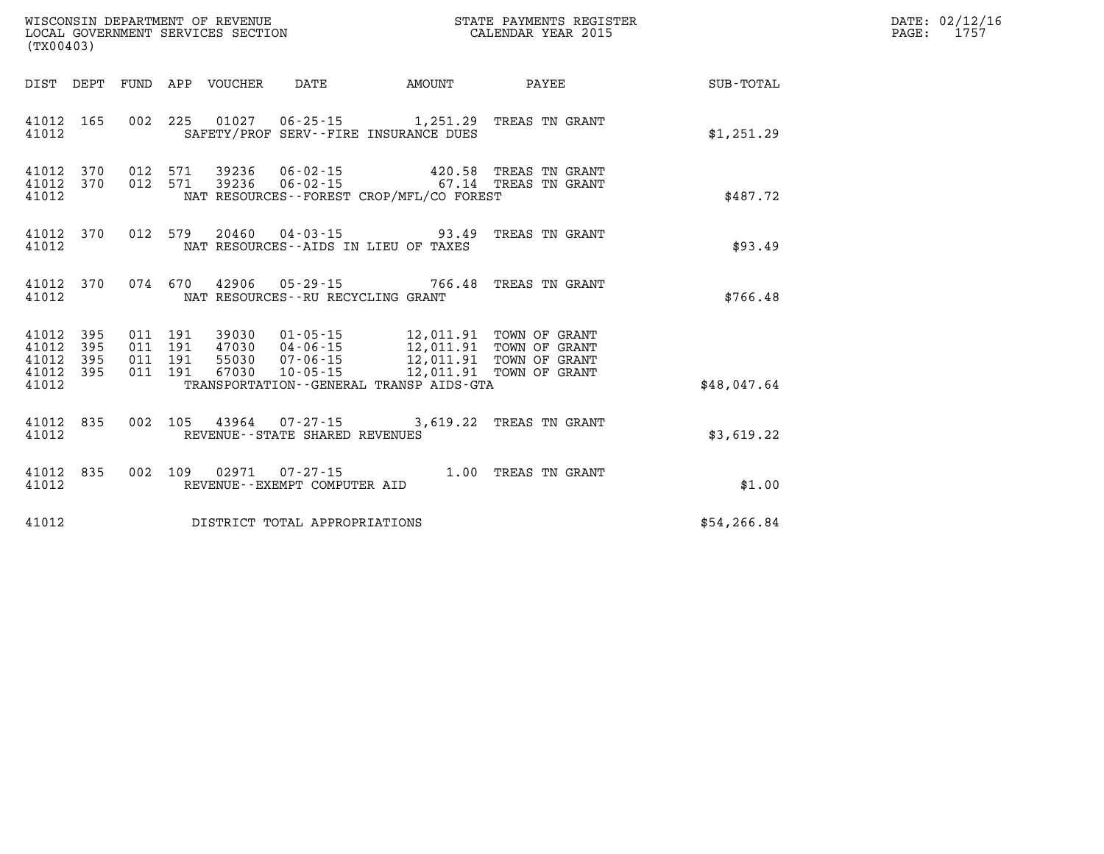| (TX00403)                                    |           |                                          |                            | WISCONSIN DEFARTMENT OF REVENUE<br>LOCAL GOVERNMENT SERVICES SECTION<br>(TX00403) | STATE PAYMENTS REGISTER<br>CALENDAR YEAR 2015                                                                                                                           |                                                                                   |              | DATE: 02/12/16<br>$\mathtt{PAGE}$ :<br>1757 |
|----------------------------------------------|-----------|------------------------------------------|----------------------------|-----------------------------------------------------------------------------------|-------------------------------------------------------------------------------------------------------------------------------------------------------------------------|-----------------------------------------------------------------------------------|--------------|---------------------------------------------|
|                                              |           |                                          | DIST DEPT FUND APP VOUCHER | DATE                                                                              | <b>AMOUNT</b>                                                                                                                                                           | PAYEE                                                                             | SUB-TOTAL    |                                             |
| 41012                                        | 41012 165 |                                          |                            |                                                                                   | SAFETY/PROF SERV--FIRE INSURANCE DUES                                                                                                                                   | 002 225 01027 06-25-15 1,251.29 TREAS TN GRANT                                    | \$1,251.29   |                                             |
| 41012 370<br>41012                           | 41012 370 | 012 571<br>012 571                       |                            |                                                                                   | NAT RESOURCES - - FOREST CROP/MFL/CO FOREST                                                                                                                             | 39236  06-02-15  420.58  TREAS TN GRANT<br>39236  06-02-15  67.14  TREAS TN GRANT | \$487.72     |                                             |
| 41012                                        | 41012 370 |                                          |                            | 012 579 20460 04-03-15                                                            | NAT RESOURCES--AIDS IN LIEU OF TAXES                                                                                                                                    | 93.49 TREAS TN GRANT                                                              | \$93.49      |                                             |
| 41012                                        | 41012 370 |                                          |                            | NAT RESOURCES - - RU RECYCLING GRANT                                              |                                                                                                                                                                         | 074 670 42906 05-29-15 766.48 TREAS TN GRANT                                      | \$766.48     |                                             |
| 41012 395<br>41012<br>41012 395<br>41012 395 | - 395     | 011 191<br>011 191<br>011 191<br>011 191 | 67030                      | 47030  04-06-15                                                                   | 39030  01-05-15  12,011.91  TOWN OF GRANT<br>47030  04-06-15  12,011.91  TOWN OF GRANT<br>55030  07-06-15  12,011.91  TOWN OF GRANT<br>10-05-15 12,011.91 TOWN OF GRANT |                                                                                   |              |                                             |
| 41012                                        |           |                                          |                            |                                                                                   | TRANSPORTATION - - GENERAL TRANSP AIDS - GTA                                                                                                                            |                                                                                   | \$48,047.64  |                                             |
| 41012 835<br>41012                           |           |                                          |                            | REVENUE - - STATE SHARED REVENUES                                                 |                                                                                                                                                                         | 002 105 43964 07-27-15 3,619.22 TREAS TN GRANT                                    | \$3,619.22   |                                             |
| 41012 835<br>41012                           |           |                                          |                            | 002 109 02971 07-27-15<br>REVENUE--EXEMPT COMPUTER AID                            |                                                                                                                                                                         | 1.00 TREAS TN GRANT                                                               | \$1.00       |                                             |
| 41012                                        |           |                                          |                            | DISTRICT TOTAL APPROPRIATIONS                                                     |                                                                                                                                                                         |                                                                                   | \$54, 266.84 |                                             |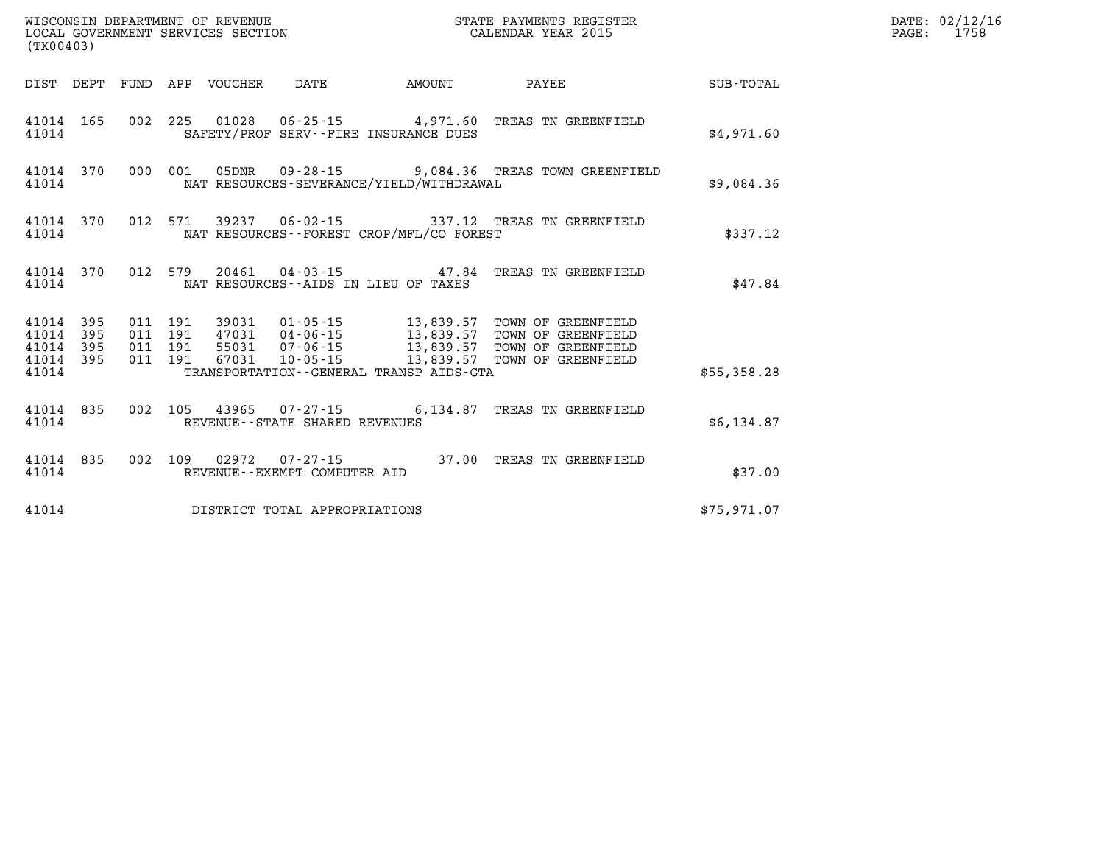| (TX00403)                                 |                          |                          |                          | WISCONSIN DEPARTMENT OF REVENUE<br>LOCAL GOVERNMENT SERVICES SECTION |                                                                    | STATE PAYMENTS REGISTER<br>CALENDAR YEAR 2015                          |                                                                                                          |             |  |  |
|-------------------------------------------|--------------------------|--------------------------|--------------------------|----------------------------------------------------------------------|--------------------------------------------------------------------|------------------------------------------------------------------------|----------------------------------------------------------------------------------------------------------|-------------|--|--|
| DIST                                      | DEPT                     | FUND                     | APP                      | VOUCHER                                                              | DATE                                                               | AMOUNT                                                                 | PAYEE                                                                                                    | SUB-TOTAL   |  |  |
| 41014<br>41014                            | 165                      | 002                      | 225                      |                                                                      |                                                                    | $01028$ $06-25-15$ 4,971.60<br>SAFETY/PROF SERV--FIRE INSURANCE DUES   | TREAS TN GREENFIELD                                                                                      | \$4,971.60  |  |  |
| 41014<br>41014                            | 370                      | 000                      | 001                      | 05DNR                                                                | $09 - 28 - 15$                                                     | NAT RESOURCES-SEVERANCE/YIELD/WITHDRAWAL                               | 9,084.36 TREAS TOWN GREENFIELD                                                                           | \$9,084.36  |  |  |
| 41014<br>41014                            | 370                      | 012                      | 571                      |                                                                      |                                                                    | NAT RESOURCES - - FOREST CROP/MFL/CO FOREST                            |                                                                                                          | \$337.12    |  |  |
| 41014<br>41014                            | 370                      | 012                      | 579                      |                                                                      |                                                                    | 20461 04-03-15 47.84<br>NAT RESOURCES -- AIDS IN LIEU OF TAXES         | TREAS TN GREENFIELD                                                                                      | \$47.84     |  |  |
| 41014<br>41014<br>41014<br>41014<br>41014 | 395<br>395<br>395<br>395 | 011<br>011<br>011<br>011 | 191<br>191<br>191<br>191 | 39031<br>55031<br>67031                                              | $01 - 05 - 15$<br>$47031$ $04-06-15$<br>$07 - 06 - 15$<br>10-05-15 | 13,839.57<br>13,839.57<br>TRANSPORTATION - - GENERAL TRANSP AIDS - GTA | 13,839.57 TOWN OF GREENFIELD<br>13,839.57 TOWN OF GREENFIELD<br>TOWN OF GREENFIELD<br>TOWN OF GREENFIELD | \$55,358.28 |  |  |
| 41014<br>41014                            | 835                      | 002                      | 105                      | 43965                                                                | REVENUE - - STATE SHARED REVENUES                                  |                                                                        | 07-27-15 6,134.87 TREAS TN GREENFIELD                                                                    | \$6,134.87  |  |  |
| 41014<br>41014                            | 835                      | 002                      | 109                      | 02972                                                                | REVENUE--EXEMPT COMPUTER AID                                       | $07 - 27 - 15$ 37.00                                                   | TREAS TN GREENFIELD                                                                                      | \$37.00     |  |  |
| 41014                                     |                          |                          |                          |                                                                      | DISTRICT TOTAL APPROPRIATIONS                                      |                                                                        |                                                                                                          | \$75,971.07 |  |  |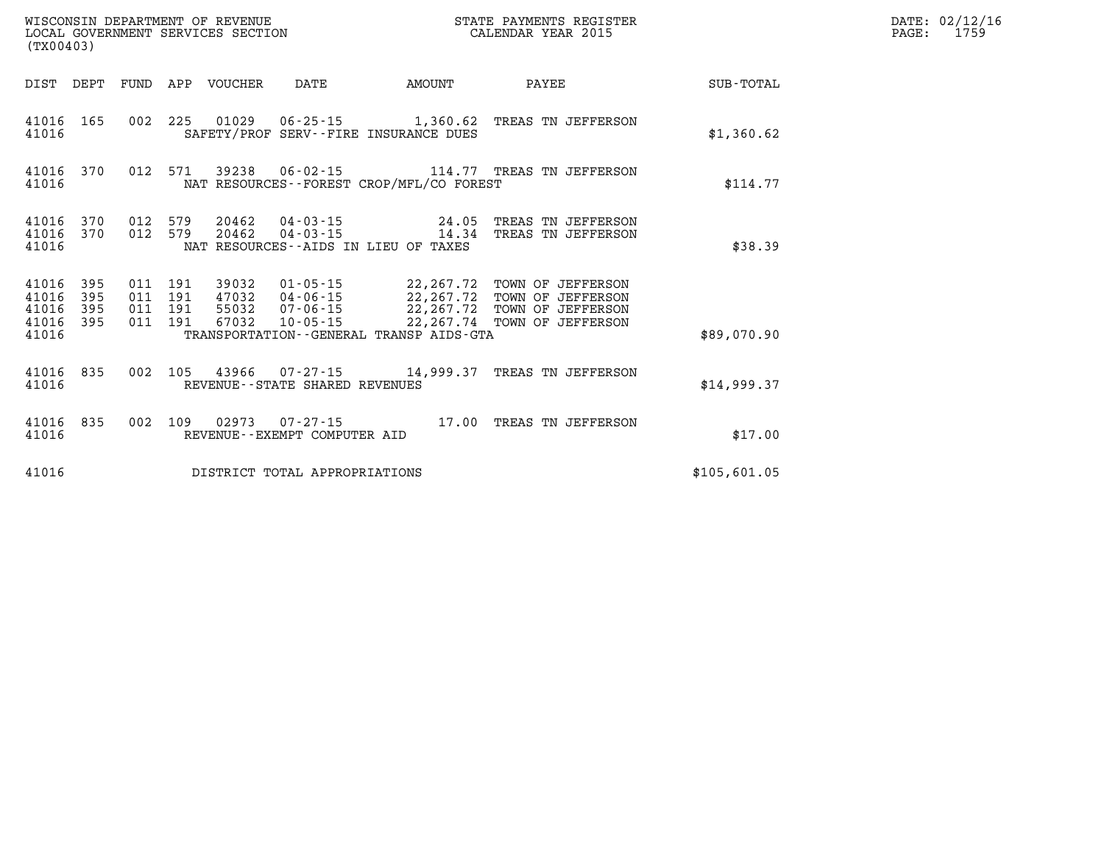| (TX00403)                        |                          |                          |                          | WISCONSIN DEPARTMENT OF REVENUE<br>LOCAL GOVERNMENT SERVICES SECTION |                                                     | STATE PAYMENTS REGISTER<br>CALENDAR YEAR 2015            |                                                                                  |                  |  |  |
|----------------------------------|--------------------------|--------------------------|--------------------------|----------------------------------------------------------------------|-----------------------------------------------------|----------------------------------------------------------|----------------------------------------------------------------------------------|------------------|--|--|
| DIST                             | DEPT                     | FUND                     | APP                      | VOUCHER                                                              | DATE                                                | <b>AMOUNT</b>                                            | PAYEE                                                                            | <b>SUB-TOTAL</b> |  |  |
| 41016<br>41016                   | 165                      | 002                      | 225                      |                                                                      | $01029$ $06-25-15$                                  | SAFETY/PROF SERV--FIRE INSURANCE DUES                    | 1,360.62 TREAS TN JEFFERSON                                                      | \$1,360.62       |  |  |
| 41016<br>41016                   | 370                      | 012                      | 571                      | 39238                                                                | $06 - 02 - 15$                                      | NAT RESOURCES - - FOREST CROP/MFL/CO FOREST              | 114.77 TREAS TN JEFFERSON                                                        | \$114.77         |  |  |
| 41016<br>41016<br>41016          | 370<br>370               | 012<br>012               | 579<br>579               | 20462<br>20462                                                       | 04-03-15<br>$04 - 03 - 15$                          | 24.05<br>14.34<br>NAT RESOURCES -- AIDS IN LIEU OF TAXES | TREAS TN JEFFERSON<br>TREAS TN JEFFERSON                                         | \$38.39          |  |  |
| 41016<br>41016<br>41016<br>41016 | 395<br>395<br>395<br>395 | 011<br>011<br>011<br>011 | 191<br>191<br>191<br>191 | 39032<br>47032<br>55032<br>67032                                     | 01-05-15<br>$04 - 06 - 15$<br>07-06-15              | 22,267.72                                                | 22,267.72 TOWN OF JEFFERSON<br>22, 267.72 TOWN OF JEFFERSON<br>TOWN OF JEFFERSON |                  |  |  |
| 41016                            |                          |                          |                          |                                                                      | $10 - 05 - 15$                                      | 22,267.74<br>TRANSPORTATION--GENERAL TRANSP AIDS-GTA     | TOWN OF JEFFERSON                                                                | \$89,070.90      |  |  |
| 41016<br>41016                   | 835                      | 002                      | 105                      | 43966                                                                | $07 - 27 - 15$<br>REVENUE - - STATE SHARED REVENUES | 14,999.37                                                | TREAS TN JEFFERSON                                                               | \$14,999.37      |  |  |
| 41016<br>41016                   | 835                      | 002                      | 109                      | 02973                                                                | $07 - 27 - 15$<br>REVENUE - - EXEMPT COMPUTER AID   | 17.00                                                    | TREAS TN JEFFERSON                                                               | \$17.00          |  |  |
| 41016                            |                          |                          |                          |                                                                      | DISTRICT TOTAL APPROPRIATIONS                       |                                                          |                                                                                  | \$105,601.05     |  |  |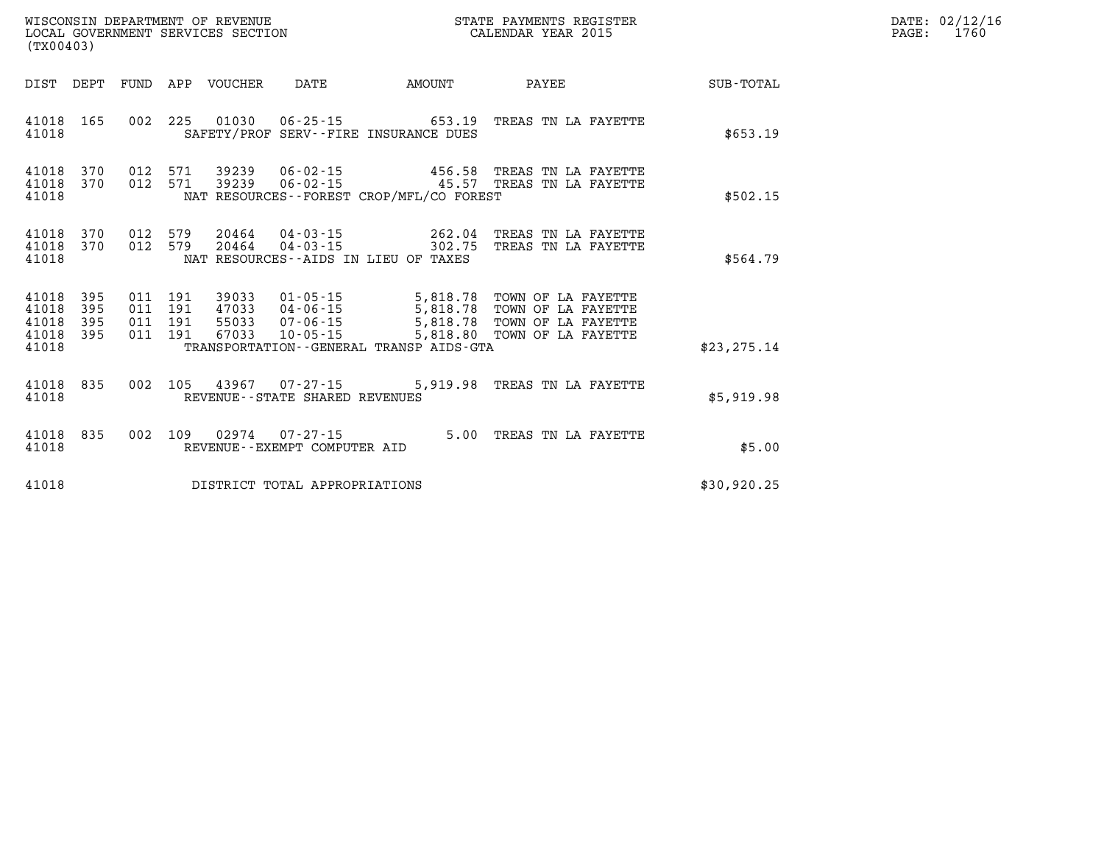| (TX00403) |                                               |                   |                       |                       |                                  |                                |                                             | STATE PAYMENTS REGISTER                                                                                                                                      |              | DATE: 02/12/16<br>$\mathtt{PAGE:}$<br>1760 |
|-----------|-----------------------------------------------|-------------------|-----------------------|-----------------------|----------------------------------|--------------------------------|---------------------------------------------|--------------------------------------------------------------------------------------------------------------------------------------------------------------|--------------|--------------------------------------------|
|           |                                               |                   |                       |                       | DIST DEPT FUND APP VOUCHER DATE  |                                | <b>AMOUNT</b>                               | <b>PAYEE</b>                                                                                                                                                 | SUB-TOTAL    |                                            |
|           | 41018 165<br>41018                            |                   |                       |                       |                                  |                                | SAFETY/PROF SERV--FIRE INSURANCE DUES       | 002 225 01030 06-25-15 653.19 TREAS TN LA FAYETTE                                                                                                            | \$653.19     |                                            |
|           | 41018 370<br>41018 370<br>41018               |                   |                       | 012 571<br>012 571    |                                  |                                | NAT RESOURCES - - FOREST CROP/MFL/CO FOREST | 39239   06-02-15   456.58   TREAS TN LA FAYETTE<br>39239   06-02-15   45.57   TREAS TN LA FAYETTE                                                            | \$502.15     |                                            |
|           | 41018 370<br>41018 370<br>41018               |                   |                       | 012 579<br>012 579    | 20464                            |                                | NAT RESOURCES--AIDS IN LIEU OF TAXES        | 04-03-15  262.04 TREAS TN LA FAYETTE<br>20464  04-03-15  302.75  TREAS TN LA FAYETTE                                                                         | \$564.79     |                                            |
|           | 41018<br>41018<br>41018<br>41018 395<br>41018 | 395<br>395<br>395 | 011 191<br>011<br>011 | 191<br>011 191<br>191 | 39033<br>47033<br>55033<br>67033 |                                | TRANSPORTATION--GENERAL TRANSP AIDS-GTA     | 01-05-15 5,818.78 TOWN OF LA FAYETTE<br>04-06-15 5,818.78 TOWN OF LA FAYETTE<br>07-06-15 5,818.78 TOWN OF LA FAYETTE<br>10-05-15 5,818.80 TOWN OF LA FAYETTE | \$23, 275.14 |                                            |
|           | 41018 835<br>41018                            |                   |                       |                       |                                  | REVENUE--STATE SHARED REVENUES |                                             | 002 105 43967 07-27-15 5,919.98 TREAS TN LA FAYETTE                                                                                                          | \$5,919.98   |                                            |
|           | 41018 835<br>41018                            |                   |                       |                       |                                  | REVENUE--EXEMPT COMPUTER AID   |                                             | 002 109 02974 07-27-15 5.00 TREAS TN LA FAYETTE                                                                                                              | \$5.00       |                                            |
|           | 41018                                         |                   |                       |                       |                                  | DISTRICT TOTAL APPROPRIATIONS  |                                             |                                                                                                                                                              | \$30,920.25  |                                            |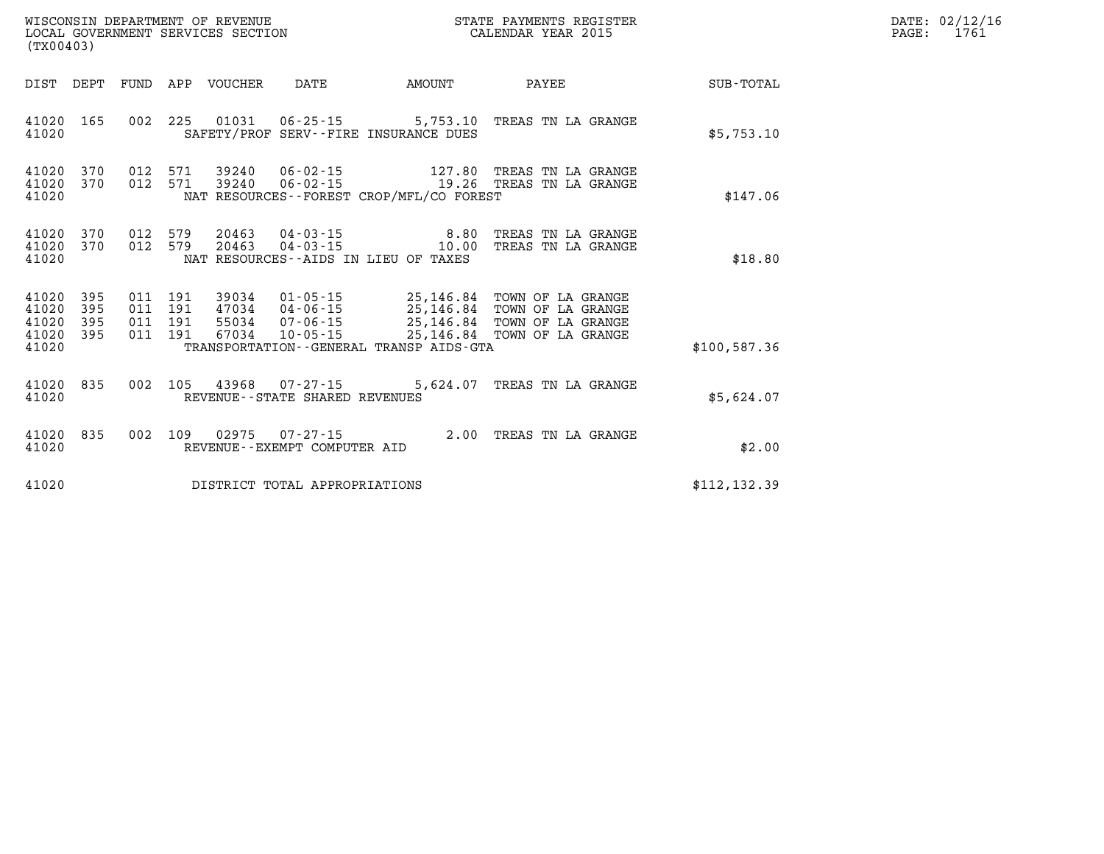| (TX00403)                                 |                          |                          |                          | WISCONSIN DEPARTMENT OF REVENUE<br>LOCAL GOVERNMENT SERVICES SECTION |                                                                    | STATE PAYMENTS REGISTER<br>CALENDAR YEAR 2015                                                    |                                                                                  |               |  |  |
|-------------------------------------------|--------------------------|--------------------------|--------------------------|----------------------------------------------------------------------|--------------------------------------------------------------------|--------------------------------------------------------------------------------------------------|----------------------------------------------------------------------------------|---------------|--|--|
| DIST                                      | DEPT                     | FUND                     | APP                      | VOUCHER                                                              | DATE                                                               | AMOUNT                                                                                           | PAYEE                                                                            | SUB-TOTAL     |  |  |
| 41020<br>41020                            | 165                      | 002                      | 225                      |                                                                      |                                                                    | SAFETY/PROF SERV--FIRE INSURANCE DUES                                                            | 5,753.10 TREAS TN LA GRANGE                                                      | \$5,753.10    |  |  |
| 41020<br>41020<br>41020                   | 370<br>370               | 012<br>012               | 571<br>571               | 39240<br>39240                                                       | $06 - 02 - 15$<br>06-02-15                                         | 127.80<br>19.26<br>NAT RESOURCES - - FOREST CROP/MFL/CO FOREST                                   | TREAS TN LA GRANGE<br>TREAS TN LA GRANGE                                         | \$147.06      |  |  |
| 41020<br>41020<br>41020                   | 370<br>370               | 012<br>012               | 579<br>579               | 20463<br>20463                                                       | $04 - 03 - 15$<br>04-03-15<br>NAT RESOURCES--AIDS IN LIEU OF TAXES | 8.80<br>10.00                                                                                    | TREAS TN LA GRANGE<br>TREAS TN LA GRANGE                                         | \$18.80       |  |  |
| 41020<br>41020<br>41020<br>41020<br>41020 | 395<br>395<br>395<br>395 | 011<br>011<br>011<br>011 | 191<br>191<br>191<br>191 | 39034<br>47034<br>55034<br>67034                                     | 01-05-15<br>$04 - 06 - 15$<br>$07 - 06 - 15$<br>$10 - 05 - 15$     | 25,146.84<br>25,146.84<br>25,146.84<br>25,146.84<br>TRANSPORTATION - - GENERAL TRANSP AIDS - GTA | TOWN OF LA GRANGE<br>TOWN OF LA GRANGE<br>TOWN OF LA GRANGE<br>TOWN OF LA GRANGE | \$100,587.36  |  |  |
| 41020<br>41020                            | 835                      | 002                      | 105                      | 43968                                                                | $07 - 27 - 15$<br>REVENUE--STATE SHARED REVENUES                   | 5,624.07                                                                                         | TREAS TN LA GRANGE                                                               | \$5,624.07    |  |  |
| 41020<br>41020                            | 835                      | 002                      | 109                      | 02975                                                                | $07 - 27 - 15$<br>REVENUE - - EXEMPT COMPUTER AID                  | 2.00                                                                                             | TREAS TN LA GRANGE                                                               | \$2.00        |  |  |
| 41020                                     |                          |                          |                          |                                                                      | DISTRICT TOTAL APPROPRIATIONS                                      |                                                                                                  |                                                                                  | \$112, 132.39 |  |  |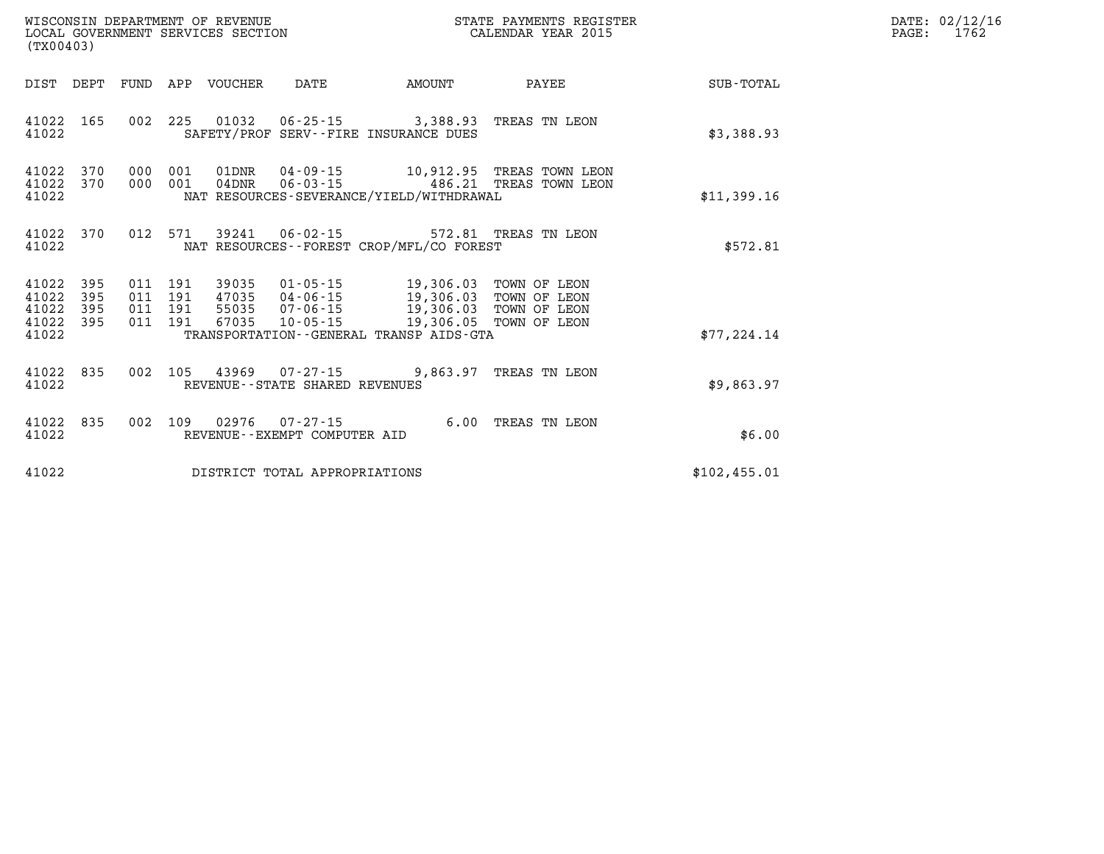| WISCONSIN DEPARTMENT OF REVENUE<br>(TX00403)                    |                    |       | LOCAL GOVERNMENT SERVICES SECTION                                                                                                                                                                                                   |                                       | STATE PAYMENTS REGISTER<br>CALENDAR YEAR 2015 |              | DATE: 02/12/16<br>PAGE: 1762 |
|-----------------------------------------------------------------|--------------------|-------|-------------------------------------------------------------------------------------------------------------------------------------------------------------------------------------------------------------------------------------|---------------------------------------|-----------------------------------------------|--------------|------------------------------|
| DIST DEPT FUND APP VOUCHER                                      |                    |       | DATE                                                                                                                                                                                                                                | <b>EXAMPLE THE PROPERTY OF AMOUNT</b> | PAYEE                                         | SUB-TOTAL    |                              |
| 41022                                                           |                    |       | 41022 165 002 225 01032 06-25-15 3,388.93 TREAS TN LEON<br>SAFETY/PROF SERV--FIRE INSURANCE DUES                                                                                                                                    |                                       |                                               | \$3,388.93   |                              |
| 41022 370<br>41022 370<br>41022                                 | 000 001            | 01DNR | 000 001 04DNR 06-03-15 486.21 TREAS TOWN LEON<br>NAT RESOURCES-SEVERANCE/YIELD/WITHDRAWAL                                                                                                                                           |                                       | 04-09-15 10,912.95 TREAS TOWN LEON            | \$11,399.16  |                              |
| 41022 370<br>41022                                              |                    |       | 012 571 39241 06-02-15 572.81 TREAS TN LEON<br>NAT RESOURCES - - FOREST CROP/MFL/CO FOREST                                                                                                                                          |                                       |                                               | \$572.81     |                              |
| 41022 395<br>395<br>41022<br>395<br>41022<br>41022 395<br>41022 | 011 191<br>011 191 |       | 39035 01-05-15 19,306.03 TOWN OF LEON<br>011 191 47035 04-06-15 19,306.03 TOWN OF LEON<br>011 191 55035 07-06-15 19,306.03 TOWN OF LEON<br>011 191 67035 10-05-15 19,306.03 TOWN OF LEON<br>TRANSPORTATION--GENERAL TRANSP AIDS-GTA |                                       |                                               | \$77,224.14  |                              |
| 41022 835<br>41022                                              |                    |       | 002 105 43969 07-27-15 9,863.97 TREAS TN LEON<br>REVENUE--STATE SHARED REVENUES                                                                                                                                                     |                                       |                                               | \$9,863.97   |                              |
| 41022 835<br>41022                                              |                    |       | 002 109 02976 07-27-15 6.00 TREAS TN LEON<br>REVENUE--EXEMPT COMPUTER AID                                                                                                                                                           |                                       |                                               | \$6.00       |                              |
| 41022                                                           |                    |       | DISTRICT TOTAL APPROPRIATIONS                                                                                                                                                                                                       |                                       |                                               | \$102,455.01 |                              |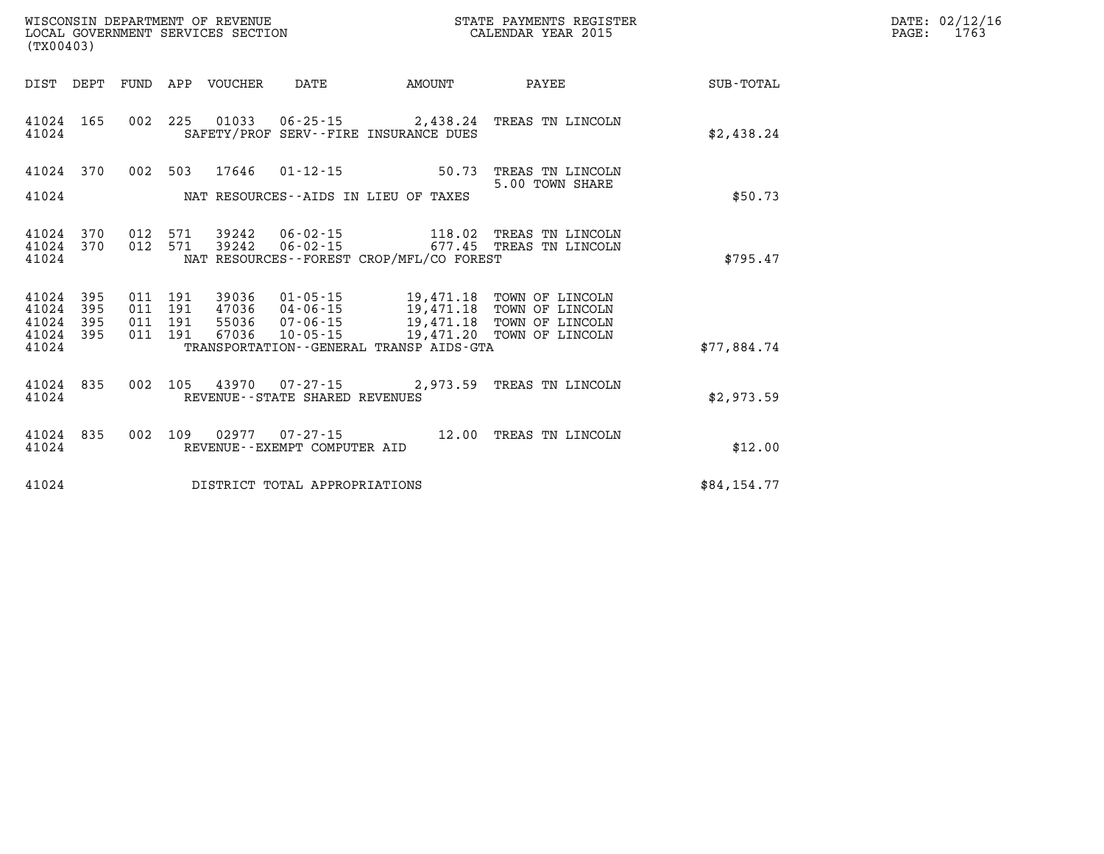| WISCONSIN DEPARTMENT OF REVENUE   | STATE PAYMENTS REGISTER | DATE: 02/12/16 |
|-----------------------------------|-------------------------|----------------|
| LOCAL GOVERNMENT SERVICES SECTION | CALENDAR YEAR 2015      | 1763<br>PAGE   |

| (TX00403)                                 |                          |                          |                          |                                  |                                                                      |                                                                                             |                                                                          |             |
|-------------------------------------------|--------------------------|--------------------------|--------------------------|----------------------------------|----------------------------------------------------------------------|---------------------------------------------------------------------------------------------|--------------------------------------------------------------------------|-------------|
| DIST                                      | DEPT                     | FUND                     | APP                      | VOUCHER                          | DATE                                                                 | AMOUNT                                                                                      | PAYEE                                                                    | SUB-TOTAL   |
| 41024<br>41024                            | 165                      | 002                      | 225                      | 01033                            |                                                                      | $06 - 25 - 15$ 2,438.24<br>SAFETY/PROF SERV--FIRE INSURANCE DUES                            | TREAS TN LINCOLN                                                         | \$2,438.24  |
| 41024                                     | 370                      | 002                      | 503                      | 17646                            | $01 - 12 - 15$                                                       | 50.73                                                                                       | TREAS TN LINCOLN<br>5.00 TOWN SHARE                                      |             |
| 41024                                     |                          |                          |                          |                                  |                                                                      | NAT RESOURCES--AIDS IN LIEU OF TAXES                                                        |                                                                          | \$50.73     |
| 41024<br>41024<br>41024                   | 370<br>370               | 012<br>012               | 571<br>571               | 39242<br>39242                   | 06-02-15<br>$06 - 02 - 15$                                           | 118.02<br>677.45<br>NAT RESOURCES--FOREST CROP/MFL/CO FOREST                                | TREAS TN LINCOLN<br>TREAS TN LINCOLN                                     | \$795.47    |
| 41024<br>41024<br>41024<br>41024<br>41024 | 395<br>395<br>395<br>395 | 011<br>011<br>011<br>011 | 191<br>191<br>191<br>191 | 39036<br>47036<br>55036<br>67036 | $01 - 05 - 15$<br>$04 - 06 - 15$<br>$07 - 06 - 15$<br>$10 - 05 - 15$ | 19,471.18<br>19,471.18<br>19,471.18<br>19,471.20<br>TRANSPORTATION--GENERAL TRANSP AIDS-GTA | TOWN OF LINCOLN<br>TOWN OF LINCOLN<br>TOWN OF LINCOLN<br>TOWN OF LINCOLN | \$77,884.74 |
| 41024<br>41024                            | 835                      | 002                      | 105                      | 43970                            | REVENUE - - STATE SHARED REVENUES                                    | $07 - 27 - 15$ 2,973.59                                                                     | TREAS TN LINCOLN                                                         | \$2,973.59  |
| 41024<br>41024                            | 835                      | 002                      | 109                      | 02977                            | $07 - 27 - 15$<br>REVENUE - - EXEMPT COMPUTER AID                    | 12.00                                                                                       | TREAS TN LINCOLN                                                         | \$12.00     |
| 41024                                     |                          |                          |                          |                                  | DISTRICT TOTAL APPROPRIATIONS                                        |                                                                                             |                                                                          | \$84,154.77 |

WISCONSIN DEPARTMENT OF REVENUE **STATE PAYMENTS REGISTER**<br>LOCAL GOVERNMENT SERVICES SECTION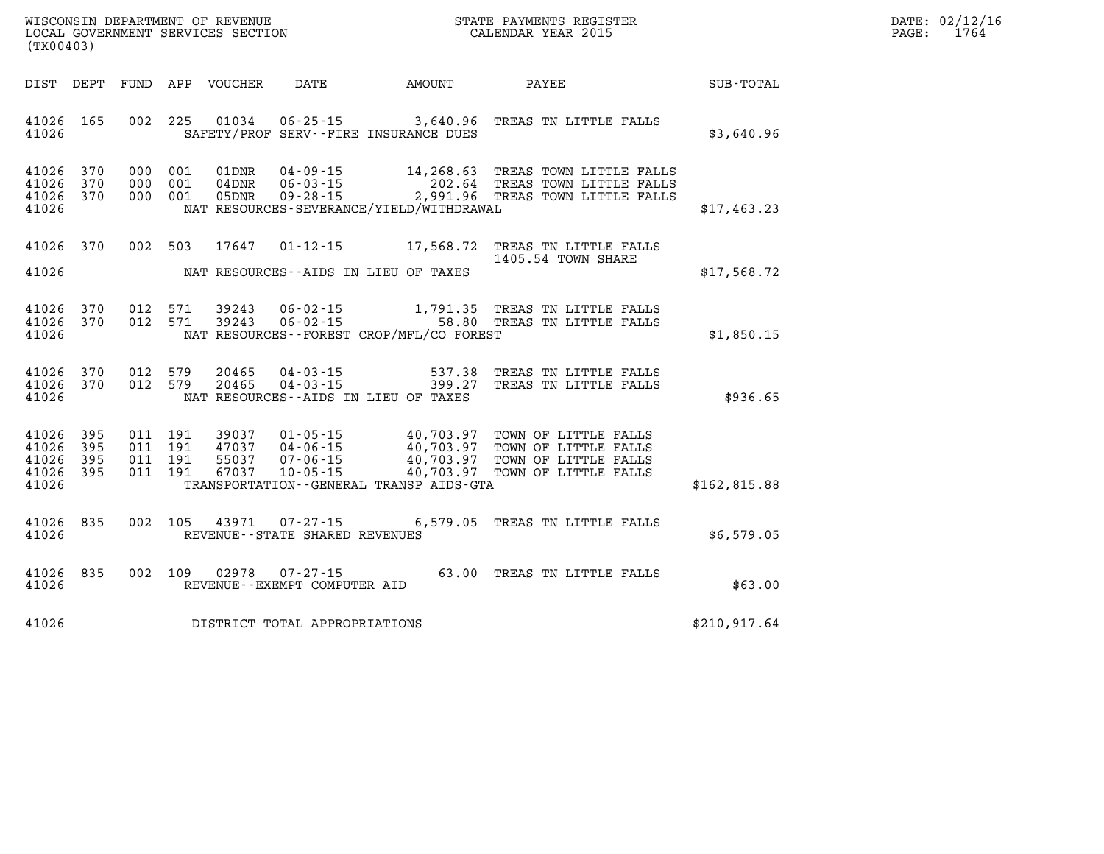| DATE:            | 02/12/16 |
|------------------|----------|
| $\texttt{PAGE:}$ | 1764     |

| WISCONSIN DEPARTMENT OF REVENUE<br>(TX00403)                                                      | LOCAL GOVERNMENT SERVICES SECTION                                                                                                                                               |                                                  | STATE PAYMENTS REGISTER<br>CALENDAR YEAR 2015                                                 |              |
|---------------------------------------------------------------------------------------------------|---------------------------------------------------------------------------------------------------------------------------------------------------------------------------------|--------------------------------------------------|-----------------------------------------------------------------------------------------------|--------------|
| DIST<br>DEPT<br>FUND                                                                              | APP<br>VOUCHER<br>DATE                                                                                                                                                          | AMOUNT                                           | PAYEE                                                                                         | SUB-TOTAL    |
| 41026<br>165<br>002<br>41026                                                                      | 225<br>01034<br>$06 - 25 - 15$ 3,640.96<br>SAFETY/PROF SERV--FIRE INSURANCE DUES                                                                                                |                                                  | TREAS TN LITTLE FALLS                                                                         | \$3,640.96   |
| 41026<br>370<br>000<br>41026<br>370<br>000<br>41026<br>370<br>000<br>41026                        | 001<br>01DNR<br>$04 - 09 - 15$<br>001<br>$06 - 03 - 15$<br>04DNR<br>001<br>$09 - 28 - 15$<br>05DNR<br>NAT RESOURCES-SEVERANCE/YIELD/WITHDRAWAL                                  | 14,268.63                                        | TREAS TOWN LITTLE FALLS<br>202.64 TREAS TOWN LITTLE FALLS<br>2,991.96 TREAS TOWN LITTLE FALLS | \$17,463.23  |
| 41026<br>370<br>002<br>41026                                                                      | 503<br>17647<br>$01 - 12 - 15$<br>NAT RESOURCES--AIDS IN LIEU OF TAXES                                                                                                          | 17,568.72                                        | TREAS TN LITTLE FALLS<br>1405.54 TOWN SHARE                                                   | \$17,568.72  |
| 370<br>012<br>41026<br>370<br>012<br>41026<br>41026                                               | 571<br>39243<br>$06 - 02 - 15$<br>571<br>39243<br>$06 - 02 - 15$<br>NAT RESOURCES - - FOREST CROP/MFL/CO FOREST                                                                 | 1,791.35<br>58.80                                | TREAS TN LITTLE FALLS<br>TREAS TN LITTLE FALLS                                                | \$1,850.15   |
| 41026<br>370<br>012<br>41026<br>370<br>012<br>41026                                               | 579<br>20465<br>$04 - 03 - 15$<br>579<br>$04 - 03 - 15$<br>20465<br>NAT RESOURCES--AIDS IN LIEU OF TAXES                                                                        | 537.38<br>399.27                                 | TREAS TN LITTLE FALLS<br>TREAS TN LITTLE FALLS                                                | \$936.65     |
| 395<br>011<br>41026<br>395<br>011<br>41026<br>41026<br>395<br>011<br>41026<br>395<br>011<br>41026 | 191<br>39037<br>$01 - 05 - 15$<br>191<br>47037<br>$04 - 06 - 15$<br>191<br>55037<br>$07 - 06 - 15$<br>191<br>67037<br>$10 - 05 - 15$<br>TRANSPORTATION--GENERAL TRANSP AIDS-GTA | 40,703.97<br>40,703.97<br>40,703.97<br>40,703.97 | TOWN OF LITTLE FALLS<br>TOWN OF LITTLE FALLS<br>TOWN OF LITTLE FALLS<br>TOWN OF LITTLE FALLS  | \$162,815.88 |
| 835<br>002<br>41026<br>41026                                                                      | 105<br>43971<br>$07 - 27 - 15$<br>REVENUE - - STATE SHARED REVENUES                                                                                                             | 6,579.05                                         | TREAS TN LITTLE FALLS                                                                         | \$6,579.05   |
| 835<br>002<br>41026<br>41026                                                                      | 109<br>02978<br>$07 - 27 - 15$<br>REVENUE - - EXEMPT COMPUTER AID                                                                                                               | 63.00                                            | TREAS TN LITTLE FALLS                                                                         | \$63.00      |
| 41026                                                                                             | DISTRICT TOTAL APPROPRIATIONS                                                                                                                                                   |                                                  |                                                                                               | \$210,917.64 |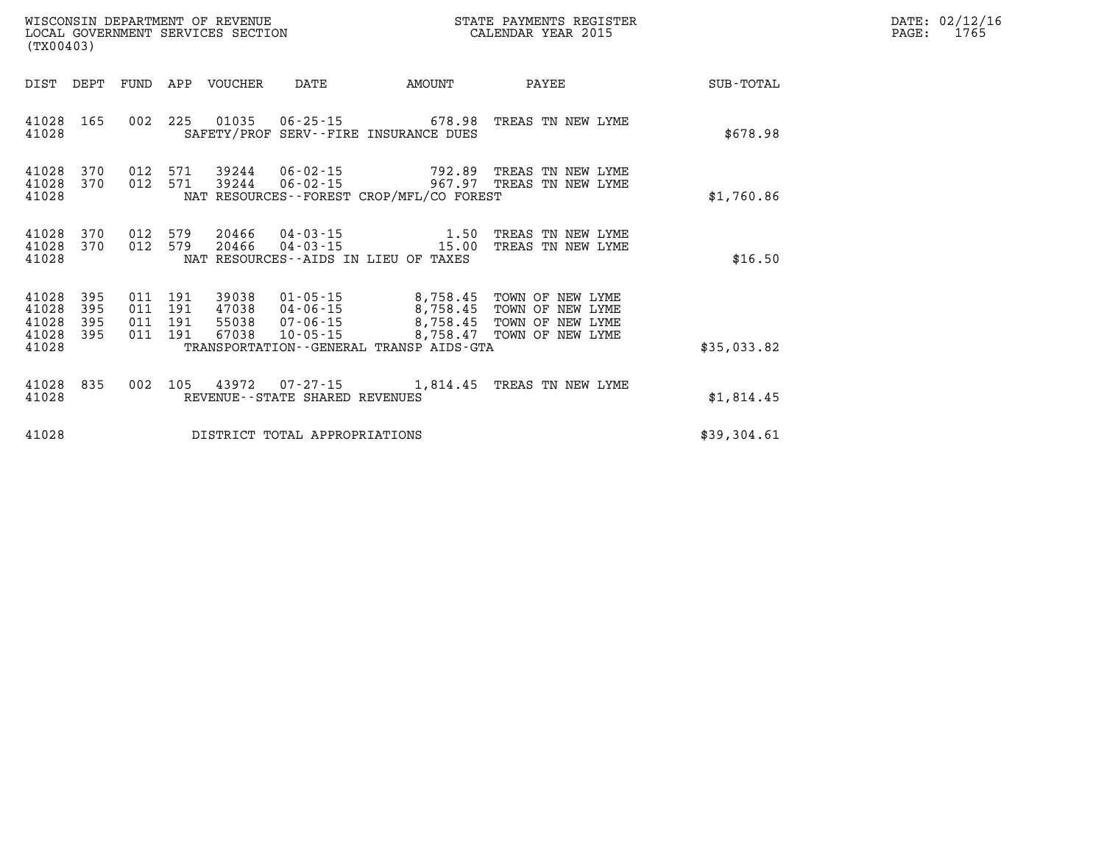| (TX00403)                        |                          |                          |                          | WISCONSIN DEPARTMENT OF REVENUE<br>LOCAL GOVERNMENT SERVICES SECTION |                                                                | STATE PAYMENTS REGISTER<br>CALENDAR YEAR 2015                |                                                                              |                  |  |  |
|----------------------------------|--------------------------|--------------------------|--------------------------|----------------------------------------------------------------------|----------------------------------------------------------------|--------------------------------------------------------------|------------------------------------------------------------------------------|------------------|--|--|
| DIST                             | DEPT                     | <b>FUND</b>              | APP                      | <b>VOUCHER</b>                                                       | DATE                                                           | AMOUNT                                                       | PAYEE                                                                        | <b>SUB-TOTAL</b> |  |  |
| 41028<br>41028                   | 165                      | 002                      | 225                      | 01035                                                                | $06 - 25 - 15$                                                 | 678.98<br>SAFETY/PROF SERV--FIRE INSURANCE DUES              | TREAS TN NEW LYME                                                            | \$678.98         |  |  |
| 41028<br>41028<br>41028          | 370<br>370               | 012<br>012               | 571<br>571               | 39244<br>39244                                                       | 06-02-15<br>$06 - 02 - 15$                                     | 792.89<br>967.97<br>NAT RESOURCES--FOREST CROP/MFL/CO FOREST | TREAS TN NEW LYME<br>TREAS TN NEW LYME                                       | \$1,760.86       |  |  |
| 41028<br>41028<br>41028          | 370<br>370               | 012<br>012               | 579<br>579               | 20466<br>20466                                                       | 04-03-15<br>04-03-15                                           | 1.50<br>15.00<br>NAT RESOURCES -- AIDS IN LIEU OF TAXES      | TREAS TN NEW LYME<br>TREAS TN NEW LYME                                       | \$16.50          |  |  |
| 41028<br>41028<br>41028<br>41028 | 395<br>395<br>395<br>395 | 011<br>011<br>011<br>011 | 191<br>191<br>191<br>191 | 39038<br>47038<br>55038<br>67038                                     | $01 - 05 - 15$<br>$04 - 06 - 15$<br>07-06-15<br>$10 - 05 - 15$ | 8,758.45<br>8,758.45<br>8,758.45<br>8,758.47                 | TOWN OF NEW LYME<br>TOWN OF NEW LYME<br>TOWN OF NEW LYME<br>TOWN OF NEW LYME |                  |  |  |
| 41028                            |                          |                          |                          |                                                                      |                                                                | TRANSPORTATION - - GENERAL TRANSP AIDS - GTA                 |                                                                              | \$35,033.82      |  |  |
| 41028<br>41028                   | 835                      | 002                      | 105                      | 43972                                                                | $07 - 27 - 15$<br>REVENUE--STATE SHARED REVENUES               | 1,814.45                                                     | TREAS TN NEW LYME                                                            | \$1,814.45       |  |  |
| 41028                            |                          |                          |                          |                                                                      | DISTRICT TOTAL APPROPRIATIONS                                  |                                                              |                                                                              | \$39,304.61      |  |  |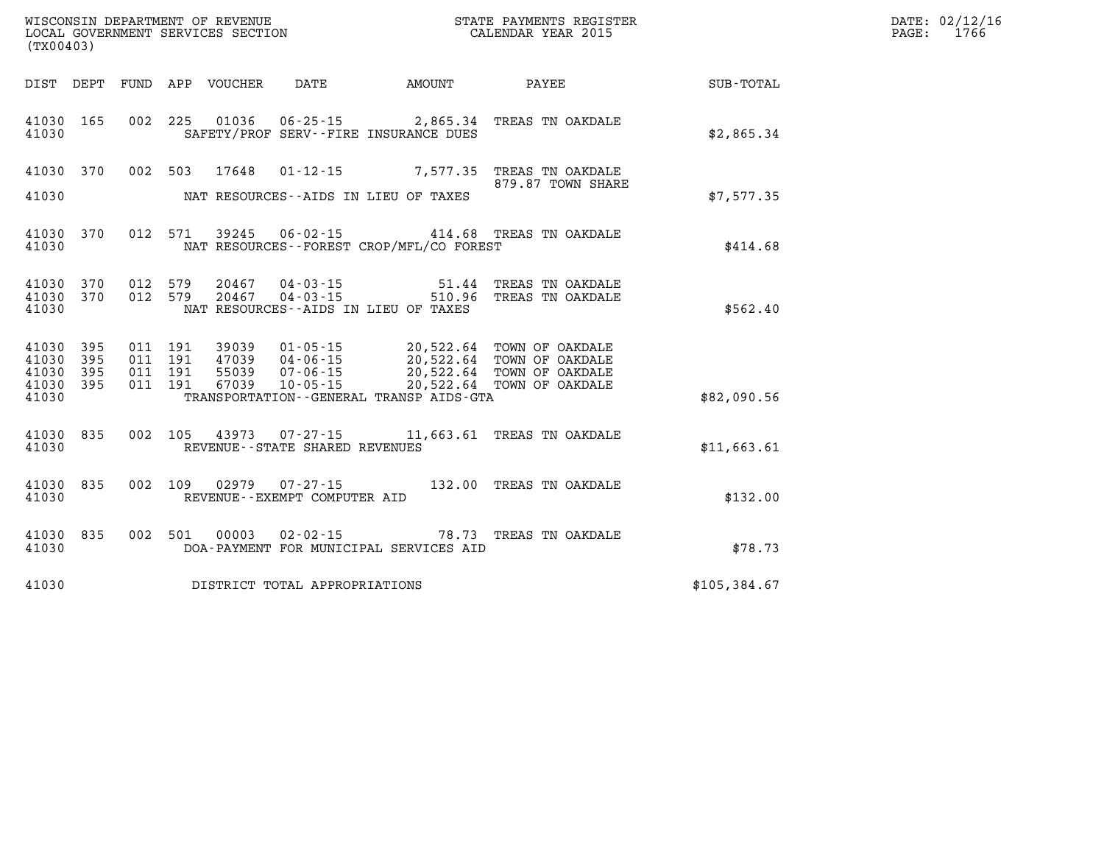| WISCONSIN DEPARTMENT OF REVENUE   | STATE PAYMENTS REGISTER | 02/12/16<br>DATE: |
|-----------------------------------|-------------------------|-------------------|
| LOCAL GOVERNMENT SERVICES SECTION | CALENDAR YEAR 2015      | 1766<br>PAGE      |

| (TX00403)                             |            |                              |                                                                    |                                                                   |                                       |               |
|---------------------------------------|------------|------------------------------|--------------------------------------------------------------------|-------------------------------------------------------------------|---------------------------------------|---------------|
| DIST<br>DEPT                          | FUND       | APP VOUCHER                  | DATE                                                               | AMOUNT                                                            | PAYEE                                 | SUB-TOTAL     |
| 165<br>41030<br>41030                 | 002        | 225<br>01036                 |                                                                    | SAFETY/PROF SERV--FIRE INSURANCE DUES                             | 06-25-15 2,865.34 TREAS TN OAKDALE    | \$2,865.34    |
| 41030<br>370                          | 002        | 503<br>17648                 | $01 - 12 - 15$                                                     | 7,577.35                                                          | TREAS TN OAKDALE<br>879.87 TOWN SHARE |               |
| 41030                                 |            |                              | NAT RESOURCES--AIDS IN LIEU OF TAXES                               |                                                                   |                                       | \$7,577.35    |
| 41030<br>370<br>41030                 | 012        | 571<br>39245                 | $06 - 02 - 15$                                                     | NAT RESOURCES - - FOREST CROP/MFL/CO FOREST                       | 414.68 TREAS TN OAKDALE               | \$414.68      |
| 370<br>41030<br>370<br>41030<br>41030 | 012<br>012 | 579<br>20467<br>579<br>20467 | $04 - 03 - 15$<br>04-03-15<br>NAT RESOURCES--AIDS IN LIEU OF TAXES | 51.44<br>510.96                                                   | TREAS TN OAKDALE<br>TREAS TN OAKDALE  | \$562.40      |
| 41030<br>395<br>395<br>41030          | 011<br>011 | 191<br>39039<br>191<br>47039 | $01 - 05 - 15$<br>04-06-15                                         | 20,522.64<br>20,522.64                                            | TOWN OF OAKDALE<br>TOWN OF OAKDALE    |               |
| 41030<br>395<br>395<br>41030<br>41030 | 011<br>011 | 55039<br>191<br>191<br>67039 | $07 - 06 - 15$<br>$10 - 05 - 15$                                   | 20,522.64<br>20,522.64<br>TRANSPORTATION--GENERAL TRANSP AIDS-GTA | TOWN OF OAKDALE<br>TOWN OF OAKDALE    | \$82,090.56   |
| 41030<br>835<br>41030                 | 002        | 105<br>43973                 | $07 - 27 - 15$<br>REVENUE - - STATE SHARED REVENUES                | 11,663.61                                                         | TREAS TN OAKDALE                      | \$11,663.61   |
| 835<br>41030<br>41030                 | 002        | 109<br>02979                 | $07 - 27 - 15$<br>REVENUE - - EXEMPT COMPUTER AID                  | 132.00                                                            | TREAS TN OAKDALE                      | \$132.00      |
| 835<br>41030<br>41030                 | 002        | 501<br>00003                 | $02 - 02 - 15$                                                     | 78.73<br>DOA-PAYMENT FOR MUNICIPAL SERVICES AID                   | TREAS TN OAKDALE                      | \$78.73       |
| 41030                                 |            |                              | DISTRICT TOTAL APPROPRIATIONS                                      |                                                                   |                                       | \$105, 384.67 |

WISCONSIN DEPARTMENT OF REVENUE **STATE PAYMENTS REGISTER**<br>LOCAL GOVERNMENT SERVICES SECTION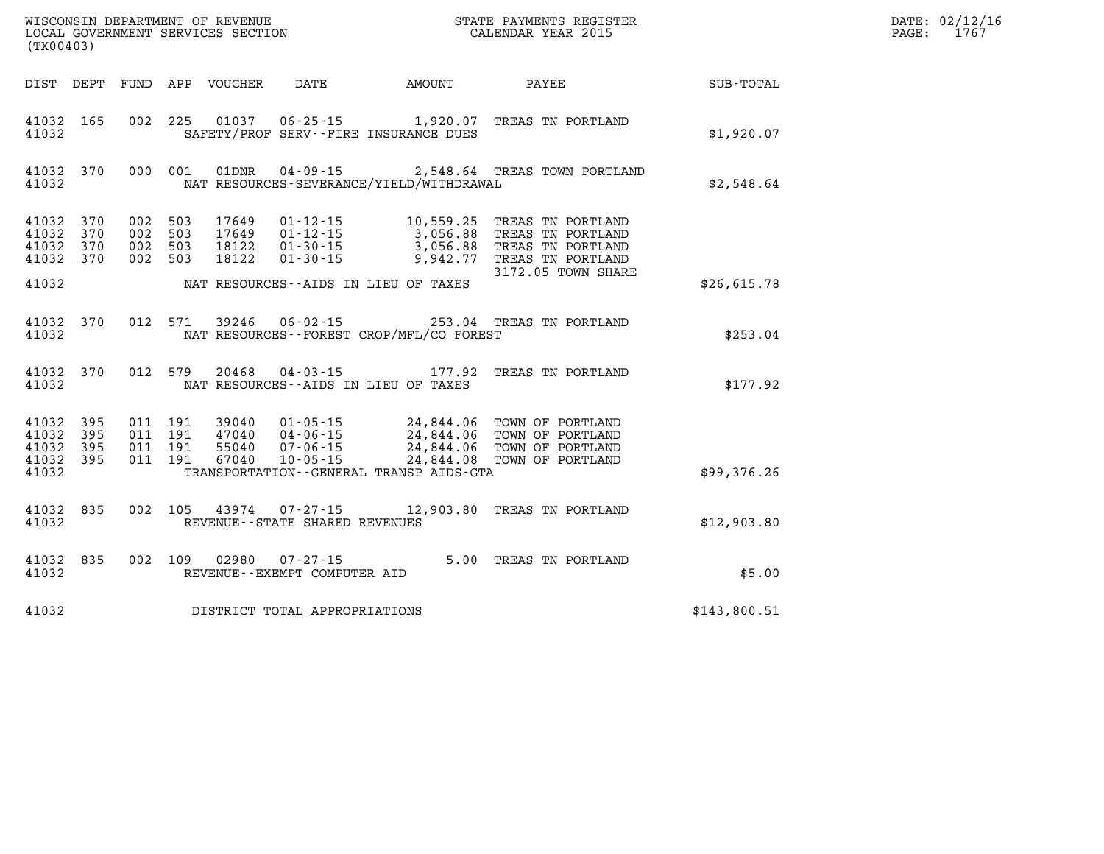| DATE: | 02/12/16 |
|-------|----------|
| PAGE: | 1767     |

| (TX00403)                                    |           |  |                                   |                                          | WISCONSIN DEPARTMENT OF REVENUE<br>LOCAL GOVERNMENT SERVICES SECTION FOR THE STATE PAYMENTS REGISTER<br>(TWOO403)                                                                                                                      |              | DATE: 02/12/1<br>$\mathtt{PAGE:}$<br>1767 |
|----------------------------------------------|-----------|--|-----------------------------------|------------------------------------------|----------------------------------------------------------------------------------------------------------------------------------------------------------------------------------------------------------------------------------------|--------------|-------------------------------------------|
|                                              |           |  |                                   |                                          | DIST DEPT FUND APP VOUCHER DATE AMOUNT PAYEE TOTAL                                                                                                                                                                                     |              |                                           |
| 41032                                        | 41032 165 |  |                                   | SAFETY/PROF SERV--FIRE INSURANCE DUES    | 002 225 01037 06-25-15 1,920.07 TREAS TN PORTLAND                                                                                                                                                                                      | \$1,920.07   |                                           |
| 41032                                        | 41032 370 |  |                                   | NAT RESOURCES-SEVERANCE/YIELD/WITHDRAWAL | 000 001 01DNR 04-09-15 2,548.64 TREAS TOWN PORTLAND                                                                                                                                                                                    | \$2,548.64   |                                           |
| 41032 370<br>41032 370<br>41032 370          | 41032 370 |  |                                   |                                          | 002 503 17649 01-12-15 10,559.25 TREAS TN PORTLAND<br>002 503 17649 01-12-15 3,056.88 TREAS TN PORTLAND<br>002 503 18122 01-30-15 3,056.88 TREAS TN PORTLAND<br>002 503 18122 01-30-15 9,942.77 TREAS TN PORTLAND<br>9,942.77 TREAS TN |              |                                           |
| 41032                                        |           |  |                                   | NAT RESOURCES--AIDS IN LIEU OF TAXES     | 3172.05 TOWN SHARE                                                                                                                                                                                                                     | \$26,615.78  |                                           |
| 41032                                        |           |  |                                   | NAT RESOURCES--FOREST CROP/MFL/CO FOREST | 41032 370 012 571 39246 06-02-15 253.04 TREAS TN PORTLAND                                                                                                                                                                              | \$253.04     |                                           |
| 41032                                        |           |  |                                   | NAT RESOURCES--AIDS IN LIEU OF TAXES     | 41032 370 012 579 20468 04-03-15 177.92 TREAS TN PORTLAND                                                                                                                                                                              | \$177.92     |                                           |
| 41032 395<br>41032 395<br>41032 395<br>41032 | 41032 395 |  |                                   | TRANSPORTATION--GENERAL TRANSP AIDS-GTA  |                                                                                                                                                                                                                                        | \$99,376.26  |                                           |
| 41032                                        | 41032 835 |  | REVENUE - - STATE SHARED REVENUES |                                          | 002 105 43974 07-27-15 12,903.80 TREAS TN PORTLAND                                                                                                                                                                                     | \$12,903.80  |                                           |
| 41032                                        | 41032 835 |  | REVENUE--EXEMPT COMPUTER AID      |                                          | 002 109 02980 07-27-15 5.00 TREAS TN PORTLAND                                                                                                                                                                                          | \$5.00       |                                           |
| 41032                                        |           |  | DISTRICT TOTAL APPROPRIATIONS     |                                          |                                                                                                                                                                                                                                        | \$143,800.51 |                                           |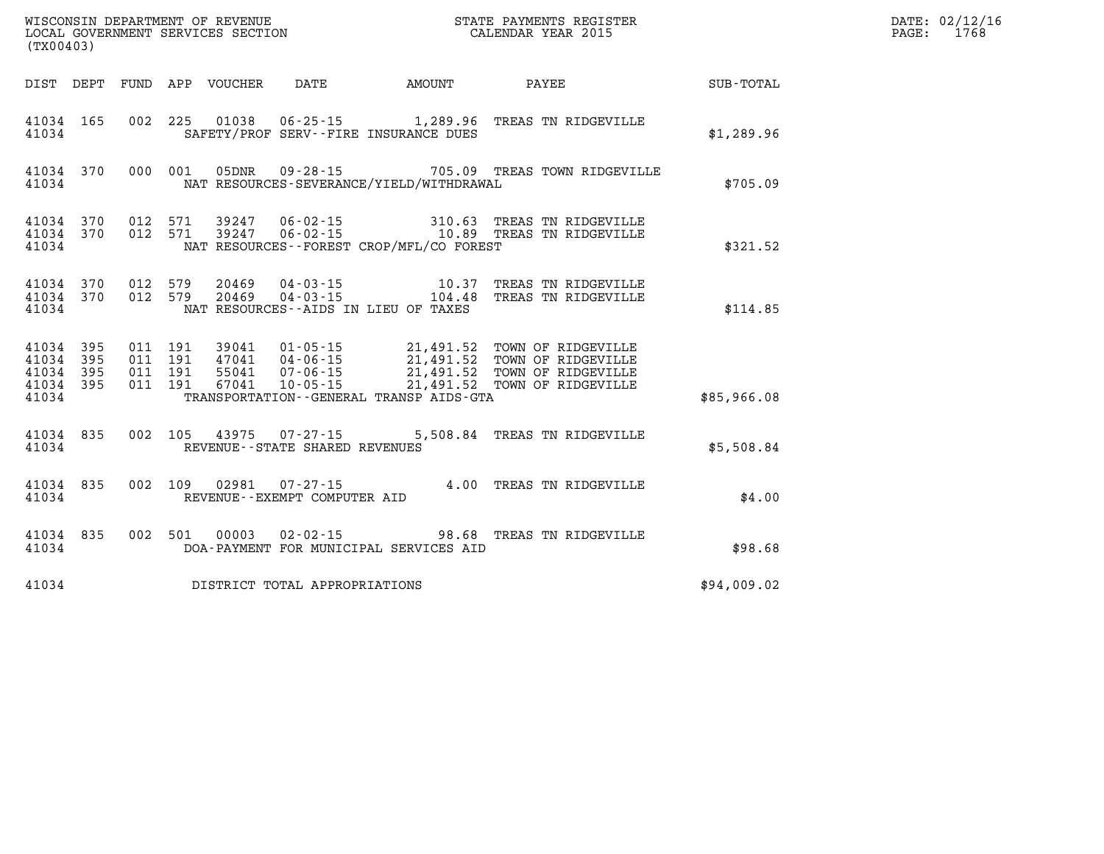| (TX00403)                                 |                          |                          |                          | WISCONSIN DEPARTMENT OF REVENUE<br>LOCAL GOVERNMENT SERVICES SECTION |                                                     | STATE PAYMENTS REGISTER<br>CALENDAR YEAR 2015                                     |                                                                                                |             |  |  |
|-------------------------------------------|--------------------------|--------------------------|--------------------------|----------------------------------------------------------------------|-----------------------------------------------------|-----------------------------------------------------------------------------------|------------------------------------------------------------------------------------------------|-------------|--|--|
| DIST                                      | DEPT                     | <b>FUND</b>              | APP                      | VOUCHER                                                              | DATE                                                | AMOUNT                                                                            | PAYEE                                                                                          | SUB-TOTAL   |  |  |
| 41034<br>41034                            | 165                      | 002                      | 225                      | 01038                                                                | $06 - 25 - 15$                                      | 1,289.96<br>SAFETY/PROF SERV--FIRE INSURANCE DUES                                 | TREAS TN RIDGEVILLE                                                                            | \$1,289.96  |  |  |
| 41034<br>41034                            | 370                      | 000                      | 001                      | 05DNR                                                                | $09 - 28 - 15$                                      | NAT RESOURCES-SEVERANCE/YIELD/WITHDRAWAL                                          | 705.09 TREAS TOWN RIDGEVILLE                                                                   | \$705.09    |  |  |
| 41034<br>41034<br>41034                   | 370<br>370               | 012<br>012               | 571<br>571               | 39247<br>39247                                                       | $06 - 02 - 15$                                      | 310.63<br>NAT RESOURCES - - FOREST CROP/MFL/CO FOREST                             | TREAS TN RIDGEVILLE<br>06-02-15 10.89 TREAS TN RIDGEVILLE                                      | \$321.52    |  |  |
| 41034<br>41034<br>41034                   | 370<br>370               | 012<br>012               | 579<br>579               | 20469<br>20469                                                       |                                                     | 04 - 03 - 15 10.37<br>04 - 03 - 15 104.48<br>NAT RESOURCES--AIDS IN LIEU OF TAXES | TREAS TN RIDGEVILLE<br>TREAS TN RIDGEVILLE                                                     | \$114.85    |  |  |
| 41034<br>41034<br>41034<br>41034<br>41034 | 395<br>395<br>395<br>395 | 011<br>011<br>011<br>011 | 191<br>191<br>191<br>191 | 39041<br>47041 04-06-15<br>55041<br>67041                            | $01 - 05 - 15$<br>07-06-15                          | 21,491.52<br>21,491.52<br>TRANSPORTATION--GENERAL TRANSP AIDS-GTA                 | 21,491.52 TOWN OF RIDGEVILLE<br>TOWN OF RIDGEVILLE<br>TOWN OF RIDGEVILLE<br>TOWN OF RIDGEVILLE | \$85,966.08 |  |  |
| 41034<br>41034                            | 835                      | 002                      | 105                      |                                                                      | 43975 07-27-15<br>REVENUE - - STATE SHARED REVENUES | 5,508.84                                                                          | TREAS TN RIDGEVILLE                                                                            | \$5,508.84  |  |  |
| 41034<br>41034                            | 835                      | 002                      | 109                      | 02981                                                                | $07 - 27 - 15$<br>REVENUE--EXEMPT COMPUTER AID      | 4.00                                                                              | TREAS TN RIDGEVILLE                                                                            | \$4.00      |  |  |
| 41034<br>41034                            | 835                      | 002                      | 501                      | 00003                                                                | $02 - 02 - 15$                                      | 98.68<br>DOA-PAYMENT FOR MUNICIPAL SERVICES AID                                   | TREAS TN RIDGEVILLE                                                                            | \$98.68     |  |  |
| 41034                                     |                          |                          |                          |                                                                      | DISTRICT TOTAL APPROPRIATIONS                       |                                                                                   |                                                                                                | \$94,009.02 |  |  |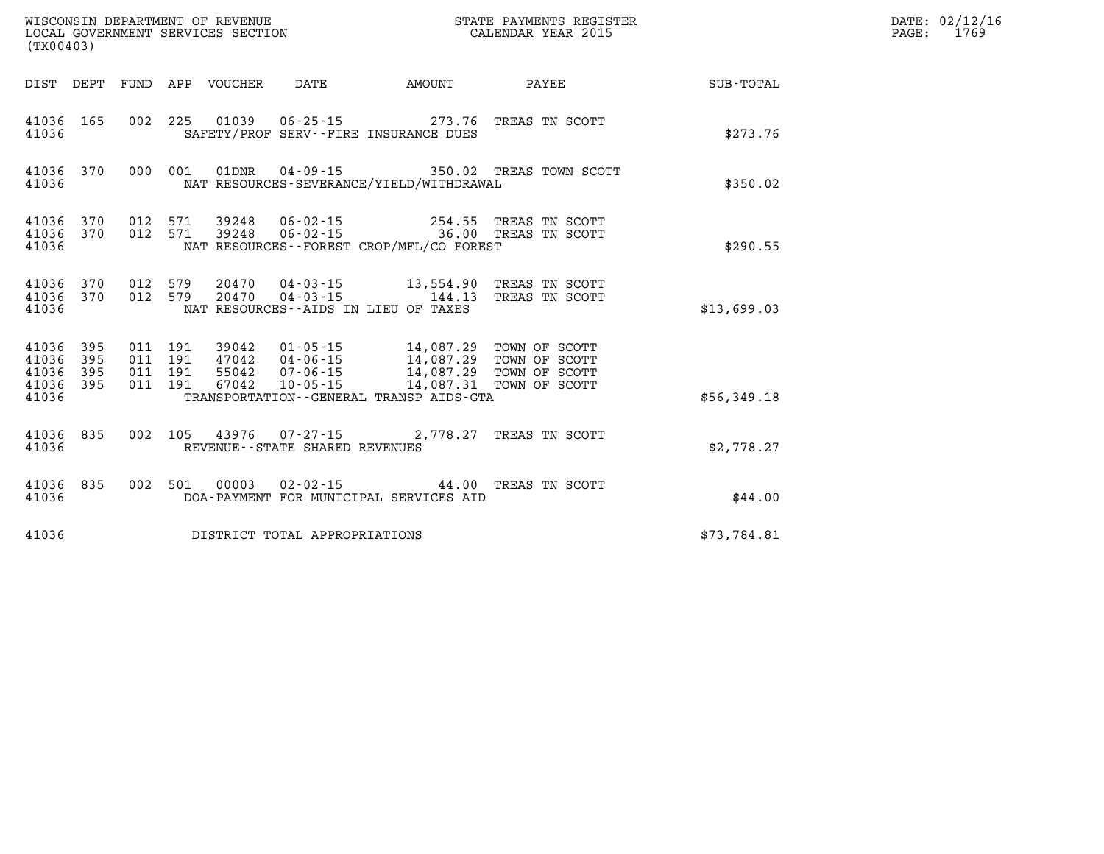| (TX00403)                                             |     |                    |                    |                                   |                                                                                                                                                                                                                    |                                                |             | DATE: 02/12/16<br>1769<br>$\mathtt{PAGE:}$ |
|-------------------------------------------------------|-----|--------------------|--------------------|-----------------------------------|--------------------------------------------------------------------------------------------------------------------------------------------------------------------------------------------------------------------|------------------------------------------------|-------------|--------------------------------------------|
|                                                       |     |                    |                    |                                   | DIST DEPT FUND APP VOUCHER DATE AMOUNT                                                                                                                                                                             | PAYEE                                          | SUB-TOTAL   |                                            |
| 41036 165<br>41036                                    |     |                    |                    |                                   | 002 225 01039 06-25-15 273.76 TREAS TN SCOTT<br>SAFETY/PROF SERV--FIRE INSURANCE DUES                                                                                                                              |                                                | \$273.76    |                                            |
| 41036 370<br>41036                                    |     |                    |                    |                                   | NAT RESOURCES-SEVERANCE/YIELD/WITHDRAWAL                                                                                                                                                                           | 000 001 01DNR 04-09-15 350.02 TREAS TOWN SCOTT | \$350.02    |                                            |
| 41036 370<br>41036 370<br>41036                       |     |                    |                    |                                   | 012 571 39248 06-02-15   254.55 TREAS TN SCOTT<br>012 571 39248 06-02-15   36.00 TREAS TN SCOTT<br>NAT RESOURCES - - FOREST CROP/MFL/CO FOREST                                                                     |                                                | \$290.55    |                                            |
| 41036 370<br>41036 370<br>41036                       |     |                    |                    |                                   | 012 579 20470 04-03-15 13,554.90 TREAS TN SCOTT<br>012 579 20470 04-03-15 144.13 TREAS TN SCOTT<br>NAT RESOURCES--AIDS IN LIEU OF TAXES                                                                            |                                                | \$13,699.03 |                                            |
| 41036 395<br>41036<br>41036 395<br>41036 395<br>41036 | 395 | 011 191<br>011 191 | 011 191<br>011 191 |                                   | 39042  01-05-15  14,087.29  TOWN OF SCOTT<br>47042 04-06-15 14,087.29 TOWN OF SCOTT<br>55042 07-06-15 14,087.29 TOWN OF SCOTT<br>67042 10-05-15 14,087.31 TOWN OF SCOTT<br>TRANSPORTATION--GENERAL TRANSP AIDS-GTA |                                                | \$56,349.18 |                                            |
| 41036 835<br>41036                                    |     |                    |                    | REVENUE - - STATE SHARED REVENUES | 002 105 43976 07-27-15 2,778.27 TREAS TN SCOTT                                                                                                                                                                     |                                                | \$2,778.27  |                                            |
| 41036 835<br>41036                                    |     |                    |                    |                                   | 002 501 00003 02-02-15 44.00 TREAS TN SCOTT<br>DOA-PAYMENT FOR MUNICIPAL SERVICES AID                                                                                                                              |                                                | \$44.00     |                                            |
| 41036                                                 |     |                    |                    | DISTRICT TOTAL APPROPRIATIONS     |                                                                                                                                                                                                                    |                                                | \$73,784.81 |                                            |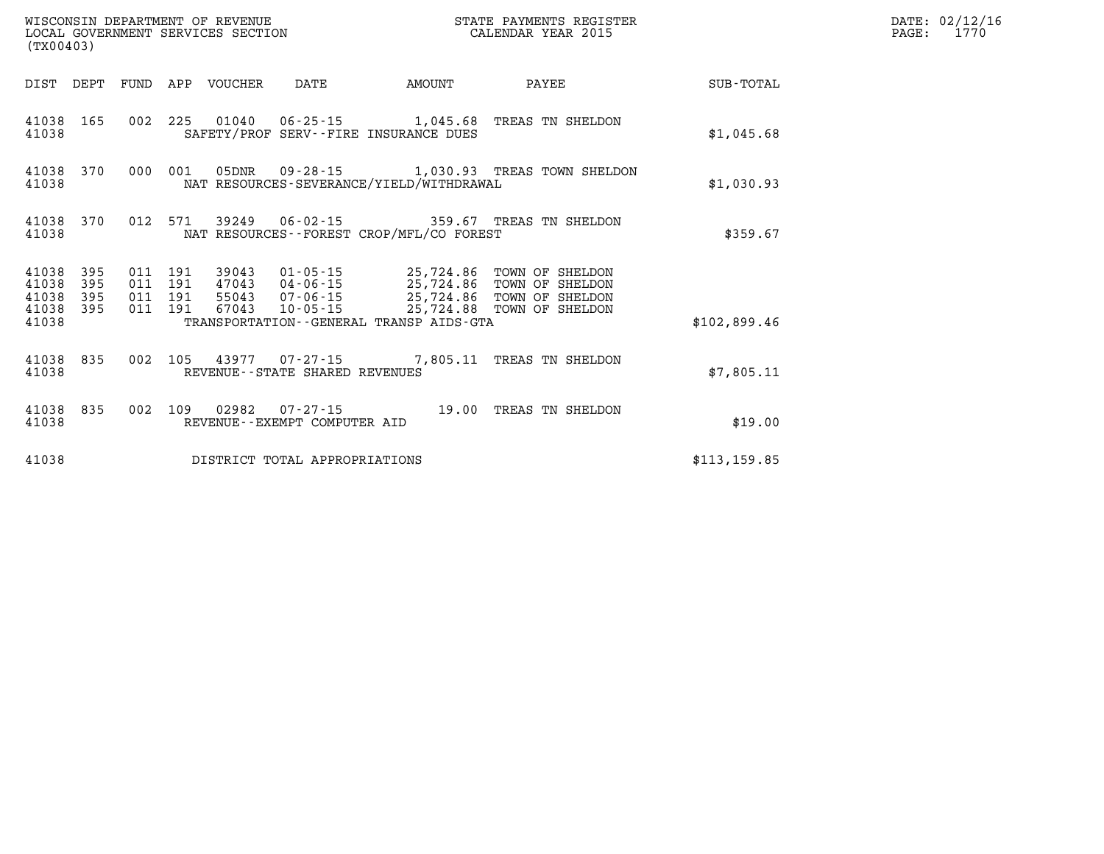| WISCONSIN DEPARTMENT OF REVENUE<br>LOCAL GOVERNMENT SERVICES SECTION<br>(TX00403) |                          |                          |                          |                |                                                          |                                             |                                                                                                        |               |
|-----------------------------------------------------------------------------------|--------------------------|--------------------------|--------------------------|----------------|----------------------------------------------------------|---------------------------------------------|--------------------------------------------------------------------------------------------------------|---------------|
| DIST                                                                              | DEPT                     | FUND APP                 |                          | VOUCHER        | DATE                                                     | AMOUNT                                      | PAYEE                                                                                                  | SUB-TOTAL     |
| 41038<br>41038                                                                    | 165                      | 002                      | 225                      |                | $01040 06 - 25 - 15$                                     | SAFETY/PROF SERV--FIRE INSURANCE DUES       | 1,045.68 TREAS TN SHELDON                                                                              | \$1,045.68    |
| 41038<br>41038                                                                    | 370                      | 000                      | 001                      | 05DNR          |                                                          | NAT RESOURCES-SEVERANCE/YIELD/WITHDRAWAL    | 09-28-15 1,030.93 TREAS TOWN SHELDON                                                                   | \$1,030.93    |
| 41038<br>41038                                                                    | 370                      | 012                      | 571                      | 39249          | $06 - 02 - 15$                                           | NAT RESOURCES - - FOREST CROP/MFL/CO FOREST | 359.67 TREAS TN SHELDON                                                                                | \$359.67      |
| 41038<br>41038<br>41038<br>41038                                                  | 395<br>395<br>395<br>395 | 011<br>011<br>011<br>011 | 191<br>191<br>191<br>191 | 39043<br>67043 | 01-05-15<br>47043 04-06-15<br>55043 07-06-15<br>10-05-15 | 25,724.88                                   | 25,724.86 TOWN OF SHELDON<br>25,724.86 TOWN OF SHELDON<br>25,724.86 TOWN OF SHELDON<br>TOWN OF SHELDON |               |
| 41038                                                                             |                          |                          |                          |                |                                                          | TRANSPORTATION--GENERAL TRANSP AIDS-GTA     |                                                                                                        | \$102,899.46  |
| 41038<br>41038                                                                    | 835                      | 002                      | 105                      | 43977          | 07-27-15<br>REVENUE - - STATE SHARED REVENUES            | 7,805.11                                    | TREAS TN SHELDON                                                                                       | \$7,805.11    |
| 41038<br>41038                                                                    | 835                      | 002                      | 109                      | 02982          | $07 - 27 - 15$<br>REVENUE--EXEMPT COMPUTER AID           | 19.00                                       | TREAS TN SHELDON                                                                                       | \$19.00       |
| 41038                                                                             |                          |                          |                          |                | DISTRICT TOTAL APPROPRIATIONS                            |                                             |                                                                                                        | \$113, 159.85 |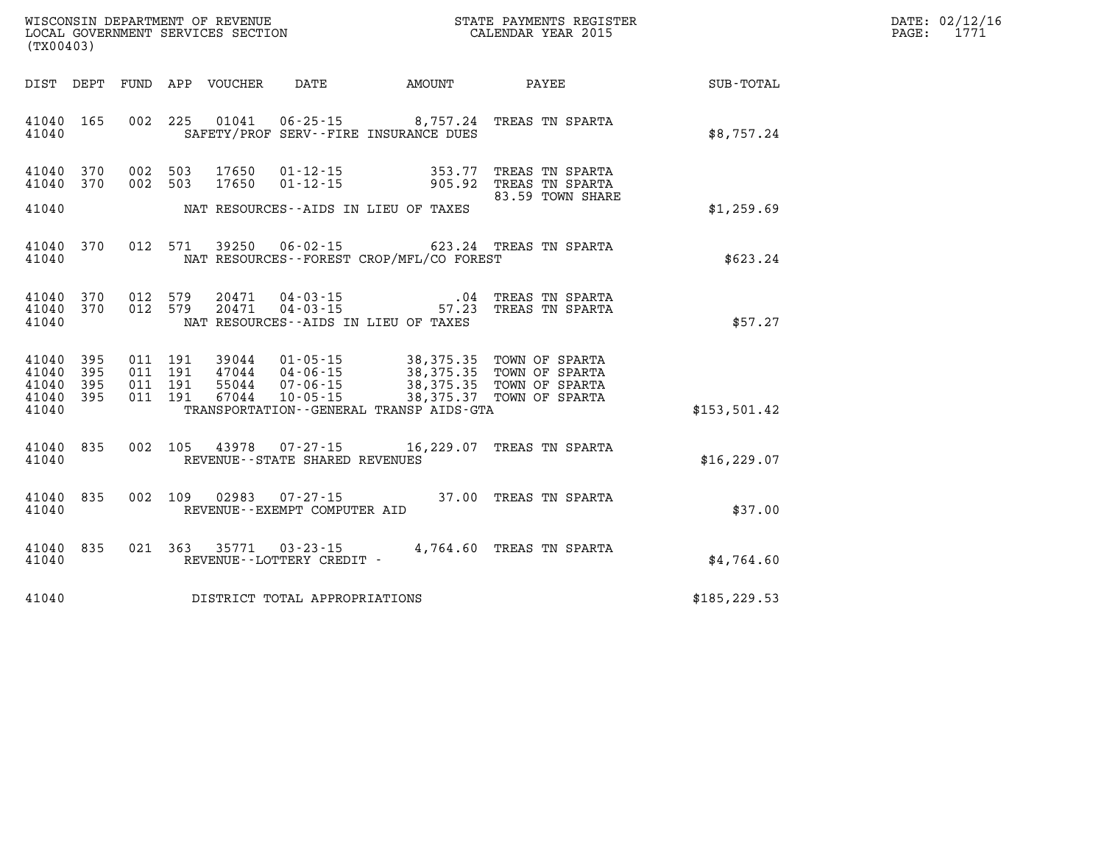| DATE: | 02/12/16 |
|-------|----------|
| PAGE: | 1771     |

| (TX00403)                                     |                        |                                                                                                                                                                                                                            |                                             |  |                                                                                                                                              |               |  |
|-----------------------------------------------|------------------------|----------------------------------------------------------------------------------------------------------------------------------------------------------------------------------------------------------------------------|---------------------------------------------|--|----------------------------------------------------------------------------------------------------------------------------------------------|---------------|--|
|                                               |                        |                                                                                                                                                                                                                            |                                             |  | DIST DEPT FUND APP VOUCHER DATE AMOUNT PAYEE PAYER SUB-TOTAL                                                                                 |               |  |
| 41040                                         | 41040 165              |                                                                                                                                                                                                                            | SAFETY/PROF SERV--FIRE INSURANCE DUES       |  | 002 225 01041 06-25-15 8,757.24 TREAS TN SPARTA                                                                                              | \$8,757.24    |  |
|                                               | 41040 370<br>41040 370 |                                                                                                                                                                                                                            |                                             |  | 002 503 17650 01-12-15 353.77 TREAS TN SPARTA<br>002 503 17650 01-12-15 905.92 TREAS TN SPARTA<br>353.77 TREAS TN SPARTA<br>83.59 TOWN SHARE |               |  |
| 41040                                         |                        | NAT RESOURCES--AIDS IN LIEU OF TAXES                                                                                                                                                                                       |                                             |  |                                                                                                                                              | \$1,259.69    |  |
| 41040                                         | 41040 370              |                                                                                                                                                                                                                            | NAT RESOURCES - - FOREST CROP/MFL/CO FOREST |  | 012 571 39250 06-02-15 623.24 TREAS TN SPARTA                                                                                                | \$623.24      |  |
| 41040                                         | 41040 370<br>41040 370 |                                                                                                                                                                                                                            | NAT RESOURCES--AIDS IN LIEU OF TAXES        |  | 012 579 20471 04-03-15 .04 TREAS TN SPARTA<br>012 579 20471 04-03-15 57.23 TREAS TN SPARTA                                                   | \$57.27       |  |
| 41040 395<br>41040<br>41040<br>41040<br>41040 | 395<br>395<br>395      | 011 191 39044 01-05-15 38,375.35 TOWN OF SPARTA<br>011 191 47044 04-06-15 38,375.35 TOWN OF SPARTA<br>011 191 55044 07-06-15 38,375.35 TOWN OF SPARTA<br>011 191 67044 10-05-15<br>TRANSPORTATION--GENERAL TRANSP AIDS-GTA |                                             |  | 38,375.37 TOWN OF SPARTA                                                                                                                     | \$153,501.42  |  |
| 41040<br>41040                                | 835                    | REVENUE--STATE SHARED REVENUES                                                                                                                                                                                             |                                             |  | 002 105 43978 07-27-15 16,229.07 TREAS TN SPARTA                                                                                             | \$16, 229.07  |  |
| 41040 835<br>41040                            |                        |                                                                                                                                                                                                                            | REVENUE--EXEMPT COMPUTER AID                |  | 002 109 02983 07-27-15 37.00 TREAS TN SPARTA                                                                                                 | \$37.00       |  |
| 41040 835<br>41040                            |                        | REVENUE - - LOTTERY CREDIT -                                                                                                                                                                                               |                                             |  | 021 363 35771 03-23-15 4,764.60 TREAS TN SPARTA                                                                                              | \$4,764.60    |  |
| 41040                                         |                        | DISTRICT TOTAL APPROPRIATIONS                                                                                                                                                                                              |                                             |  |                                                                                                                                              | \$185, 229.53 |  |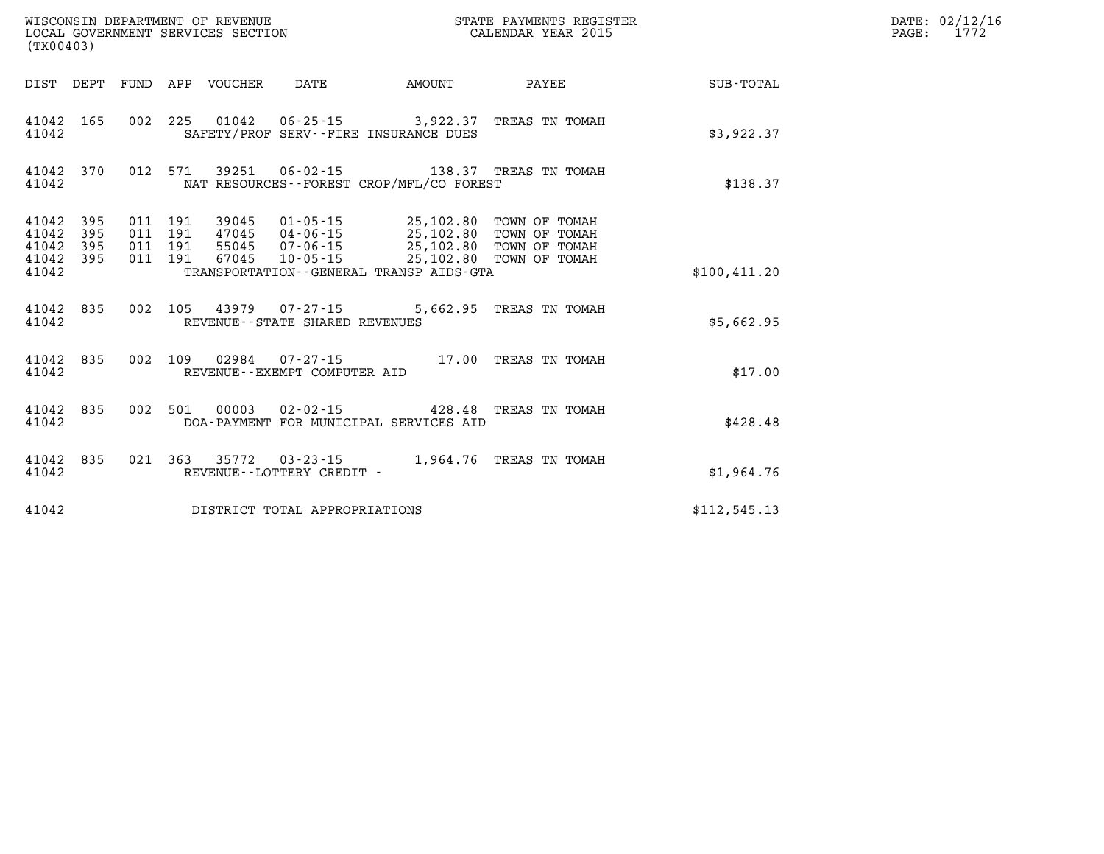| (TX00403)                                 |                          |                          |                          | WISCONSIN DEPARTMENT OF REVENUE<br>LOCAL GOVERNMENT SERVICES SECTION |                                                | STATE PAYMENTS REGISTER<br>CALENDAR YEAR 2015                                                                           |                                            |                  |  |  |
|-------------------------------------------|--------------------------|--------------------------|--------------------------|----------------------------------------------------------------------|------------------------------------------------|-------------------------------------------------------------------------------------------------------------------------|--------------------------------------------|------------------|--|--|
| DIST                                      | DEPT                     | FUND                     | APP                      | VOUCHER                                                              | DATE                                           | AMOUNT                                                                                                                  | PAYEE                                      | <b>SUB-TOTAL</b> |  |  |
| 41042<br>41042                            | 165                      | 002                      | 225                      |                                                                      |                                                | SAFETY/PROF SERV--FIRE INSURANCE DUES                                                                                   | 01042  06-25-15  3,922.37  TREAS TN TOMAH  | \$3,922.37       |  |  |
| 41042<br>41042                            | 370                      | 012                      | 571                      | 39251                                                                |                                                | NAT RESOURCES - - FOREST CROP/MFL/CO FOREST                                                                             | 06-02-15 138.37 TREAS TN TOMAH             | \$138.37         |  |  |
| 41042<br>41042<br>41042<br>41042<br>41042 | 395<br>395<br>395<br>395 | 011<br>011<br>011<br>011 | 191<br>191<br>191<br>191 | 47045 04-06-15<br>55045 07-06-15<br>67045                            | 10-05-15                                       | 25,102.80 TOWN OF TOMAH<br>25,102.80 TOWN OF TOMAH<br>25,102.80<br>25,102.80<br>TRANSPORTATION--GENERAL TRANSP AIDS-GTA | TOWN OF TOMAH<br>TOWN OF TOMAH             | \$100, 411.20    |  |  |
| 41042<br>41042                            | 835                      | 002                      |                          |                                                                      | REVENUE--STATE SHARED REVENUES                 |                                                                                                                         | 105 43979 07-27-15 5,662.95 TREAS TN TOMAH | \$5,662.95       |  |  |
| 41042<br>41042                            | 835                      | 002                      | 109                      | 02984                                                                | $07 - 27 - 15$<br>REVENUE--EXEMPT COMPUTER AID | 17.00                                                                                                                   | TREAS TN TOMAH                             | \$17.00          |  |  |
| 41042<br>41042                            | 835                      | 002                      | 501                      |                                                                      |                                                | DOA-PAYMENT FOR MUNICIPAL SERVICES AID                                                                                  | 00003 02-02-15 428.48 TREAS TN TOMAH       | \$428.48         |  |  |
| 41042<br>41042                            | 835                      | 021                      | 363                      | 35772                                                                | REVENUE - - LOTTERY CREDIT -                   | $03 - 23 - 15$ 1,964.76                                                                                                 | TREAS TN TOMAH                             | \$1,964.76       |  |  |
| 41042                                     |                          |                          |                          |                                                                      | DISTRICT TOTAL APPROPRIATIONS                  |                                                                                                                         |                                            | \$112, 545.13    |  |  |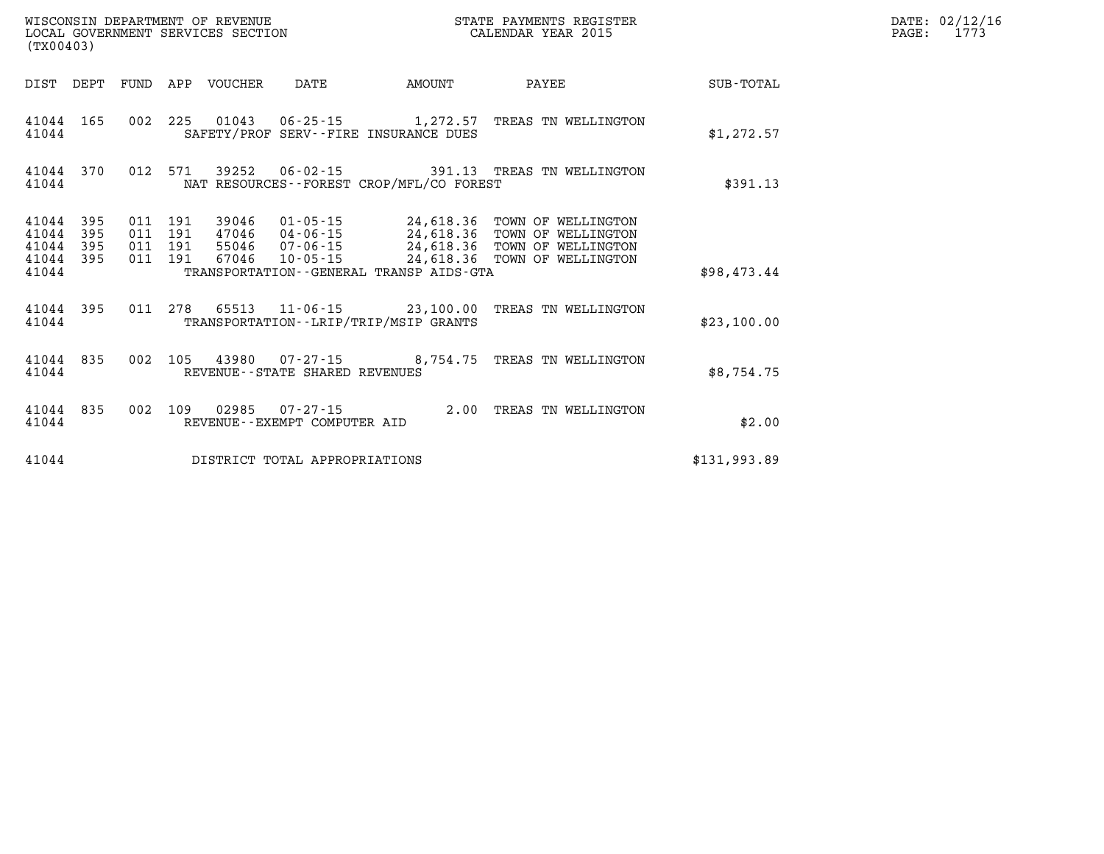| (TX00403)                        |                                |                               | LOCAL GOVERNMENT SERVICES SECTION |                                   |                                             | CALENDAR YEAR 2015                                                                                                                                                                                   |              | PAGE: | 1773 |
|----------------------------------|--------------------------------|-------------------------------|-----------------------------------|-----------------------------------|---------------------------------------------|------------------------------------------------------------------------------------------------------------------------------------------------------------------------------------------------------|--------------|-------|------|
|                                  |                                |                               | DIST DEPT FUND APP VOUCHER        | DATE                              | <b>AMOUNT</b>                               | PAYEE                                                                                                                                                                                                | SUB-TOTAL    |       |      |
| 41044                            |                                |                               |                                   |                                   | SAFETY/PROF SERV--FIRE INSURANCE DUES       | 41044 165 002 225 01043 06-25-15 1,272.57 TREAS TN WELLINGTON                                                                                                                                        | \$1,272.57   |       |      |
| 41044                            |                                |                               |                                   |                                   | NAT RESOURCES - - FOREST CROP/MFL/CO FOREST | 41044 370 012 571 39252 06-02-15 391.13 TREAS TN WELLINGTON                                                                                                                                          | \$391.13     |       |      |
| 41044<br>41044<br>41044<br>41044 | 395<br>395<br>395<br>41044 395 | 011 191<br>011 191<br>011 191 |                                   | 011 191 67046 10-05-15            | TRANSPORTATION--GENERAL TRANSP AIDS-GTA     | 39046  01-05-15  24,618.36  TOWN OF WELLINGTON<br>47046  04-06-15  24,618.36  TOWN OF WELLINGTON<br>55046  07-06-15  24,618.36  TOWN OF WELLINGTON<br>67046  10-05-15  24,618.36  TOWN OF WELLINGTON | \$98,473.44  |       |      |
| 41044                            |                                |                               |                                   |                                   | TRANSPORTATION - - LRIP/TRIP/MSIP GRANTS    | 41044 395 011 278 65513 11-06-15 23,100.00 TREAS TN WELLINGTON                                                                                                                                       | \$23,100.00  |       |      |
| 41044                            | 41044 835                      |                               |                                   | REVENUE - - STATE SHARED REVENUES |                                             | 002 105 43980 07-27-15 8,754.75 TREAS TN WELLINGTON                                                                                                                                                  | \$8.754.75   |       |      |
| 41044                            |                                |                               |                                   | REVENUE--EXEMPT COMPUTER AID      |                                             | 41044 835 002 109 02985 07-27-15 2.00 TREAS TN WELLINGTON                                                                                                                                            | \$2.00       |       |      |
| 41044                            |                                |                               |                                   | DISTRICT TOTAL APPROPRIATIONS     |                                             |                                                                                                                                                                                                      | \$131,993.89 |       |      |

**WISCONSIN DEPARTMENT OF REVENUE STATE PAYMENTS REGISTER DATE: 02/12/16**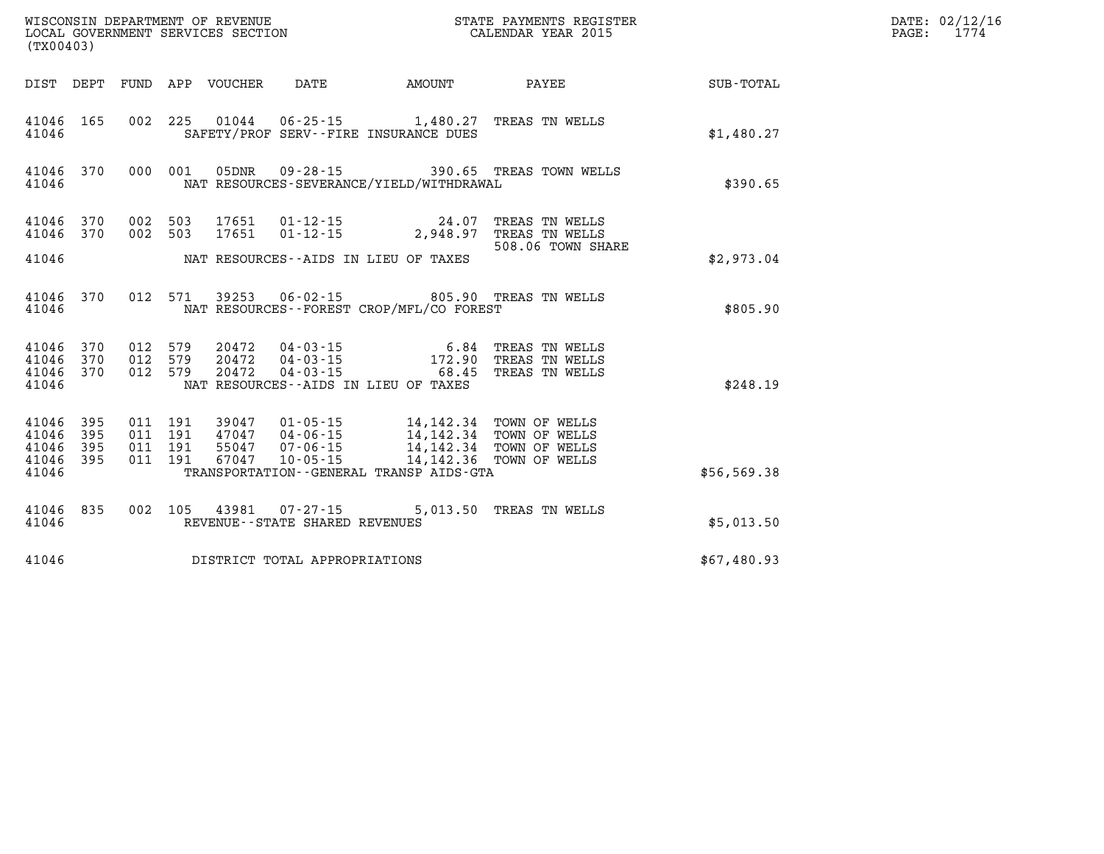| WISCONSIN DEPARTMENT OF REVENUE<br>LOCAL GOVERNMENT SERVICES SECTION FOR THE STATE PAYMENTS REGISTER<br>(TYAQAQQ)<br>(TX00403) |            |  |  |  |                                   |                                                                                                                                                                                                                                                                                                                                  |                                                |                                                    | DATE: 02/12/16<br>PAGE: 1774 |
|--------------------------------------------------------------------------------------------------------------------------------|------------|--|--|--|-----------------------------------|----------------------------------------------------------------------------------------------------------------------------------------------------------------------------------------------------------------------------------------------------------------------------------------------------------------------------------|------------------------------------------------|----------------------------------------------------|------------------------------|
|                                                                                                                                |            |  |  |  |                                   |                                                                                                                                                                                                                                                                                                                                  |                                                | DIST DEPT FUND APP VOUCHER DATE AMOUNT PAYEE TOTAL |                              |
| 41046 165<br>41046                                                                                                             |            |  |  |  |                                   | 002 225 01044 06-25-15 1,480.27 TREAS TN WELLS<br>SAFETY/PROF SERV--FIRE INSURANCE DUES                                                                                                                                                                                                                                          |                                                | \$1,480.27                                         |                              |
| 41046 370<br>41046                                                                                                             |            |  |  |  |                                   | NAT RESOURCES-SEVERANCE/YIELD/WITHDRAWAL                                                                                                                                                                                                                                                                                         | 000 001 05DNR 09-28-15 390.65 TREAS TOWN WELLS | \$390.65                                           |                              |
| 41046 370<br>41046 370                                                                                                         |            |  |  |  |                                   | 002 503 17651 01-12-15 24.07 TREAS TN WELLS<br>002 503 17651 01-12-15 2,948.97 TREAS TN WELLS                                                                                                                                                                                                                                    | 508.06 TOWN SHARE                              |                                                    |                              |
| 41046                                                                                                                          |            |  |  |  |                                   | NAT RESOURCES--AIDS IN LIEU OF TAXES                                                                                                                                                                                                                                                                                             |                                                | \$2,973.04                                         |                              |
| 41046 370<br>41046                                                                                                             |            |  |  |  |                                   | 012 571 39253 06-02-15 805.90 TREAS TN WELLS<br>NAT RESOURCES - - FOREST CROP/MFL/CO FOREST                                                                                                                                                                                                                                      |                                                | \$805.90                                           |                              |
| 41046<br>41046 370<br>41046 370<br>41046                                                                                       | 370        |  |  |  |                                   | 012 579 20472 04-03-15 6.84 TREAS TN WELLS<br>012 579 20472 04-03-15 172.90 TREAS TN WELLS<br>012 579 20472 04-03-15 68.45 TREAS TN WELLS<br>NAT RESOURCES--AIDS IN LIEU OF TAXES                                                                                                                                                |                                                | \$248.19                                           |                              |
| 41046<br>41046 395<br>41046<br>41046 395<br>41046                                                                              | 395<br>395 |  |  |  |                                   | $\begin{tabular}{cccc} 011 & 191 & 39047 & 01-05-15 & 14,142.34 & TOWN OF WELLS \\ 011 & 191 & 47047 & 04-06-15 & 14,142.34 & TOWN OF WELLS \\ 011 & 191 & 55047 & 07-06-15 & 14,142.34 & TOWN OF WELLS \\ 011 & 191 & 67047 & 10-05-15 & 14,142.36 & TOWN OF WELLS \\ \end{tabular}$<br>TRANSPORTATION--GENERAL TRANSP AIDS-GTA |                                                | \$56, 569.38                                       |                              |
| 41046 835<br>41046                                                                                                             |            |  |  |  | REVENUE - - STATE SHARED REVENUES | 002 105 43981 07-27-15 5,013.50 TREAS TN WELLS                                                                                                                                                                                                                                                                                   |                                                | \$5,013.50                                         |                              |
| 41046                                                                                                                          |            |  |  |  | DISTRICT TOTAL APPROPRIATIONS     |                                                                                                                                                                                                                                                                                                                                  |                                                | \$67,480.93                                        |                              |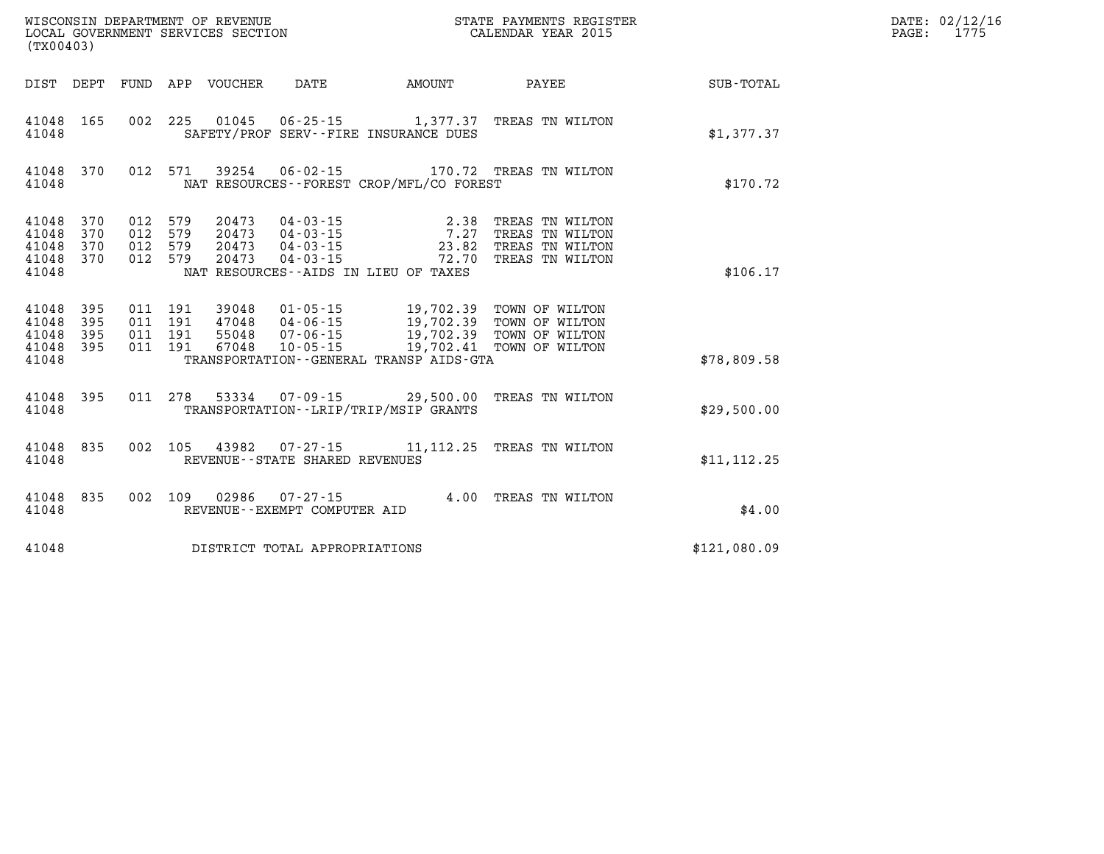| (TX00403)                                 |                          |                          |                          | WISCONSIN DEPARTMENT OF REVENUE<br>LOCAL GOVERNMENT SERVICES SECTION |                                                                      | STATE PAYMENTS REGISTER<br>CALENDAR YEAR 2015                                               |                                                                          |              |  |
|-------------------------------------------|--------------------------|--------------------------|--------------------------|----------------------------------------------------------------------|----------------------------------------------------------------------|---------------------------------------------------------------------------------------------|--------------------------------------------------------------------------|--------------|--|
| DIST                                      | DEPT                     | FUND                     | APP                      | VOUCHER                                                              | DATE                                                                 | AMOUNT                                                                                      | PAYEE                                                                    | SUB-TOTAL    |  |
| 41048<br>41048                            | 165                      | 002                      | 225                      | 01045                                                                |                                                                      | 06-25-15 1,377.37<br>SAFETY/PROF SERV--FIRE INSURANCE DUES                                  | TREAS TN WILTON                                                          | \$1,377.37   |  |
| 41048<br>41048                            | 370                      | 012                      | 571                      | 39254                                                                | $06 - 02 - 15$                                                       | NAT RESOURCES--FOREST CROP/MFL/CO FOREST                                                    | 170.72 TREAS TN WILTON                                                   | \$170.72     |  |
| 41048<br>41048<br>41048<br>41048<br>41048 | 370<br>370<br>370<br>370 | 012<br>012<br>012<br>012 | 579<br>579<br>579<br>579 | 20473<br>20473<br>20473<br>20473                                     | $04 - 03 - 15$<br>$04 - 03 - 15$<br>$04 - 03 - 15$<br>$04 - 03 - 15$ | 2.38<br>7.27<br>23.82<br>72.70<br>NAT RESOURCES -- AIDS IN LIEU OF TAXES                    | TREAS TN WILTON<br>TREAS TN WILTON<br>TREAS TN WILTON<br>TREAS TN WILTON | \$106.17     |  |
| 41048<br>41048<br>41048<br>41048<br>41048 | 395<br>395<br>395<br>395 | 011<br>011<br>011<br>011 | 191<br>191<br>191<br>191 | 39048<br>47048<br>55048<br>67048                                     | $01 - 05 - 15$<br>04-06-15<br>07-06-15<br>$10 - 05 - 15$             | 19,702.39<br>19,702.39<br>19,702.39<br>19,702.41<br>TRANSPORTATION--GENERAL TRANSP AIDS-GTA | TOWN OF WILTON<br>TOWN OF WILTON<br>TOWN OF WILTON<br>TOWN OF WILTON     | \$78,809.58  |  |
| 41048<br>41048                            | 395                      | 011                      | 278                      | 53334                                                                |                                                                      | $07 - 09 - 15$ 29,500.00<br>TRANSPORTATION--LRIP/TRIP/MSIP GRANTS                           | TREAS TN WILTON                                                          | \$29,500.00  |  |
| 41048<br>41048                            | 835                      | 002                      | 105                      | 43982                                                                | $07 - 27 - 15$<br>REVENUE - - STATE SHARED REVENUES                  | 11, 112. 25                                                                                 | TREAS TN WILTON                                                          | \$11, 112.25 |  |
| 41048<br>41048                            | 835                      | 002                      | 109                      | 02986                                                                | $07 - 27 - 15$<br>REVENUE--EXEMPT COMPUTER AID                       | 4.00                                                                                        | TREAS TN WILTON                                                          | \$4.00       |  |
| 41048                                     |                          |                          |                          |                                                                      | DISTRICT TOTAL APPROPRIATIONS                                        |                                                                                             |                                                                          | \$121,080.09 |  |

**LOCAL GOVER SERVICE: 02/12/16<br>PAGE: 1775**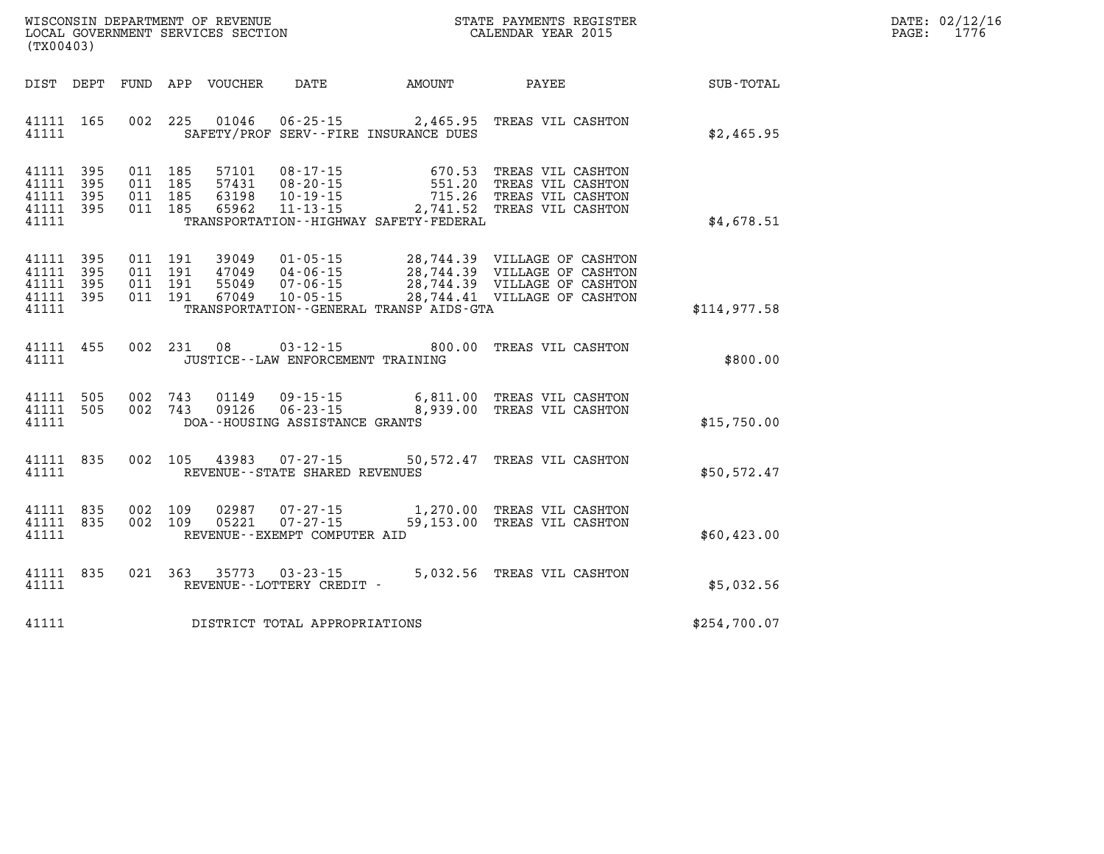| WISCONSIN DEPARTMENT OF REVENUE      | PAYMENTS REGISTER<br>"TATE | DATE: | $\frac{1}{2}$ : 02/12/14 |
|--------------------------------------|----------------------------|-------|--------------------------|
| LOCAL<br>GOVERNMENT SERVICES SECTION | CALENDAR YEAR 2015         | PAGF  | 1.7.7                    |

| (TX00403)                                                             |                          |                                                              |                                                                      |                                                                                       |                                                                                                                              |              |
|-----------------------------------------------------------------------|--------------------------|--------------------------------------------------------------|----------------------------------------------------------------------|---------------------------------------------------------------------------------------|------------------------------------------------------------------------------------------------------------------------------|--------------|
| DEPT<br>DIST                                                          | <b>FUND</b>              | APP<br>VOUCHER                                               | DATE                                                                 | AMOUNT                                                                                | PAYEE                                                                                                                        | SUB-TOTAL    |
| 41111<br>165<br>41111                                                 | 002                      | 225<br>01046                                                 | $06 - 25 - 15$                                                       | 2,465.95<br>SAFETY/PROF SERV--FIRE INSURANCE DUES                                     | TREAS VIL CASHTON                                                                                                            | \$2,465.95   |
| 395<br>41111<br>395<br>41111<br>41111<br>395<br>41111<br>395<br>41111 | 011<br>011<br>011<br>011 | 185<br>57101<br>185<br>57431<br>185<br>63198<br>185<br>65962 | $08 - 17 - 15$<br>$08 - 20 - 15$<br>$10 - 19 - 15$<br>$11 - 13 - 15$ | 670.53<br>551.20<br>715.26<br>2,741.52<br>TRANSPORTATION - - HIGHWAY SAFETY - FEDERAL | TREAS VIL CASHTON<br>TREAS VIL CASHTON<br>TREAS VIL CASHTON<br>TREAS VIL CASHTON                                             | \$4,678.51   |
| 41111<br>395<br>41111<br>395<br>41111<br>395<br>41111<br>395<br>41111 | 011<br>011<br>011<br>011 | 191<br>39049<br>191<br>47049<br>191<br>55049<br>191<br>67049 | $01 - 05 - 15$<br>$04 - 06 - 15$<br>$07 - 06 - 15$<br>$10 - 05 - 15$ | TRANSPORTATION - - GENERAL TRANSP AIDS - GTA                                          | 28,744.39 VILLAGE OF CASHTON<br>28,744.39 VILLAGE OF CASHTON<br>28,744.39 VILLAGE OF CASHTON<br>28,744.41 VILLAGE OF CASHTON | \$114,977.58 |
| 455<br>41111<br>41111                                                 | 002                      | 231<br>08                                                    | $03 - 12 - 15$<br>JUSTICE - - LAW ENFORCEMENT TRAINING               | 800.00                                                                                | TREAS VIL CASHTON                                                                                                            | \$800.00     |
| 41111<br>505<br>41111<br>505<br>41111                                 | 002<br>002               | 743<br>01149<br>743<br>09126                                 | $09 - 15 - 15$<br>$06 - 23 - 15$<br>DOA--HOUSING ASSISTANCE GRANTS   | 8,939.00                                                                              | 6,811.00 TREAS VIL CASHTON<br>TREAS VIL CASHTON                                                                              | \$15,750.00  |
| 835<br>41111<br>41111                                                 | 002                      | 105                                                          | 43983 07-27-15<br>REVENUE - - STATE SHARED REVENUES                  |                                                                                       | 50,572.47 TREAS VIL CASHTON                                                                                                  | \$50,572.47  |
| 835<br>41111<br>41111<br>835<br>41111                                 | 002<br>002               | 109<br>02987<br>109<br>05221                                 | $07 - 27 - 15$<br>$07 - 27 - 15$<br>REVENUE - - EXEMPT COMPUTER AID  | 1,270.00<br>59,153.00                                                                 | TREAS VIL CASHTON<br>TREAS VIL CASHTON                                                                                       | \$60,423.00  |
| 41111<br>835<br>41111                                                 | 021                      | 363<br>35773                                                 | $03 - 23 - 15$<br>REVENUE - - LOTTERY CREDIT -                       | 5,032.56                                                                              | TREAS VIL CASHTON                                                                                                            | \$5,032.56   |
| 41111                                                                 |                          |                                                              | DISTRICT TOTAL APPROPRIATIONS                                        |                                                                                       |                                                                                                                              | \$254,700.07 |

WISCONSIN DEPARTMENT OF REVENUE **STATE PAYMENTS REGISTER**<br>LOCAL GOVERNMENT SERVICES SECTION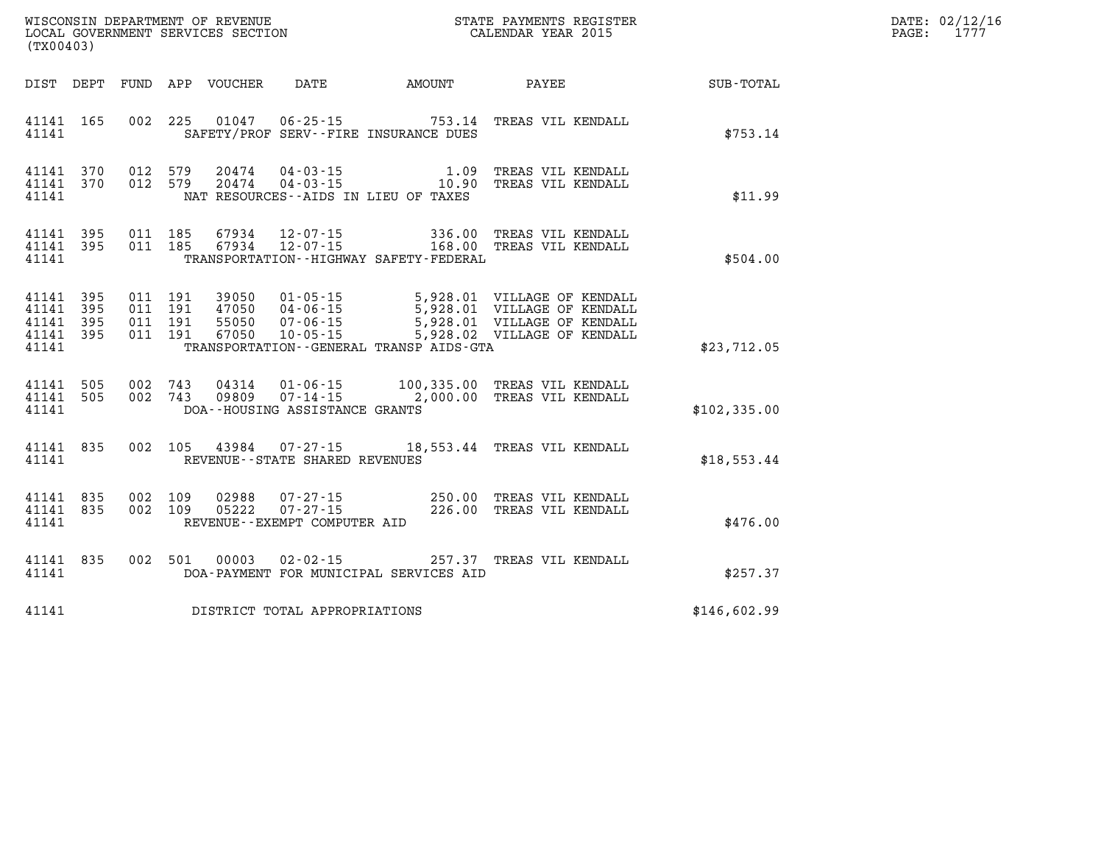| (TX00403)                              |                                            |  |         |                        |                                |                                              |                                                                                                                                                                                                                                             |              | DATE: 02/12/16<br>PAGE: 1777 |
|----------------------------------------|--------------------------------------------|--|---------|------------------------|--------------------------------|----------------------------------------------|---------------------------------------------------------------------------------------------------------------------------------------------------------------------------------------------------------------------------------------------|--------------|------------------------------|
|                                        |                                            |  |         |                        |                                |                                              | DIST DEPT FUND APP VOUCHER DATE AMOUNT PAYEE SUB-TOTAL                                                                                                                                                                                      |              |                              |
|                                        | 41141 165                                  |  |         |                        |                                | 41141 SAFETY/PROF SERV--FIRE INSURANCE DUES  | 002 225 01047 06-25-15 753.14 TREAS VIL KENDALL                                                                                                                                                                                             | \$753.14     |                              |
| 41141                                  |                                            |  |         |                        |                                | NAT RESOURCES--AIDS IN LIEU OF TAXES         | $\begin{array}{cccc} 41141 & 370 & 012 & 579 & 20474 & 04\,\text{-}03\,\text{-}15 & & & 1.09 & \text{TREAS VIL KENDALL} \\ 41141 & 370 & 012 & 579 & 20474 & 04\,\text{-}03\,\text{-}15 & & & 10.90 & \text{TREAS VIL KENDALL} \end{array}$ | \$11.99      |                              |
| 41141                                  | 41141 395<br>41141 395                     |  |         |                        |                                | TRANSPORTATION - - HIGHWAY SAFETY - FEDERAL  | 011 185 67934 12-07-15 336.00 TREAS VIL KENDALL 011 185 67934 12-07-15 168.00 TREAS VIL KENDALL                                                                                                                                             | \$504.00     |                              |
| 41141<br>41141                         | 41141 395<br>41141 395<br>395<br>41141 395 |  |         |                        |                                | TRANSPORTATION - - GENERAL TRANSP AIDS - GTA |                                                                                                                                                                                                                                             | \$23,712.05  |                              |
| 41141                                  |                                            |  |         |                        | DOA--HOUSING ASSISTANCE GRANTS |                                              | $\begin{array}{cccc} 41141 & 505 & 002 & 743 & 04314 & 01\cdot 06\cdot 15 & 100\,, 335\,.00 & \text{TREAS VIL KENDALL} \\ 41141 & 505 & 002 & 743 & 09809 & 07\cdot 14\cdot 15 & 2\,, 000\,.00 & \text{TREAS VIL KENDALL} \end{array}$      | \$102,335.00 |                              |
|                                        | 41141 835<br>41141                         |  |         |                        | REVENUE--STATE SHARED REVENUES |                                              | 002 105 43984 07-27-15 18,553.44 TREAS VIL KENDALL                                                                                                                                                                                          | \$18,553.44  |                              |
| 41141                                  | 41141 835<br>41141 835                     |  | 002 109 | 002 109 02988<br>05222 | REVENUE--EXEMPT COMPUTER AID   |                                              | 07-27-15   250.00 TREAS VIL KENDALL<br>07-27-15   226.00 TREAS VIL KENDALL                                                                                                                                                                  | \$476.00     |                              |
| 41141                                  | 41141 835                                  |  |         | 002 501 00003          |                                | DOA-PAYMENT FOR MUNICIPAL SERVICES AID       | 02-02-15 257.37 TREAS VIL KENDALL                                                                                                                                                                                                           | \$257.37     |                              |
| DISTRICT TOTAL APPROPRIATIONS<br>41141 |                                            |  |         |                        |                                |                                              |                                                                                                                                                                                                                                             | \$146,602.99 |                              |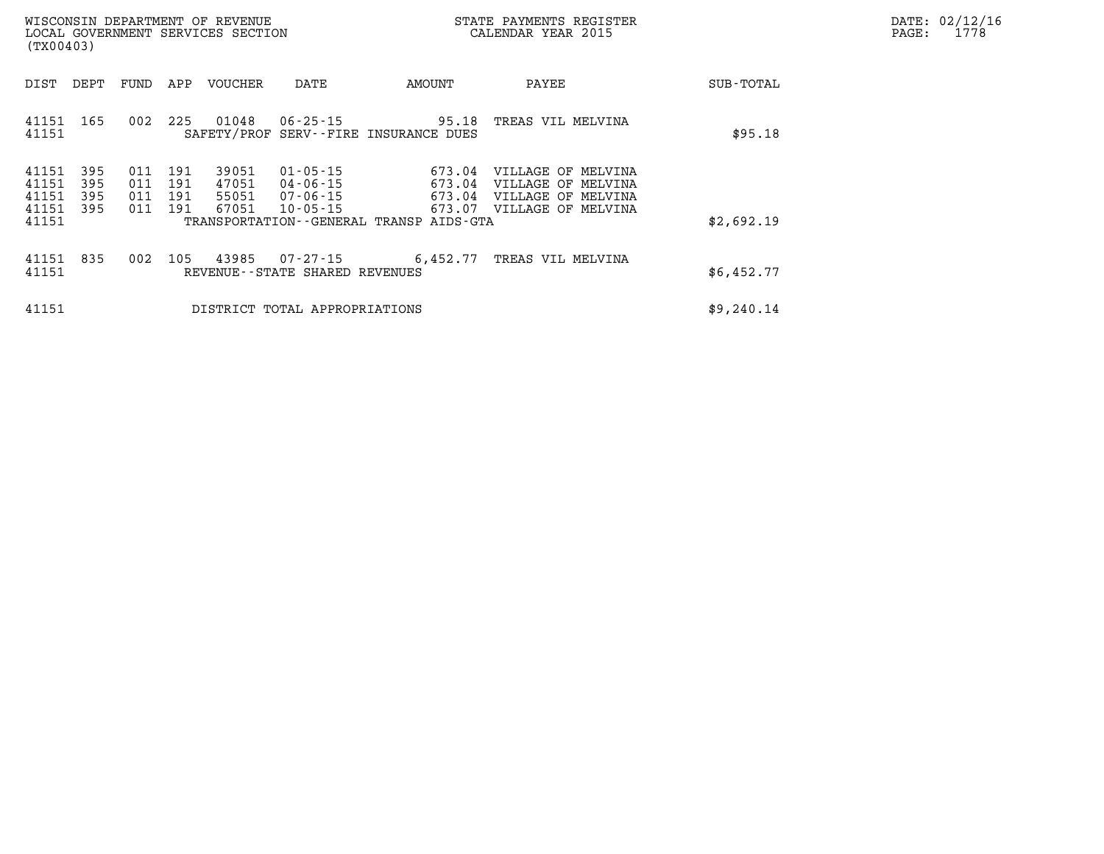| DATE: | 02/12/16 |
|-------|----------|
| PAGE: | 1778     |

| (TX00403)                                                          | WISCONSIN DEPARTMENT OF REVENUE<br>LOCAL GOVERNMENT SERVICES SECTION                                                                                                                      |                            | STATE PAYMENTS REGISTER<br>CALENDAR YEAR 2015                                               |            | DATE: 02/12/1<br>PAGE:<br>1778 |
|--------------------------------------------------------------------|-------------------------------------------------------------------------------------------------------------------------------------------------------------------------------------------|----------------------------|---------------------------------------------------------------------------------------------|------------|--------------------------------|
| DEPT<br>DIST                                                       | FUND<br>APP<br>VOUCHER<br>DATE                                                                                                                                                            | AMOUNT                     | PAYEE                                                                                       | SUB-TOTAL  |                                |
| 41151 165<br>41151                                                 | 002<br>225<br>01048<br>SAFETY/PROF SERV--FIRE INSURANCE DUES                                                                                                                              | 06-25-15 95.18             | TREAS VIL MELVINA                                                                           | \$95.18    |                                |
| 395<br>41151<br>41151<br>395<br>41151<br>395<br>41151 395<br>41151 | 011<br>39051<br>$01 - 05 - 15$<br>191<br>011<br>191<br>47051<br>04-06-15<br>011<br>191<br>55051<br>07-06-15<br>011<br>191<br>67051<br>10-05-15<br>TRANSPORTATION--GENERAL TRANSP AIDS-GTA | 673.04<br>673.04<br>673.04 | VILLAGE OF MELVINA<br>VILLAGE OF MELVINA<br>VILLAGE OF MELVINA<br>673.07 VILLAGE OF MELVINA | \$2,692.19 |                                |
| 41151 835<br>41151                                                 | 002<br>105<br>43985<br>07-27-15<br>REVENUE - - STATE SHARED REVENUES                                                                                                                      | 6,452.77                   | TREAS VIL MELVINA                                                                           | \$6,452.77 |                                |
| 41151                                                              | DISTRICT TOTAL APPROPRIATIONS                                                                                                                                                             |                            |                                                                                             | \$9,240.14 |                                |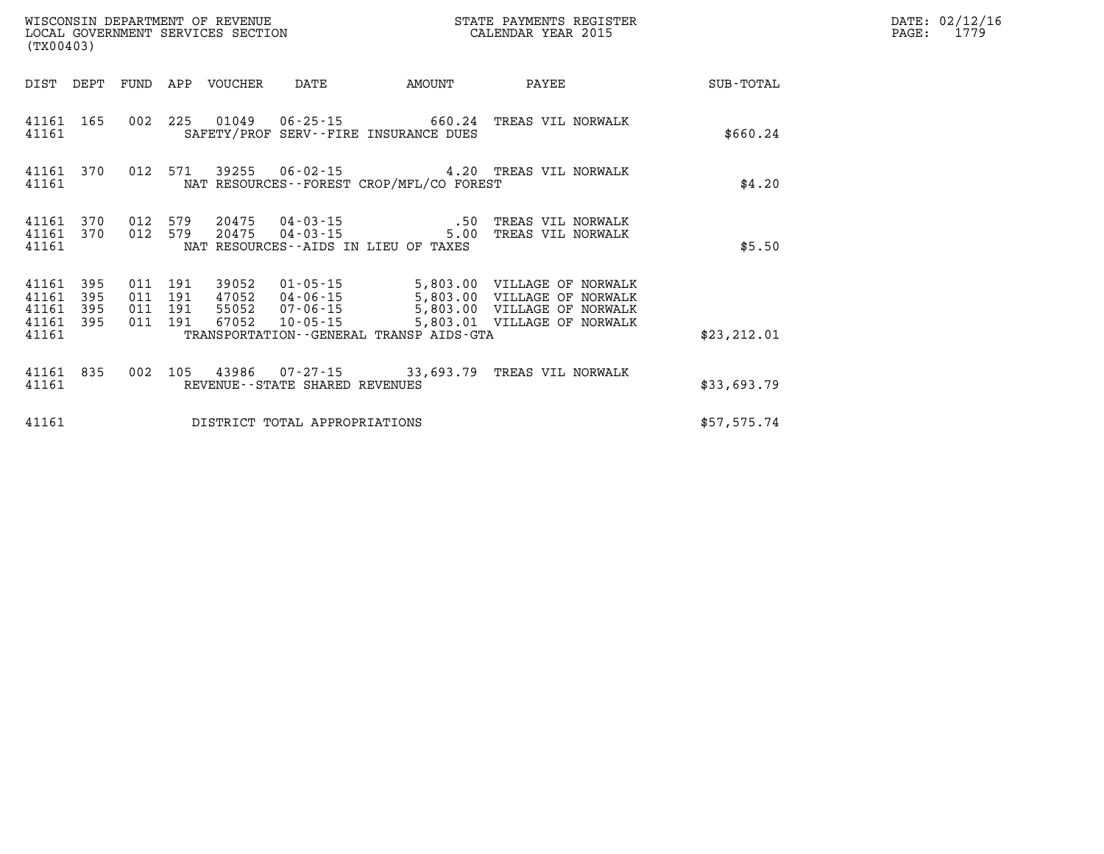| WISCONSIN DEPARTMENT OF REVENUE<br>LOCAL GOVERNMENT SERVICES SECTION<br>(TX00403) |            |         |                               |                            |                                |                                          | STATE PAYMENTS REGISTER<br>CALENDAR YEAR 2015                                                                                                                         |              | DATE: 02/12/16<br>$\mathtt{PAGE}$ :<br>1779 |
|-----------------------------------------------------------------------------------|------------|---------|-------------------------------|----------------------------|--------------------------------|------------------------------------------|-----------------------------------------------------------------------------------------------------------------------------------------------------------------------|--------------|---------------------------------------------|
|                                                                                   |            |         |                               | DIST DEPT FUND APP VOUCHER | DATE                           | AMOUNT                                   | PAYEE                                                                                                                                                                 | SUB-TOTAL    |                                             |
| 41161                                                                             |            |         |                               |                            |                                | SAFETY/PROF SERV--FIRE INSURANCE DUES    | 41161 165 002 225 01049 06-25-15 660.24 TREAS VIL NORWALK                                                                                                             | \$660.24     |                                             |
| 41161                                                                             | 41161 370  |         |                               |                            |                                | NAT RESOURCES--FOREST CROP/MFL/CO FOREST | 012 571 39255 06-02-15 4.20 TREAS VIL NORWALK                                                                                                                         | \$4.20       |                                             |
| 41161                                                                             | 41161 370  |         |                               | 41161 370 012 579 20475    | 012 579 20475 04-03-15         | NAT RESOURCES -- AIDS IN LIEU OF TAXES   | 5.00 TREAS VIL NORWALK                                                                                                                                                | \$5.50       |                                             |
| 41161 395<br>41161<br>41161<br>41161 395<br>41161                                 | 395<br>395 | 011 191 | 011 191<br>011 191<br>011 191 | 39052<br>47052<br>55052    |                                | TRANSPORTATION--GENERAL TRANSP AIDS-GTA  | 01-05-15 5,803.00 VILLAGE OF NORWALK<br>04-06-15 5,803.00 VILLAGE OF NORWALK<br>07-06-15 5,803.00 VILLAGE OF NORWALK<br>67052  10-05-15  5,803.01  VILLAGE OF NORWALK | \$23, 212.01 |                                             |
| 41161                                                                             | 41161 835  |         |                               |                            | REVENUE--STATE SHARED REVENUES |                                          | 002 105 43986 07-27-15 33,693.79 TREAS VIL NORWALK                                                                                                                    | \$33,693.79  |                                             |
| 41161                                                                             |            |         |                               |                            | DISTRICT TOTAL APPROPRIATIONS  |                                          |                                                                                                                                                                       | \$57,575.74  |                                             |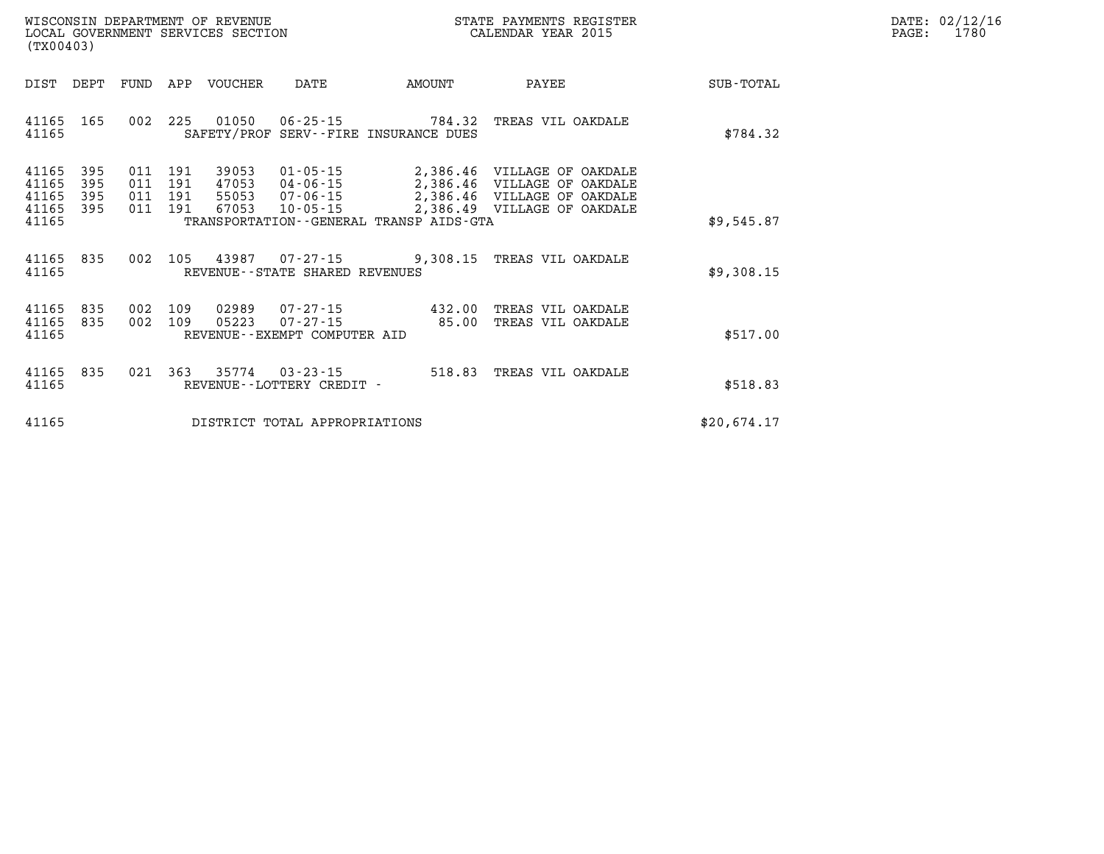| WISCONSIN DEPARTMENT OF REVENUE      | PAYMENTS REGISTER<br>3TATE | DATE: | 02/12/16 |
|--------------------------------------|----------------------------|-------|----------|
| GOVERNMENT SERVICES SECTION<br>LOCAL | CALENDAR YEAR 2015         | PAGE  | 1780     |

| LOCAL GOVERNMENT SERVICES SECTION<br>(TX00403) |                   |                    |                |                |                                                            | CALENDAR YEAR 2015                      | PAGE:                                                                                     | 1780        |  |  |
|------------------------------------------------|-------------------|--------------------|----------------|----------------|------------------------------------------------------------|-----------------------------------------|-------------------------------------------------------------------------------------------|-------------|--|--|
| DIST                                           | DEPT              | FUND               |                | APP VOUCHER    | DATE                                                       | AMOUNT                                  | PAYEE                                                                                     | SUB-TOTAL   |  |  |
| 41165 165<br>41165                             |                   |                    |                |                |                                                            | SAFETY/PROF SERV--FIRE INSURANCE DUES   | 002  225  01050  06-25-15  784.32  TREAS VIL OAKDALE                                      | \$784.32    |  |  |
| 41165<br>41165<br>41165                        | 395<br>395<br>395 | 011<br>011 191     | 191<br>011 191 | 39053<br>47053 | $01 - 05 - 15$<br>04-06-15<br>55053 07-06-15               |                                         | 2,386.46 VILLAGE OF OAKDALE<br>2,386.46 VILLAGE OF OAKDALE<br>2,386.46 VILLAGE OF OAKDALE |             |  |  |
| 41165<br>41165                                 | 395               |                    | 011 191        | 67053          | 10-05-15                                                   | TRANSPORTATION--GENERAL TRANSP AIDS-GTA | 2,386.49 VILLAGE OF OAKDALE                                                               | \$9,545.87  |  |  |
| 41165 835<br>41165                             |                   |                    |                |                | REVENUE--STATE SHARED REVENUES                             |                                         | 002 105 43987 07-27-15 9,308.15 TREAS VIL OAKDALE                                         | \$9,308.15  |  |  |
| 41165<br>41165 835<br>41165                    | 835               | 002 109<br>002 109 |                | 02989<br>05223 | $07 - 27 - 15$<br>07-27-15<br>REVENUE--EXEMPT COMPUTER AID | 432.00<br>85.00                         | TREAS VIL OAKDALE<br>TREAS VIL OAKDALE                                                    | \$517.00    |  |  |
| 41165<br>41165                                 | 835               |                    |                |                | 021 363 35774 03-23-15<br>REVENUE - - LOTTERY CREDIT -     |                                         | 518.83 TREAS VIL OAKDALE                                                                  | \$518.83    |  |  |
| 41165                                          |                   |                    |                |                | DISTRICT TOTAL APPROPRIATIONS                              |                                         |                                                                                           | \$20,674.17 |  |  |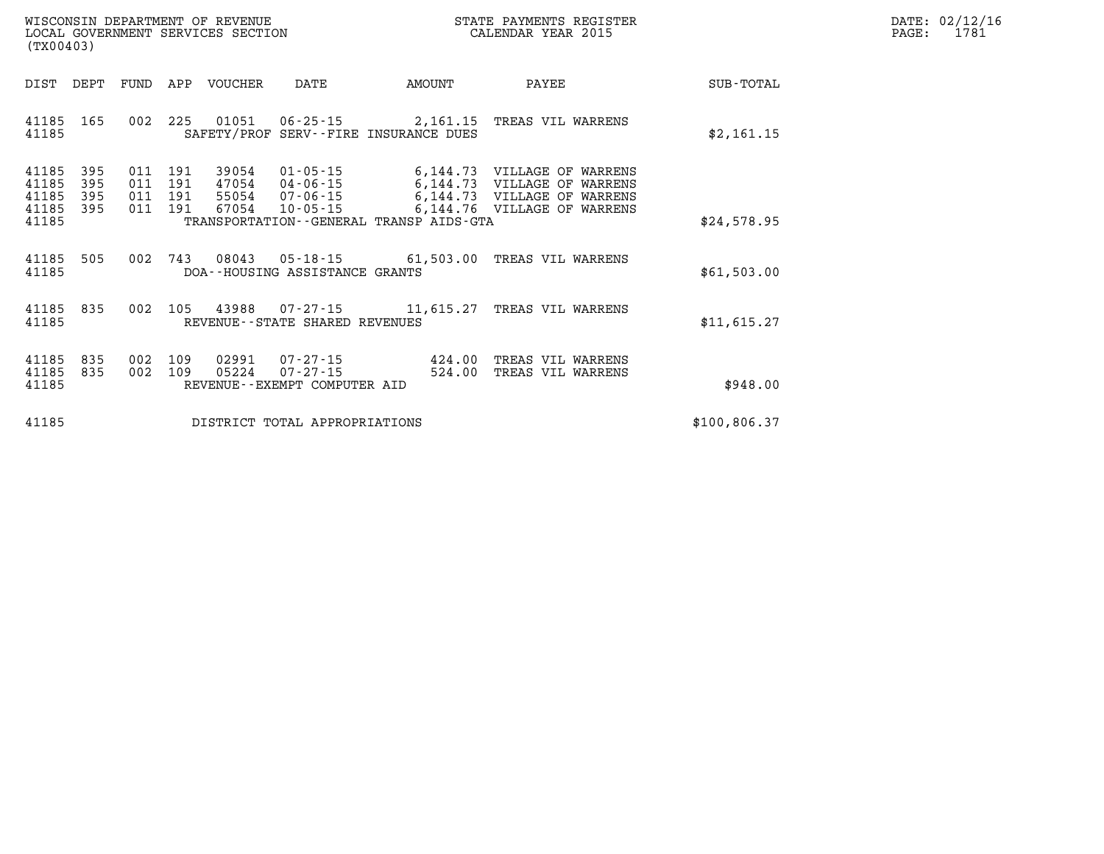| DATE:             | 02/12/16 |
|-------------------|----------|
| $\mathtt{PAGE}$ : | 1781     |

| (TX00403)                        |                          |                          |                          | WISCONSIN DEPARTMENT OF REVENUE<br>LOCAL GOVERNMENT SERVICES SECTION |                                                     |                                                                      | STATE PAYMENTS REGISTER<br>CALENDAR YEAR 2015                                                          |              |
|----------------------------------|--------------------------|--------------------------|--------------------------|----------------------------------------------------------------------|-----------------------------------------------------|----------------------------------------------------------------------|--------------------------------------------------------------------------------------------------------|--------------|
| DIST                             | DEPT                     | <b>FUND</b>              | APP                      | <b>VOUCHER</b>                                                       | DATE                                                | AMOUNT                                                               | PAYEE                                                                                                  | SUB-TOTAL    |
| 41185<br>41185                   | 165                      | 002                      | 225                      |                                                                      |                                                     | $01051$ $06-25-15$ 2,161.15<br>SAFETY/PROF SERV--FIRE INSURANCE DUES | TREAS VIL WARRENS                                                                                      | \$2,161.15   |
| 41185<br>41185<br>41185<br>41185 | 395<br>395<br>395<br>395 | 011<br>011<br>011<br>011 | 191<br>191<br>191<br>191 | 39054<br>47054<br>55054<br>67054                                     | 01-05-15<br>04-06-15<br>07-06-15<br>$10 - 05 - 15$  | 6,144.73<br>6,144.73                                                 | VILLAGE OF WARRENS<br>VILLAGE OF WARRENS<br>6,144.73 VILLAGE OF WARRENS<br>6,144.76 VILLAGE OF WARRENS |              |
| 41185                            |                          |                          |                          |                                                                      |                                                     | TRANSPORTATION--GENERAL TRANSP AIDS-GTA                              |                                                                                                        | \$24,578.95  |
| 41185<br>41185                   | 505                      | 002                      | 743                      |                                                                      | DOA--HOUSING ASSISTANCE GRANTS                      | 08043 05-18-15 61,503.00                                             | TREAS VIL WARRENS                                                                                      | \$61,503.00  |
| 41185<br>41185                   | 835                      | 002                      | 105                      | 43988                                                                | $07 - 27 - 15$<br>REVENUE - - STATE SHARED REVENUES | 11,615.27                                                            | TREAS VIL WARRENS                                                                                      | \$11,615.27  |
| 41185<br>41185<br>41185          | 835<br>835               | 002<br>002               | 109<br>109               | 02991<br>05224                                                       | $07 - 27 - 15$<br>REVENUE--EXEMPT COMPUTER AID      | $07 - 27 - 15$ 424.00<br>524.00                                      | TREAS VIL WARRENS<br>TREAS VIL WARRENS                                                                 | \$948.00     |
| 41185                            |                          |                          |                          |                                                                      | DISTRICT TOTAL APPROPRIATIONS                       |                                                                      |                                                                                                        | \$100,806.37 |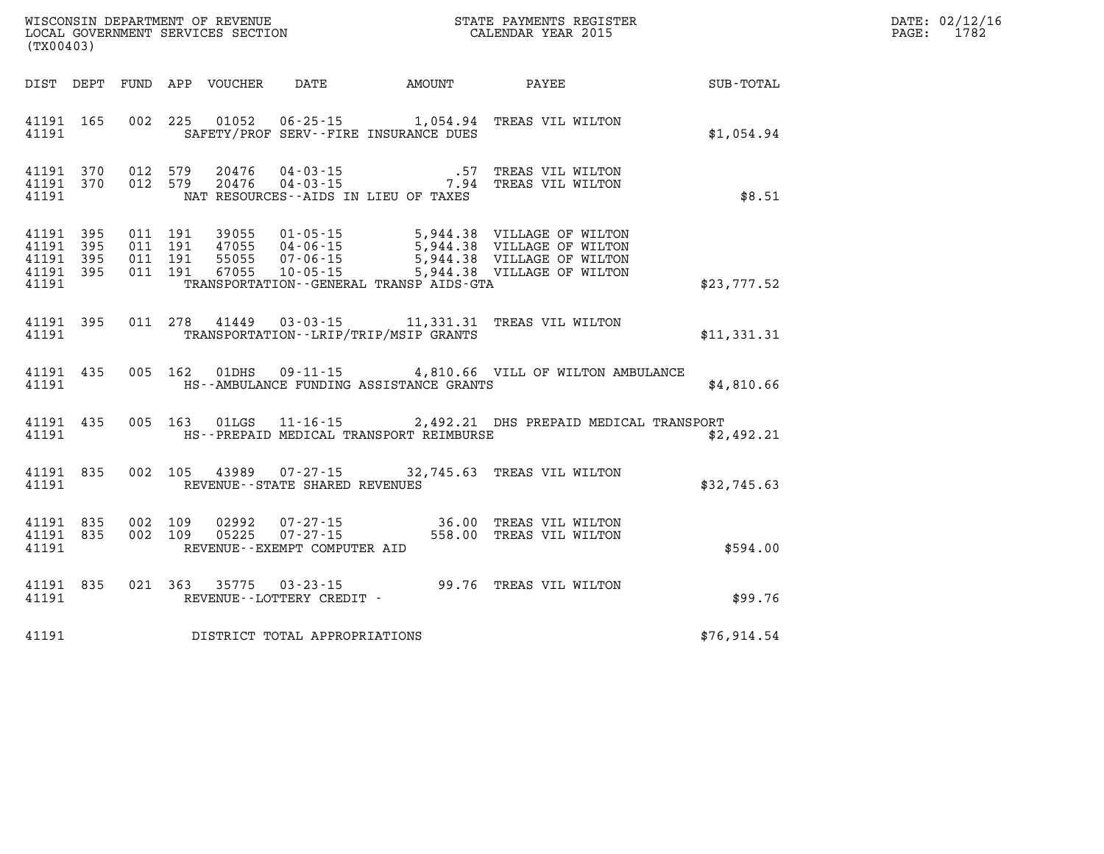| (TX00403)                                                 |           |  |                                       |                                              |                                                                                                                                                                                                                                             | DATE: 02/12/16<br>PAGE: 1782                  |  |
|-----------------------------------------------------------|-----------|--|---------------------------------------|----------------------------------------------|---------------------------------------------------------------------------------------------------------------------------------------------------------------------------------------------------------------------------------------------|-----------------------------------------------|--|
|                                                           |           |  |                                       | DIST DEPT FUND APP VOUCHER DATE AMOUNT PAYEE |                                                                                                                                                                                                                                             | $\operatorname{SUB}$ - $\operatorname{TOTAL}$ |  |
| 41191                                                     |           |  |                                       | SAFETY/PROF SERV--FIRE INSURANCE DUES        | 41191 165 002 225 01052 06-25-15 1,054.94 TREAS VIL WILTON                                                                                                                                                                                  | \$1.054.94                                    |  |
| 41191                                                     |           |  |                                       | NAT RESOURCES--AIDS IN LIEU OF TAXES         | $\begin{array}{cccc} 41191 & 370 & 012 & 579 & 20476 & 04\cdot 03\cdot 15 & \text{.57} & \text{TREAS VIL WILTON} \\ 41191 & 370 & 012 & 579 & 20476 & 04\cdot 03\cdot 15 & \text{.799} & \text{7.94} & \text{TREAS VIL WILTON} \end{array}$ | \$8.51                                        |  |
| 41191 395<br>41191 395<br>41191 395<br>41191 395<br>41191 |           |  |                                       | TRANSPORTATION--GENERAL TRANSP AIDS-GTA      |                                                                                                                                                                                                                                             | \$23,777.52                                   |  |
|                                                           | 41191     |  |                                       | TRANSPORTATION - - LRIP/TRIP/MSIP GRANTS     | 41191 395 011 278 41449 03-03-15 11,331.31 TREAS VIL WILTON                                                                                                                                                                                 | \$11,331.31                                   |  |
|                                                           | 41191     |  |                                       | HS--AMBULANCE FUNDING ASSISTANCE GRANTS      | 41191 435 005 162 01DHS 09-11-15 4,810.66 VILL OF WILTON AMBULANCE                                                                                                                                                                          | \$4.810.66                                    |  |
|                                                           | 41191     |  |                                       | HS--PREPAID MEDICAL TRANSPORT REIMBURSE      | 41191 435 005 163 01LGS 11-16-15 2,492.21 DHS PREPAID MEDICAL TRANSPORT                                                                                                                                                                     | \$2,492.21                                    |  |
|                                                           |           |  | 41191 REVENUE - STATE SHARED REVENUES |                                              | 41191 835 002 105 43989 07-27-15 32,745.63 TREAS VIL WILTON                                                                                                                                                                                 | \$32,745.63                                   |  |
| 41191 835<br>41191                                        | 41191 835 |  | REVENUE--EXEMPT COMPUTER AID          |                                              | 002 109 02992 07-27-15 36.00 TREAS VIL WILTON<br>002 109 05225 07-27-15 558.00 TREAS VIL WILTON                                                                                                                                             | \$594.00                                      |  |
|                                                           |           |  |                                       |                                              | $\begin{tabular}{llllll} 41191 & 835 & 021 & 363 & 35775 & 03-23-15 & & & & 99.76 & \texttt{TREAS VIL WILTON} \\ 41191 & & \texttt{REVENUE--LOTTERY CREDIT} & \texttt{-} & & & & \end{tabular}$                                             | \$99.76                                       |  |
| 41191                                                     |           |  | DISTRICT TOTAL APPROPRIATIONS         |                                              |                                                                                                                                                                                                                                             | \$76,914.54                                   |  |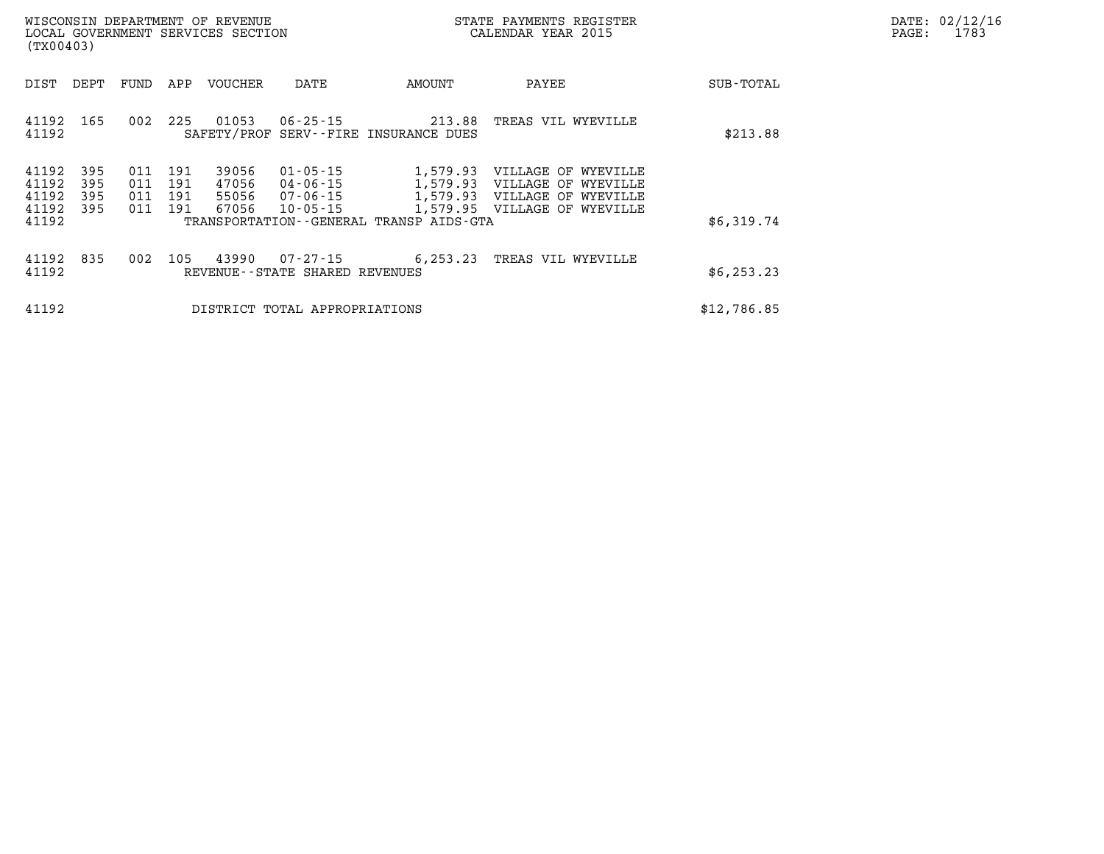| DATE: | 02/12/16 |
|-------|----------|
| PAGE: | 1783     |

| WISCONSIN DEPARTMENT OF REVENUE<br>LOCAL GOVERNMENT SERVICES SECTION<br>(TX00403)                                                                                                                                                   |        | STATE PAYMENTS REGISTER<br>CALENDAR YEAR 2015                |             | DATE: 02/12/1<br>1783<br>PAGE: |
|-------------------------------------------------------------------------------------------------------------------------------------------------------------------------------------------------------------------------------------|--------|--------------------------------------------------------------|-------------|--------------------------------|
| DEPT<br>FUND<br>APP<br>VOUCHER<br>DIST<br>DATE                                                                                                                                                                                      | AMOUNT | PAYEE                                                        | SUB-TOTAL   |                                |
| 225<br>01053<br>41192 165<br>002<br>41192<br>SAFETY/PROF SERV--FIRE INSURANCE DUES                                                                                                                                                  |        |                                                              | \$213.88    |                                |
| - 395<br>191<br>41192<br>011<br>39056<br>01-05-15<br>41192<br>011<br>191<br>395<br>47056<br>41192<br>011<br>191<br>395<br>55056<br>41192 395<br>011<br>191<br>67056<br>10-05-15<br>41192<br>TRANSPORTATION--GENERAL TRANSP AIDS-GTA |        | 1,579.93 VILLAGE OF WYEVILLE<br>1,579.95 VILLAGE OF WYEVILLE | \$6,319.74  |                                |
| 41192 835<br>002<br>105<br>43990<br>41192<br>REVENUE - - STATE SHARED REVENUES                                                                                                                                                      |        | 07-27-15 6,253.23 TREAS VIL WYEVILLE                         | \$6, 253.23 |                                |
| 41192<br>DISTRICT TOTAL APPROPRIATIONS                                                                                                                                                                                              |        |                                                              | \$12,786.85 |                                |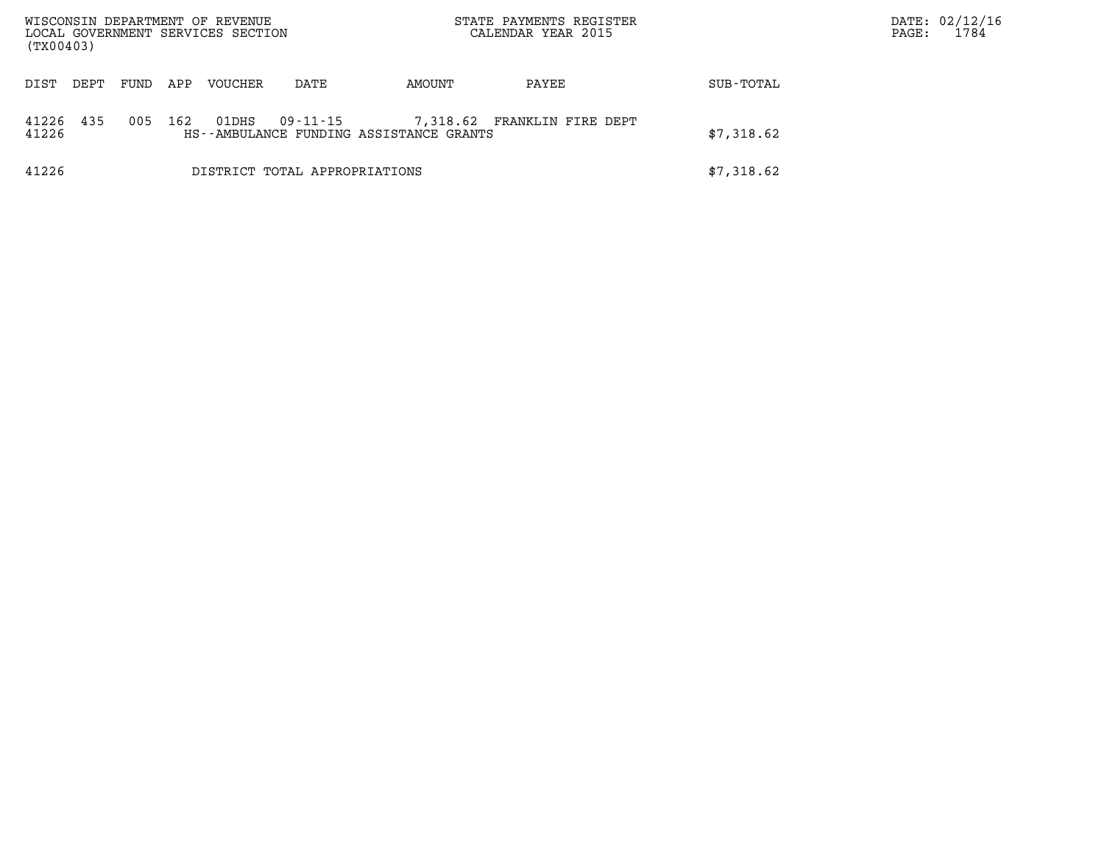| WISCONSIN DEPARTMENT OF REVENUE<br>LOCAL GOVERNMENT SERVICES SECTION<br>(TX00403) |      |      |     |         |                               |                                                     | STATE PAYMENTS REGISTER<br>CALENDAR YEAR 2015 |            | DATE: 02/12/16<br>1784<br>PAGE: |
|-----------------------------------------------------------------------------------|------|------|-----|---------|-------------------------------|-----------------------------------------------------|-----------------------------------------------|------------|---------------------------------|
| DIST                                                                              | DEPT | FUND | APP | VOUCHER | DATE                          | AMOUNT                                              | PAYEE                                         | SUB-TOTAL  |                                 |
| 41226<br>41226                                                                    | 435  | 005  | 162 | 01DHS   | 09-11-15                      | 7,318.62<br>HS--AMBULANCE FUNDING ASSISTANCE GRANTS | FRANKLIN FIRE DEPT                            | \$7,318.62 |                                 |
| 41226                                                                             |      |      |     |         | DISTRICT TOTAL APPROPRIATIONS |                                                     |                                               | \$7,318.62 |                                 |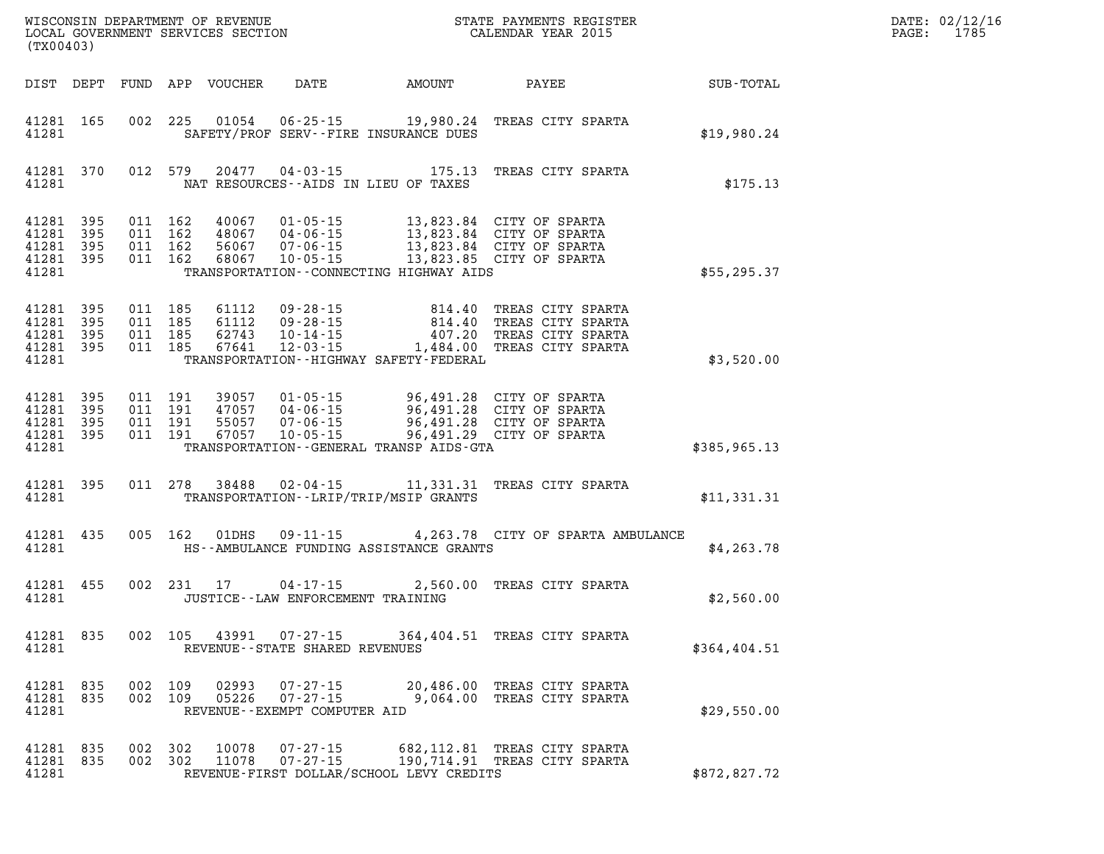| (TX00403)                                                 |                    |                    |                |                                                                  |                                              |                                                                                                                                                                                                                                                                                                                                                      | ER DATE: 02/12/1<br>PAGE: 1785 |  |
|-----------------------------------------------------------|--------------------|--------------------|----------------|------------------------------------------------------------------|----------------------------------------------|------------------------------------------------------------------------------------------------------------------------------------------------------------------------------------------------------------------------------------------------------------------------------------------------------------------------------------------------------|--------------------------------|--|
|                                                           |                    |                    |                |                                                                  |                                              |                                                                                                                                                                                                                                                                                                                                                      |                                |  |
| 41281                                                     | 41281 165          |                    |                |                                                                  | SAFETY/PROF SERV--FIRE INSURANCE DUES        | 002 225 01054 06-25-15 19,980.24 TREAS CITY SPARTA                                                                                                                                                                                                                                                                                                   | \$19,980.24                    |  |
| 41281                                                     | 41281 370          |                    |                |                                                                  | NAT RESOURCES--AIDS IN LIEU OF TAXES         | 012 579 20477 04-03-15 175.13 TREAS CITY SPARTA                                                                                                                                                                                                                                                                                                      | \$175.13                       |  |
| 41281 395<br>41281 395<br>41281 395<br>41281 395<br>41281 |                    |                    |                |                                                                  | TRANSPORTATION - CONNECTING HIGHWAY AIDS     | 011 162 40067 01-05-15 13,823.84 CITY OF SPARTA<br>011 162 48067 04-06-15 13,823.84 CITY OF SPARTA<br>011 162 56067 07-06-15 13,823.84 CITY OF SPARTA<br>011 162 68067 10-05-15 13,823.85 CITY OF SPARTA                                                                                                                                             | \$55,295.37                    |  |
| 41281 395<br>41281 395<br>41281 395<br>41281 395<br>41281 |                    |                    |                |                                                                  | TRANSPORTATION - - HIGHWAY SAFETY - FEDERAL  | $\begin{array}{cccc} 011 & 185 & 61112 & 09\text{-}28\text{-}15 & 814.40 & \text{TREAS CITY SPARTA} \\ 011 & 185 & 61112 & 09\text{-}28\text{-}15 & 814.40 & \text{TREAS CITY SPARTA} \\ 011 & 185 & 62743 & 10\text{-}14\text{-}15 & 407.20 & \text{TREAS CITY SPARTA} \\ 011 & 185 & 67641 & 12\text{-}03\text{-}15 & 1,484.00 & \text{TREAS CITY$ | \$3,520.00                     |  |
| 41281 395<br>41281 395<br>41281 395<br>41281 395<br>41281 |                    |                    |                |                                                                  | TRANSPORTATION - - GENERAL TRANSP AIDS - GTA | 011 191 39057 01-05-15 96,491.28 CITY OF SPARTA<br>011 191 47057 04-06-15 96,491.28 CITY OF SPARTA<br>011 191 55057 07-06-15 96,491.28 CITY OF SPARTA<br>011 191 67057 10-05-15 96,491.29 CITY OF SPARTA                                                                                                                                             | \$385,965.13                   |  |
| 41281                                                     | 41281 395          |                    |                |                                                                  | TRANSPORTATION--LRIP/TRIP/MSIP GRANTS        | 011 278 38488 02-04-15 11,331.31 TREAS CITY SPARTA                                                                                                                                                                                                                                                                                                   | \$11,331.31                    |  |
| 41281                                                     | 41281 435          |                    |                |                                                                  | HS--AMBULANCE FUNDING ASSISTANCE GRANTS      | 005 162 01DHS 09-11-15 4,263.78 CITY OF SPARTA AMBULANCE                                                                                                                                                                                                                                                                                             | \$4,263.78                     |  |
|                                                           | 41281 455<br>41281 |                    |                |                                                                  | JUSTICE--LAW ENFORCEMENT TRAINING            | 002 231 17 04-17-15 2,560.00 TREAS CITY SPARTA                                                                                                                                                                                                                                                                                                       | \$2,560.00                     |  |
| 41281                                                     | 41281 835          | 002 105            |                | 43991 07-27-15<br>REVENUE--STATE SHARED REVENUES                 |                                              | 364,404.51 TREAS CITY SPARTA                                                                                                                                                                                                                                                                                                                         | \$364,404.51                   |  |
| 41281<br>41281 835<br>41281                               | 835                | 002 109<br>002 109 | 02993<br>05226 | $07 - 27 - 15$<br>$07 - 27 - 15$<br>REVENUE--EXEMPT COMPUTER AID |                                              | 20,486.00 TREAS CITY SPARTA<br>9,064.00 TREAS CITY SPARTA                                                                                                                                                                                                                                                                                            | \$29,550.00                    |  |
| 41281<br>41281<br>41281                                   | 835<br>835         | 002 302<br>002 302 | 10078<br>11078 | $07 - 27 - 15$<br>$07 - 27 - 15$                                 | REVENUE-FIRST DOLLAR/SCHOOL LEVY CREDITS     | 682, 112.81 TREAS CITY SPARTA<br>190,714.91 TREAS CITY SPARTA                                                                                                                                                                                                                                                                                        | \$872,827.72                   |  |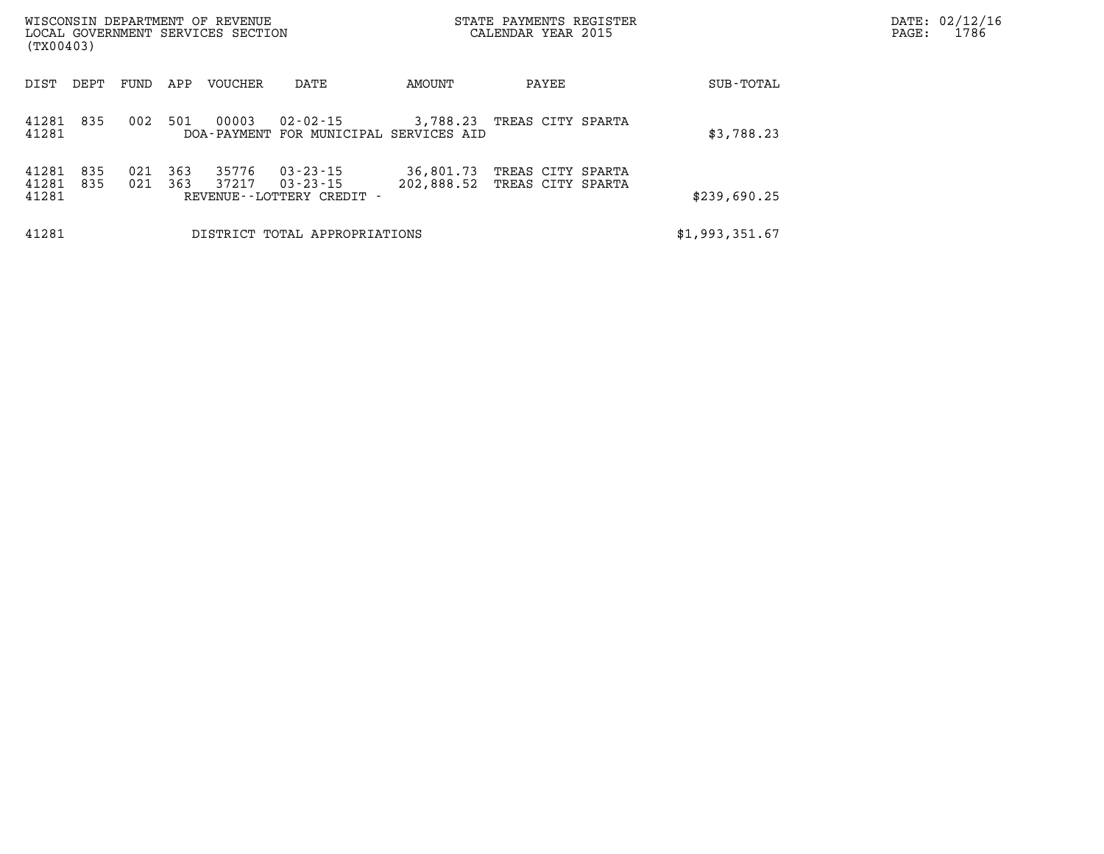| WISCONSIN DEPARTMENT OF REVENUE<br>LOCAL GOVERNMENT SERVICES SECTION<br>(TX00403) |            |            |            |                |                                                               |                         | STATE PAYMENTS REGISTER<br>CALENDAR YEAR 2015 |  | DATE: 02/12/16<br>1786<br>$\mathtt{PAGE}$ : |  |
|-----------------------------------------------------------------------------------|------------|------------|------------|----------------|---------------------------------------------------------------|-------------------------|-----------------------------------------------|--|---------------------------------------------|--|
| DIST                                                                              | DEPT       | FUND       | APP        | VOUCHER        | DATE                                                          | AMOUNT                  | PAYEE                                         |  | SUB-TOTAL                                   |  |
| 41281<br>41281                                                                    | 835        | 002        | 501        | 00003          | 02-02-15<br>DOA-PAYMENT FOR MUNICIPAL SERVICES AID            | 3,788.23                | TREAS CITY SPARTA                             |  | \$3,788.23                                  |  |
| 41281<br>41281<br>41281                                                           | 835<br>835 | 021<br>021 | 363<br>363 | 35776<br>37217 | $03 - 23 - 15$<br>$03 - 23 - 15$<br>REVENUE--LOTTERY CREDIT - | 36,801.73<br>202,888.52 | TREAS CITY SPARTA<br>TREAS CITY SPARTA        |  | \$239,690.25                                |  |
| 41281                                                                             |            |            |            |                | DISTRICT TOTAL APPROPRIATIONS                                 |                         |                                               |  | \$1,993,351.67                              |  |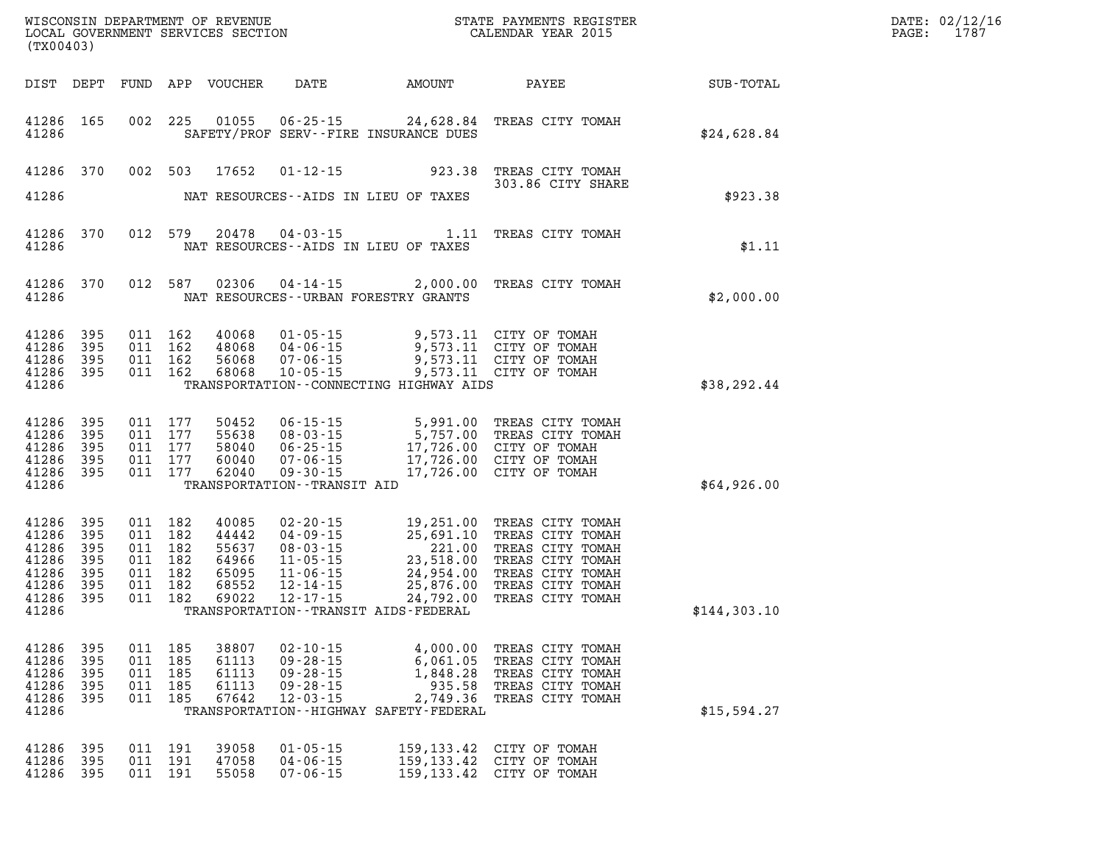| (TX00403)                                                            |                                               |     |                                                                           |                                           |                                                                                        |                                                                                                       | WISCONSIN DEPARTMENT OF REVENUE<br>LOCAL GOVERNMENT SERVICES SECTION<br>(TVOC402)                                                                                                                                                                                                                                      |              | DATE: 02/12/16<br>PAGE: 1787 |
|----------------------------------------------------------------------|-----------------------------------------------|-----|---------------------------------------------------------------------------|-------------------------------------------|----------------------------------------------------------------------------------------|-------------------------------------------------------------------------------------------------------|------------------------------------------------------------------------------------------------------------------------------------------------------------------------------------------------------------------------------------------------------------------------------------------------------------------------|--------------|------------------------------|
|                                                                      |                                               |     |                                                                           |                                           |                                                                                        |                                                                                                       |                                                                                                                                                                                                                                                                                                                        |              |                              |
| 41286                                                                | 41286 165                                     |     |                                                                           |                                           |                                                                                        | SAFETY/PROF SERV--FIRE INSURANCE DUES                                                                 | 002 225 01055 06-25-15 24,628.84 TREAS CITY TOMAH                                                                                                                                                                                                                                                                      | \$24,628.84  |                              |
|                                                                      |                                               |     |                                                                           |                                           |                                                                                        |                                                                                                       | 41286 370 002 503 17652 01-12-15 923.38 TREAS CITY TOMAH<br>303.86 CITY SHARE                                                                                                                                                                                                                                          |              |                              |
| 41286                                                                |                                               |     |                                                                           |                                           |                                                                                        | NAT RESOURCES--AIDS IN LIEU OF TAXES                                                                  |                                                                                                                                                                                                                                                                                                                        | \$923.38     |                              |
| 41286                                                                | 41286 370                                     |     |                                                                           |                                           |                                                                                        | NAT RESOURCES--AIDS IN LIEU OF TAXES                                                                  | 012 579 20478 04-03-15 1.11 TREAS CITY TOMAH                                                                                                                                                                                                                                                                           | \$1.11       |                              |
| 41286                                                                | 41286 370                                     |     |                                                                           |                                           |                                                                                        | NAT RESOURCES - - URBAN FORESTRY GRANTS                                                               | 012 587 02306 04-14-15 2,000.00 TREAS CITY TOMAH                                                                                                                                                                                                                                                                       | \$2,000.00   |                              |
| 41286<br>41286<br>41286<br>41286<br>41286                            | 395<br>395<br>395<br>395                      |     | 011 162<br>011 162<br>011 162<br>011 162                                  |                                           |                                                                                        | TRANSPORTATION -- CONNECTING HIGHWAY AIDS                                                             | 40068  01-05-15  9,573.11  CITY OF TOMAH<br>48068  04-06-15  9,573.11  CITY OF TOMAH<br>56068  07-06-15  9,573.11  CITY OF TOMAH<br>68068  10-05-15  9,573.11  CITY OF TOMAH                                                                                                                                           | \$38,292.44  |                              |
| 41286<br>41286<br>41286<br>41286<br>41286<br>41286                   | 395<br>395<br>395<br>395<br>395               |     |                                                                           |                                           | TRANSPORTATION - - TRANSIT AID                                                         |                                                                                                       | $\begin{array}{cccc} 011 & 177 & 50452 & 06-15-15 & 5,991.00 & \text{TREAS CITY TOMAH} \\ 011 & 177 & 55638 & 08-03-15 & 5,757.00 & \text{TREAS CITY TOMAH} \\ 011 & 177 & 58040 & 06-25-15 & 17,726.00 & \text{CITY OF TOMAH} \\ 011 & 177 & 60040 & 07-06-15 & 17,726.00 & \text{CITY OF TOMAH} \\ 011 & 177 & 6204$ | \$64,926.00  |                              |
| 41286<br>41286<br>41286<br>41286<br>41286<br>41286<br>41286<br>41286 | 395<br>395<br>395<br>395<br>395<br>395<br>395 |     | 011 182<br>011 182<br>011 182<br>011 182<br>011 182<br>011 182<br>011 182 |                                           |                                                                                        | TRANSPORTATION - - TRANSIT AIDS - FEDERAL                                                             | 40085 02-20-15 19,251.00 TREAS CITY TOMAH<br>44442 04-09-15 25,691.10 TREAS CITY TOMAH<br>55637 08-03-15 221.00 TREAS CITY TOMAH<br>64966 11-05-15 23,518.00 TREAS CITY TOMAH<br>65095 11-06-15 24,954.00 TREAS CITY TOMAH<br>68552 12-14-15                                                                           | \$144,303.10 |                              |
| 41286<br>41286<br>41286<br>41286<br>41286<br>41286                   | 395<br>395<br>395<br>395<br>395               | 011 | 185<br>011 185<br>011 185<br>011 185<br>011 185                           | 38807<br>61113<br>61113<br>61113<br>67642 | $02 - 10 - 15$<br>$09 - 28 - 15$<br>$09 - 28 - 15$<br>$09 - 28 - 15$<br>$12 - 03 - 15$ | 4,000.00<br>6,061.05<br>1,848.28<br>935.58<br>2,749.36<br>TRANSPORTATION - - HIGHWAY SAFETY - FEDERAL | TREAS CITY TOMAH<br>TREAS CITY TOMAH<br>TREAS CITY TOMAH<br>TREAS CITY TOMAH<br>TREAS CITY TOMAH                                                                                                                                                                                                                       | \$15,594.27  |                              |
| 41286<br>41286<br>41286 395                                          | 395<br>- 395                                  |     | 011 191<br>011 191<br>011 191                                             | 39058<br>47058<br>55058                   | $01 - 05 - 15$<br>$04 - 06 - 15$<br>$07 - 06 - 15$                                     |                                                                                                       | 159,133.42 CITY OF TOMAH<br>159,133.42 CITY OF TOMAH<br>159,133.42 CITY OF TOMAH                                                                                                                                                                                                                                       |              |                              |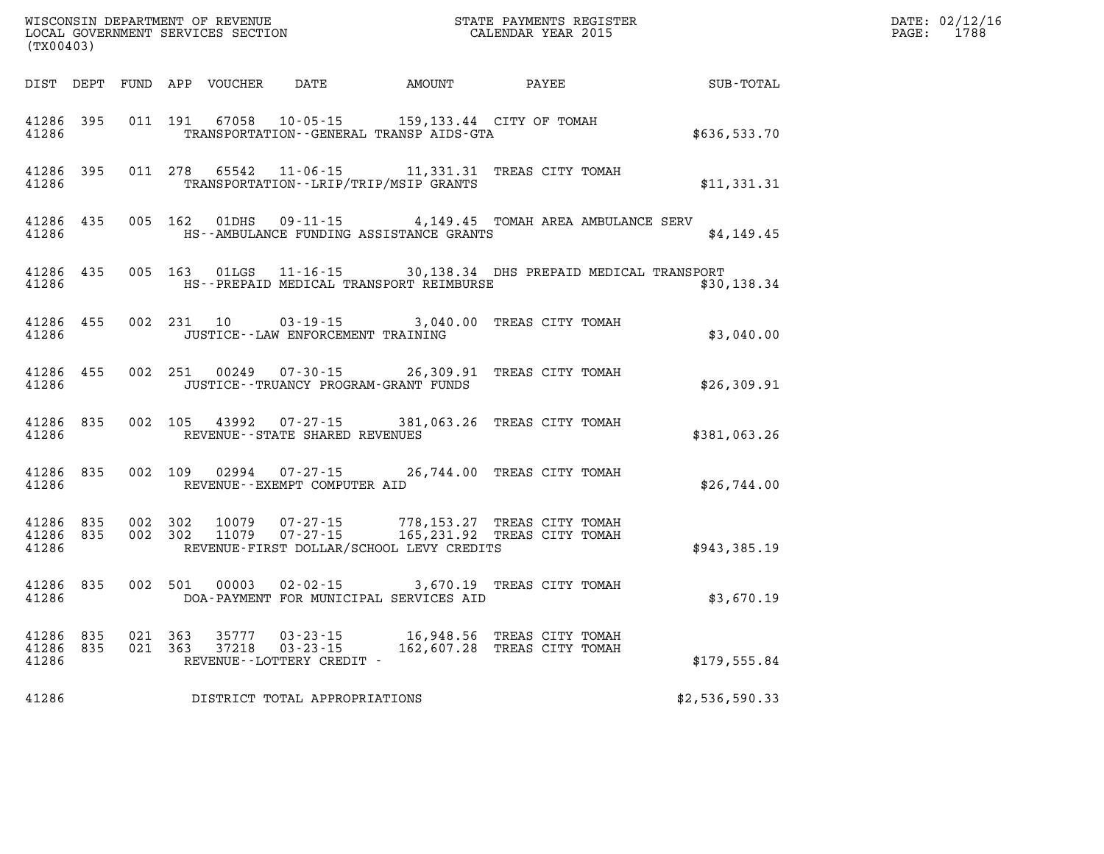|                                 | ${\tt WISCONSIM\ DEPARTMENT\ OF\ REVENUE}\qquad \qquad {\tt STATE\ PAYMENTS\ REGIS:}\nonumber\\ {\tt LOCAL\ GOVERNMENT\ SERVICES\ SECTION}\qquad \qquad {\tt CALEINDAR\ YEAR\ 2015}$<br>(TX00403) |                    |         |                |                                                                                                           |                                                                                |       | STATE PAYMENTS REGISTER |                | DATE: 02/12/16<br>PAGE: 1788 |
|---------------------------------|---------------------------------------------------------------------------------------------------------------------------------------------------------------------------------------------------|--------------------|---------|----------------|-----------------------------------------------------------------------------------------------------------|--------------------------------------------------------------------------------|-------|-------------------------|----------------|------------------------------|
|                                 |                                                                                                                                                                                                   |                    |         |                | DIST DEPT FUND APP VOUCHER DATE AMOUNT                                                                    |                                                                                | PAYEE |                         | SUB-TOTAL      |                              |
| 41286 395<br>41286              |                                                                                                                                                                                                   |                    |         |                | 011 191 67058 10-05-15 159,133.44 CITY OF TOMAH<br>TRANSPORTATION--GENERAL TRANSP AIDS-GTA                |                                                                                |       |                         | \$636,533.70   |                              |
| 41286                           | 41286 395                                                                                                                                                                                         |                    |         |                | 011 278 65542 11-06-15 11,331.31 TREAS CITY TOMAH<br>TRANSPORTATION - - LRIP/TRIP/MSIP GRANTS             |                                                                                |       |                         | \$11,331.31    |                              |
| 41286 435<br>41286              |                                                                                                                                                                                                   |                    | 005 162 | 01DHS          | HS--AMBULANCE FUNDING ASSISTANCE GRANTS                                                                   | 09-11-15 4,149.45 TOMAH AREA AMBULANCE SERV                                    |       |                         | \$4,149.45     |                              |
| 41286 435<br>41286              |                                                                                                                                                                                                   |                    |         |                | 005 163 01LGS 11-16-15 30,138.34 DHS PREPAID MEDICAL TRANSPORT<br>HS--PREPAID MEDICAL TRANSPORT REIMBURSE |                                                                                |       |                         | \$30,138.34    |                              |
| 41286                           | 41286 455                                                                                                                                                                                         |                    |         |                | 002 231 10 03-19-15<br>JUSTICE - - LAW ENFORCEMENT TRAINING                                               | 3,040.00 TREAS CITY TOMAH                                                      |       |                         | \$3,040.00     |                              |
| 41286 455<br>41286              |                                                                                                                                                                                                   | 002 251            |         |                | 00249  07-30-15  26,309.91  TREAS CITY TOMAH<br>JUSTICE - - TRUANCY PROGRAM - GRANT FUNDS                 |                                                                                |       |                         | \$26,309.91    |                              |
| 41286                           | 41286 835                                                                                                                                                                                         |                    |         |                | 002 105 43992 07-27-15 381,063.26 TREAS CITY TOMAH<br>REVENUE - - STATE SHARED REVENUES                   |                                                                                |       |                         | \$381,063.26   |                              |
| 41286                           | 41286 835                                                                                                                                                                                         |                    |         |                | 002 109 02994 07-27-15 26,744.00 TREAS CITY TOMAH<br>REVENUE--EXEMPT COMPUTER AID                         |                                                                                |       |                         | \$26,744.00    |                              |
| 41286 835<br>41286 835<br>41286 |                                                                                                                                                                                                   | 002 302<br>002 302 |         | 10079<br>11079 | REVENUE-FIRST DOLLAR/SCHOOL LEVY CREDITS                                                                  | 07-27-15 778, 153.27 TREAS CITY TOMAH<br>07-27-15 165, 231.92 TREAS CITY TOMAH |       |                         | \$943,385.19   |                              |
| 41286 835<br>41286              |                                                                                                                                                                                                   |                    |         |                | 002 501 00003 02-02-15<br>DOA-PAYMENT FOR MUNICIPAL SERVICES AID                                          | 3,670.19 TREAS CITY TOMAH                                                      |       |                         | \$3,670.19     |                              |
| 41286 835<br>41286 835<br>41286 |                                                                                                                                                                                                   | 021 363<br>021 363 |         | 35777<br>37218 | 03-23-15 162,607.28 TREAS CITY TOMAH<br>REVENUE--LOTTERY CREDIT -                                         | 03-23-15 16,948.56 TREAS CITY TOMAH                                            |       |                         | \$179,555.84   |                              |
| 41286                           |                                                                                                                                                                                                   |                    |         |                | DISTRICT TOTAL APPROPRIATIONS                                                                             |                                                                                |       |                         | \$2,536,590.33 |                              |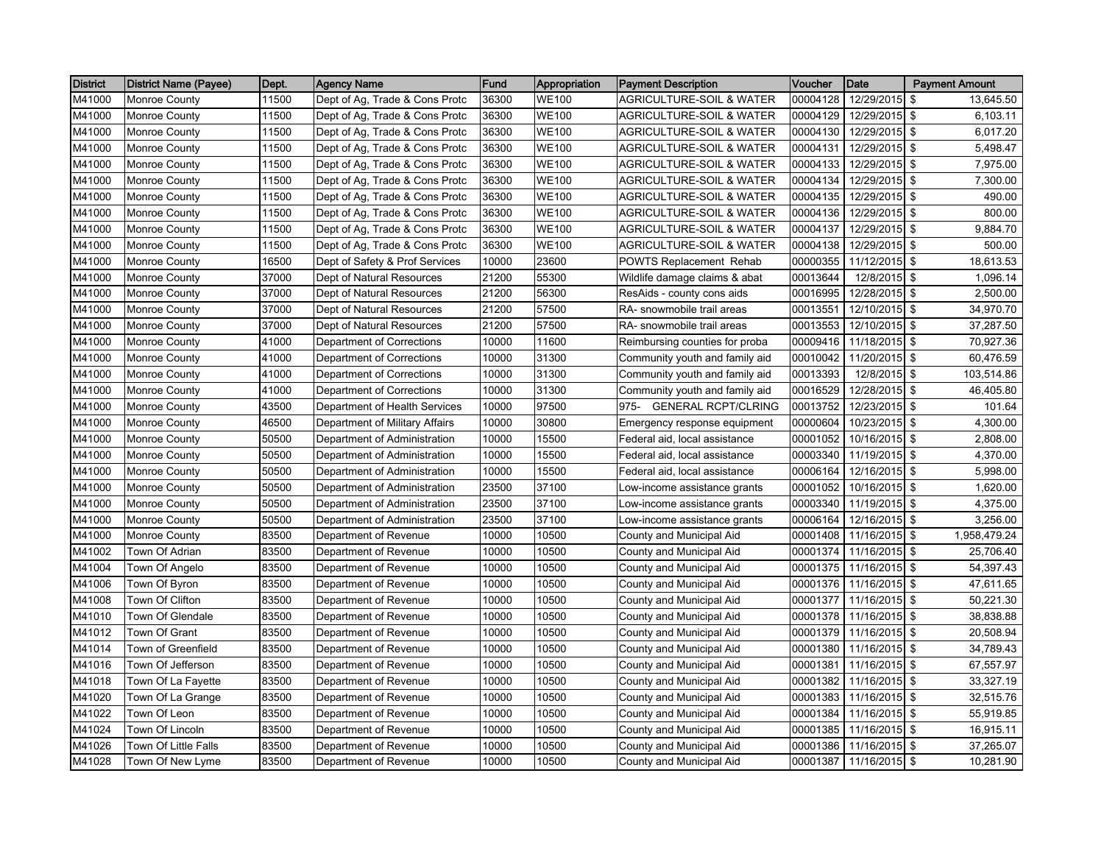| <b>District</b> | District Name (Payee) | Dept. | <b>Agency Name</b>             | <b>Fund</b> | Appropriation | <b>Payment Description</b>            | Voucher  | <b>Date</b>            | <b>Payment Amount</b>                |
|-----------------|-----------------------|-------|--------------------------------|-------------|---------------|---------------------------------------|----------|------------------------|--------------------------------------|
| M41000          | <b>Monroe County</b>  | 11500 | Dept of Ag, Trade & Cons Protc | 36300       | <b>WE100</b>  | <b>AGRICULTURE-SOIL &amp; WATER</b>   | 00004128 | 12/29/2015             | \$<br>13,645.50                      |
| M41000          | <b>Monroe County</b>  | 11500 | Dept of Ag, Trade & Cons Protc | 36300       | WE100         | <b>AGRICULTURE-SOIL &amp; WATER</b>   | 00004129 | 12/29/2015             | \$<br>6,103.11                       |
| M41000          | <b>Monroe County</b>  | 11500 | Dept of Ag, Trade & Cons Protc | 36300       | WE100         | <b>AGRICULTURE-SOIL &amp; WATER</b>   | 00004130 | 12/29/2015             | \$<br>6,017.20                       |
| M41000          | <b>Monroe County</b>  | 11500 | Dept of Ag, Trade & Cons Protc | 36300       | WE100         | <b>AGRICULTURE-SOIL &amp; WATER</b>   | 00004131 | 12/29/2015             | \$<br>5.498.47                       |
| M41000          | <b>Monroe County</b>  | 11500 | Dept of Ag, Trade & Cons Protc | 36300       | <b>WE100</b>  | <b>AGRICULTURE-SOIL &amp; WATER</b>   | 00004133 | 12/29/2015 \$          | 7,975.00                             |
| M41000          | <b>Monroe County</b>  | 11500 | Dept of Ag, Trade & Cons Protc | 36300       | WE100         | <b>AGRICULTURE-SOIL &amp; WATER</b>   | 00004134 | 12/29/2015             | \$<br>7,300.00                       |
| M41000          | Monroe County         | 11500 | Dept of Ag, Trade & Cons Protc | 36300       | WE100         | <b>AGRICULTURE-SOIL &amp; WATER</b>   | 00004135 | 12/29/2015             | \$<br>490.00                         |
| M41000          | <b>Monroe County</b>  | 11500 | Dept of Ag, Trade & Cons Protc | 36300       | WE100         | <b>AGRICULTURE-SOIL &amp; WATER</b>   | 00004136 | 12/29/2015             | \$<br>800.00                         |
| M41000          | Monroe County         | 11500 | Dept of Ag, Trade & Cons Protc | 36300       | WE100         | <b>AGRICULTURE-SOIL &amp; WATER</b>   | 00004137 | 12/29/2015 \$          | 9,884.70                             |
| M41000          | Monroe County         | 11500 | Dept of Ag, Trade & Cons Protc | 36300       | WE100         | <b>AGRICULTURE-SOIL &amp; WATER</b>   | 00004138 | 12/29/2015             | \$<br>500.00                         |
| M41000          | <b>Monroe County</b>  | 16500 | Dept of Safety & Prof Services | 10000       | 23600         | <b>POWTS Replacement Rehab</b>        | 00000355 | $11/12/2015$ \$        | 18,613.53                            |
| M41000          | <b>Monroe County</b>  | 37000 | Dept of Natural Resources      | 21200       | 55300         | Wildlife damage claims & abat         | 00013644 | $12/8/2015$ \$         | 1,096.14                             |
| M41000          | <b>Monroe County</b>  | 37000 | Dept of Natural Resources      | 21200       | 56300         | ResAids - county cons aids            | 00016995 | 12/28/2015 \$          | 2,500.00                             |
| M41000          | <b>Monroe County</b>  | 37000 | Dept of Natural Resources      | 21200       | 57500         | RA- snowmobile trail areas            | 00013551 | 12/10/2015 \$          | 34,970.70                            |
| M41000          | <b>Monroe County</b>  | 37000 | Dept of Natural Resources      | 21200       | 57500         | RA- snowmobile trail areas            | 00013553 | 12/10/2015 \$          | 37,287.50                            |
| M41000          | <b>Monroe County</b>  | 41000 | Department of Corrections      | 10000       | 11600         | Reimbursing counties for proba        | 00009416 | 11/18/2015 \$          | 70,927.36                            |
| M41000          | Monroe County         | 41000 | Department of Corrections      | 10000       | 31300         | Community youth and family aid        | 00010042 | 11/20/2015 \$          | 60,476.59                            |
| M41000          | <b>Monroe County</b>  | 41000 | Department of Corrections      | 10000       | 31300         | Community youth and family aid        | 00013393 | 12/8/2015 \$           | 103,514.86                           |
| M41000          | Monroe County         | 41000 | Department of Corrections      | 10000       | 31300         | Community youth and family aid        | 00016529 | 12/28/2015 \$          | 46,405.80                            |
| M41000          | Monroe County         | 43500 | Department of Health Services  | 10000       | 97500         | $975 -$<br><b>GENERAL RCPT/CLRING</b> | 00013752 | 12/23/2015 \$          | 101.64                               |
| M41000          | <b>Monroe County</b>  | 46500 | Department of Military Affairs | 10000       | 30800         | Emergency response equipment          | 00000604 | 10/23/2015             | \$<br>4,300.00                       |
| M41000          | <b>Monroe County</b>  | 50500 | Department of Administration   | 10000       | 15500         | Federal aid, local assistance         | 00001052 | 10/16/2015             | \$<br>2,808.00                       |
| M41000          | <b>Monroe County</b>  | 50500 | Department of Administration   | 10000       | 15500         | Federal aid, local assistance         | 00003340 | 11/19/2015             | \$<br>4,370.00                       |
| M41000          | <b>Monroe County</b>  | 50500 | Department of Administration   | 10000       | 15500         | Federal aid, local assistance         | 00006164 | 12/16/2015             | \$<br>5,998.00                       |
| M41000          | <b>Monroe County</b>  | 50500 | Department of Administration   | 23500       | 37100         | Low-income assistance grants          | 00001052 | 10/16/2015             | \$<br>1,620.00                       |
| M41000          | <b>Monroe County</b>  | 50500 | Department of Administration   | 23500       | 37100         | Low-income assistance grants          | 00003340 | 11/19/2015 \$          | 4,375.00                             |
| M41000          | <b>Monroe County</b>  | 50500 | Department of Administration   | 23500       | 37100         | Low-income assistance grants          | 00006164 | 12/16/2015             | \$<br>3,256.00                       |
| M41000          | Monroe County         | 83500 | Department of Revenue          | 10000       | 10500         | County and Municipal Aid              | 00001408 | 11/16/2015 \$          | 1,958,479.24                         |
| M41002          | Town Of Adrian        | 83500 | Department of Revenue          | 10000       | 10500         | County and Municipal Aid              | 00001374 | 11/16/2015             | \$<br>25,706.40                      |
| M41004          | Town Of Angelo        | 83500 | Department of Revenue          | 10000       | 10500         | County and Municipal Aid              | 00001375 | 11/16/2015 \$          | 54,397.43                            |
| M41006          | Town Of Byron         | 83500 | Department of Revenue          | 10000       | 10500         | County and Municipal Aid              |          | 00001376 11/16/2015 \$ | 47,611.65                            |
| M41008          | Town Of Clifton       | 83500 | Department of Revenue          | 10000       | 10500         | County and Municipal Aid              | 00001377 | 11/16/2015 \$          | 50,221.30                            |
| M41010          | Town Of Glendale      | 83500 | Department of Revenue          | 10000       | 10500         | County and Municipal Aid              | 00001378 | 11/16/2015 \$          | 38,838.88                            |
| M41012          | Town Of Grant         | 83500 | Department of Revenue          | 10000       | 10500         | County and Municipal Aid              | 00001379 | 11/16/2015 \$          | 20,508.94                            |
| M41014          | Town of Greenfield    | 83500 | Department of Revenue          | 10000       | 10500         | County and Municipal Aid              | 00001380 | 11/16/2015 \$          | 34,789.43                            |
| M41016          | Town Of Jefferson     | 83500 | Department of Revenue          | 10000       | 10500         | County and Municipal Aid              | 00001381 | 11/16/2015 \$          | 67,557.97                            |
| M41018          | Town Of La Fayette    | 83500 | Department of Revenue          | 10000       | 10500         | County and Municipal Aid              | 00001382 | 11/16/2015             | \$<br>33,327.19                      |
| M41020          | Town Of La Grange     | 83500 | Department of Revenue          | 10000       | 10500         | County and Municipal Aid              | 00001383 | 11/16/2015 \$          | 32,515.76                            |
| M41022          | Town Of Leon          | 83500 | Department of Revenue          | 10000       | 10500         | County and Municipal Aid              | 00001384 | 11/16/2015 \$          | 55,919.85                            |
| M41024          | Town Of Lincoln       | 83500 | Department of Revenue          | 10000       | 10500         | County and Municipal Aid              | 00001385 | 11/16/2015             | \$<br>16,915.11                      |
| M41026          | Town Of Little Falls  | 83500 | Department of Revenue          | 10000       | 10500         | County and Municipal Aid              | 00001386 | 11/16/2015 \$          | 37,265.07                            |
| M41028          | Town Of New Lyme      | 83500 | Department of Revenue          | 10000       | 10500         | County and Municipal Aid              | 00001387 | 11/16/2015             | $\sqrt[6]{\frac{1}{2}}$<br>10,281.90 |